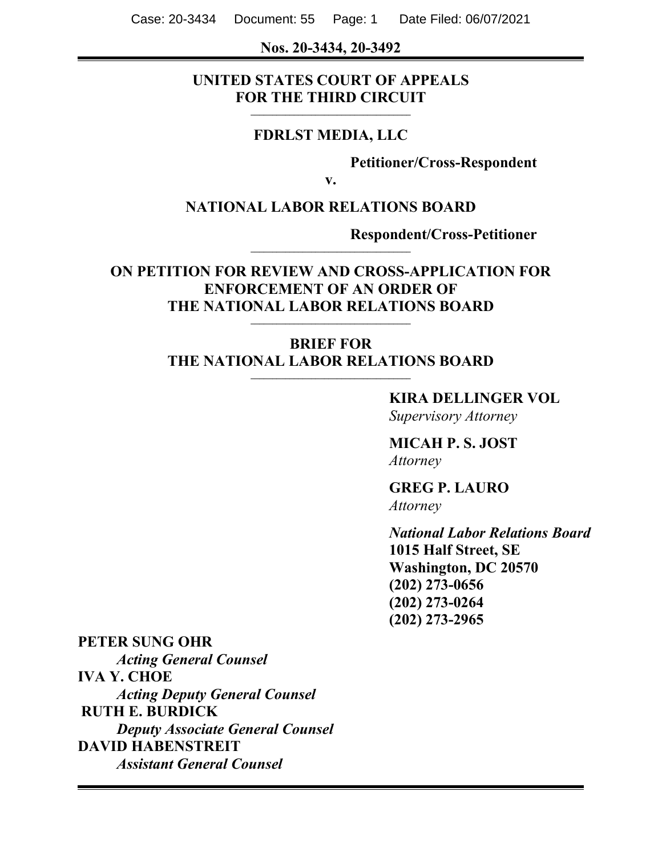Case: 20-3434 Document: 55 Page: 1 Date Filed: 06/07/2021

#### **Nos. 20-3434, 20-3492**

#### **UNITED STATES COURT OF APPEALS FOR THE THIRD CIRCUIT \_\_\_\_\_\_\_\_\_\_\_\_\_\_\_\_\_\_\_\_\_\_\_\_\_\_\_\_\_\_\_\_\_\_\_\_\_**

#### **FDRLST MEDIA, LLC**

**Petitioner/Cross-Respondent**

**v.**

#### **NATIONAL LABOR RELATIONS BOARD**

**\_\_\_\_\_\_\_\_\_\_\_\_\_\_\_\_\_\_\_\_\_\_\_\_\_\_\_\_\_\_\_\_\_\_\_\_\_**

**Respondent/Cross-Petitioner**

### **ON PETITION FOR REVIEW AND CROSS-APPLICATION FOR ENFORCEMENT OF AN ORDER OF THE NATIONAL LABOR RELATIONS BOARD**

**\_\_\_\_\_\_\_\_\_\_\_\_\_\_\_\_\_\_\_\_\_\_\_\_\_\_\_\_\_\_\_\_\_\_\_\_\_**

#### **BRIEF FOR THE NATIONAL LABOR RELATIONS BOARD \_\_\_\_\_\_\_\_\_\_\_\_\_\_\_\_\_\_\_\_\_\_\_\_\_\_\_\_\_\_\_\_\_\_\_\_\_**

### **KIRA DELLINGER VOL**

*Supervisory Attorney* 

### **MICAH P. S. JOST** *Attorney*

**GREG P. LAURO** *Attorney*

*National Labor Relations Board*  **1015 Half Street, SE Washington, DC 20570 (202) 273-0656 (202) 273-0264 (202) 273-2965**

#### **PETER SUNG OHR**

*Acting General Counsel*  **IVA Y. CHOE** *Acting Deputy General Counsel*  **RUTH E. BURDICK**  *Deputy Associate General Counsel*  **DAVID HABENSTREIT**  *Assistant General Counsel*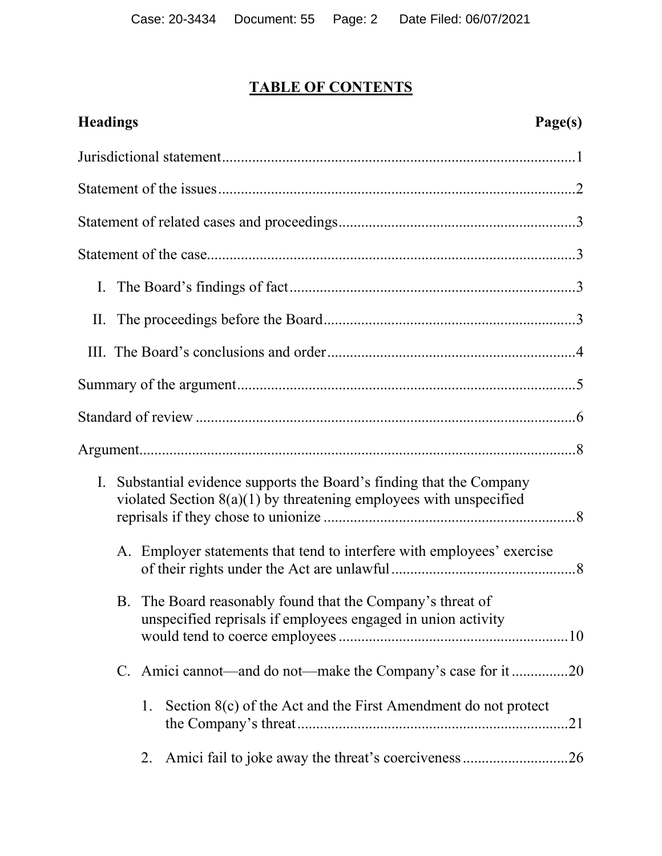# **TABLE OF CONTENTS**

| <b>Headings</b><br>Page(s)                                                                                                                       |  |
|--------------------------------------------------------------------------------------------------------------------------------------------------|--|
|                                                                                                                                                  |  |
|                                                                                                                                                  |  |
|                                                                                                                                                  |  |
|                                                                                                                                                  |  |
|                                                                                                                                                  |  |
|                                                                                                                                                  |  |
|                                                                                                                                                  |  |
|                                                                                                                                                  |  |
|                                                                                                                                                  |  |
|                                                                                                                                                  |  |
| Substantial evidence supports the Board's finding that the Company<br>I.<br>violated Section $8(a)(1)$ by threatening employees with unspecified |  |
| A. Employer statements that tend to interfere with employees' exercise                                                                           |  |
| B. The Board reasonably found that the Company's threat of<br>unspecified reprisals if employees engaged in union activity                       |  |
| C. Amici cannot—and do not—make the Company's case for it 20                                                                                     |  |
| Section $8(c)$ of the Act and the First Amendment do not protect<br>1.<br>.21                                                                    |  |
| 2.                                                                                                                                               |  |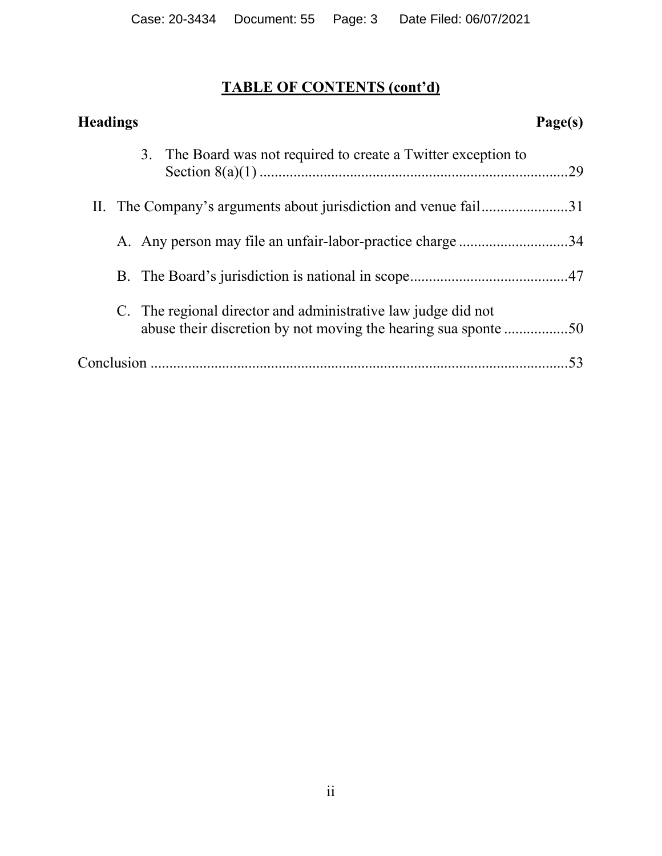# **TABLE OF CONTENTS (cont'd)**

| <b>Headings</b>                                                                                                                 | Page(s) |
|---------------------------------------------------------------------------------------------------------------------------------|---------|
| 3. The Board was not required to create a Twitter exception to                                                                  | .29     |
| II. The Company's arguments about jurisdiction and venue fail31                                                                 |         |
| A. Any person may file an unfair-labor-practice charge 34                                                                       |         |
|                                                                                                                                 |         |
| C. The regional director and administrative law judge did not<br>abuse their discretion by not moving the hearing sua sponte 50 |         |
|                                                                                                                                 | 53      |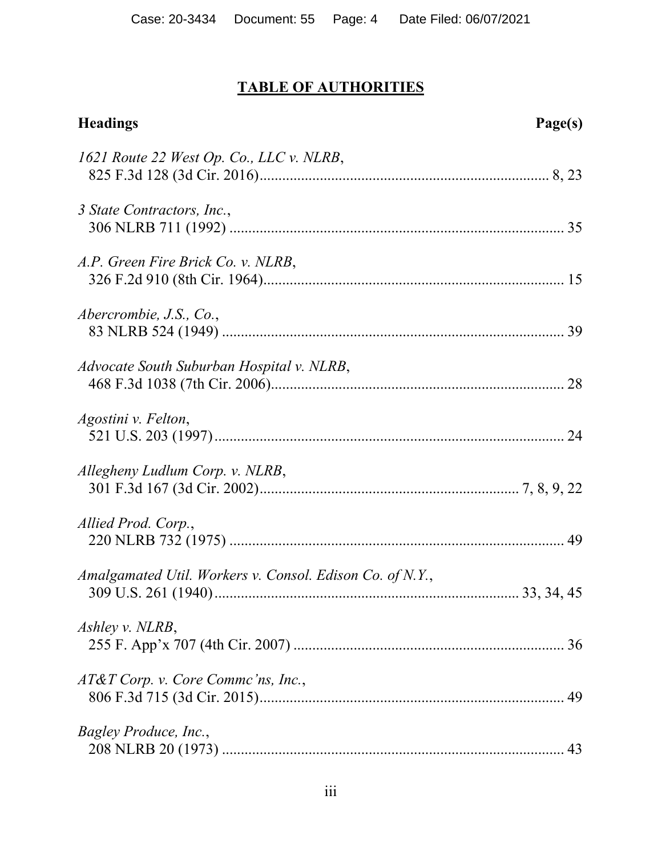# **TABLE OF AUTHORITIES**

| <b>Headings</b>                                          | Page(s) |
|----------------------------------------------------------|---------|
| 1621 Route 22 West Op. Co., LLC v. NLRB,                 |         |
| 3 State Contractors, Inc.,                               |         |
| A.P. Green Fire Brick Co. v. NLRB,                       |         |
| Abercrombie, J.S., Co.,                                  |         |
| Advocate South Suburban Hospital v. NLRB,                |         |
| Agostini v. Felton,                                      |         |
| Allegheny Ludlum Corp. v. NLRB,                          |         |
| Allied Prod. Corp.,                                      |         |
| Amalgamated Util. Workers v. Consol. Edison Co. of N.Y., |         |
| Ashley v. NLRB,                                          |         |
| AT&T Corp. v. Core Commc'ns, Inc.,                       |         |
| Bagley Produce, Inc.,                                    |         |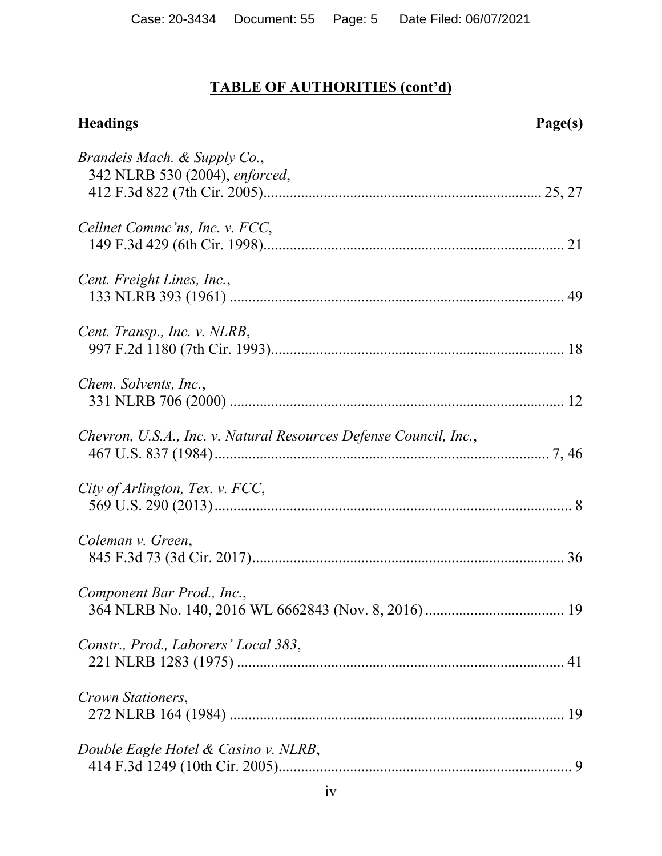| <b>Headings</b>                                                   | Page(s) |
|-------------------------------------------------------------------|---------|
| Brandeis Mach. & Supply Co.,<br>342 NLRB 530 (2004), enforced,    |         |
| Cellnet Commc'ns, Inc. v. FCC,                                    |         |
| Cent. Freight Lines, Inc.,                                        |         |
| Cent. Transp., Inc. v. NLRB,                                      |         |
| Chem. Solvents, Inc.,                                             |         |
| Chevron, U.S.A., Inc. v. Natural Resources Defense Council, Inc., |         |
| City of Arlington, Tex. v. FCC,                                   |         |
| Coleman v. Green,                                                 |         |
| Component Bar Prod., Inc.,                                        |         |
| Constr., Prod., Laborers' Local 383,                              |         |
| Crown Stationers,                                                 |         |
| Double Eagle Hotel & Casino v. NLRB,                              |         |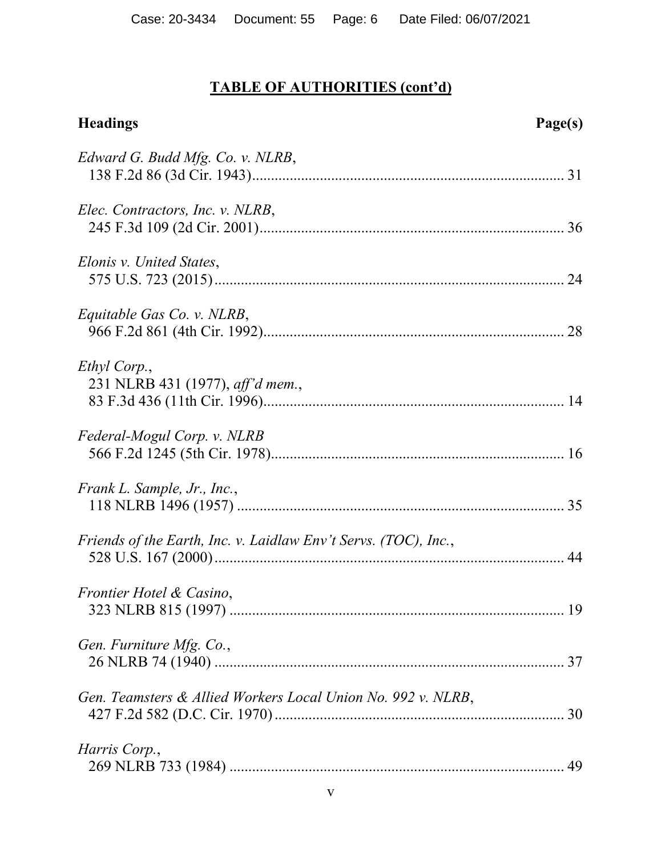| <b>Headings</b>                                                 | Page(s) |
|-----------------------------------------------------------------|---------|
| Edward G. Budd Mfg. Co. v. NLRB,                                |         |
| Elec. Contractors, Inc. v. NLRB,                                |         |
| Elonis v. United States,                                        |         |
| Equitable Gas Co. v. NLRB,                                      |         |
| Ethyl Corp.,<br>231 NLRB 431 (1977), aff'd mem.,                |         |
| Federal-Mogul Corp. v. NLRB                                     |         |
| Frank L. Sample, Jr., Inc.,                                     |         |
| Friends of the Earth, Inc. v. Laidlaw Env't Servs. (TOC), Inc., |         |
| Frontier Hotel & Casino,                                        |         |
| Gen. Furniture Mfg. Co.,                                        |         |
| Gen. Teamsters & Allied Workers Local Union No. 992 v. NLRB,    |         |
| Harris Corp.,                                                   |         |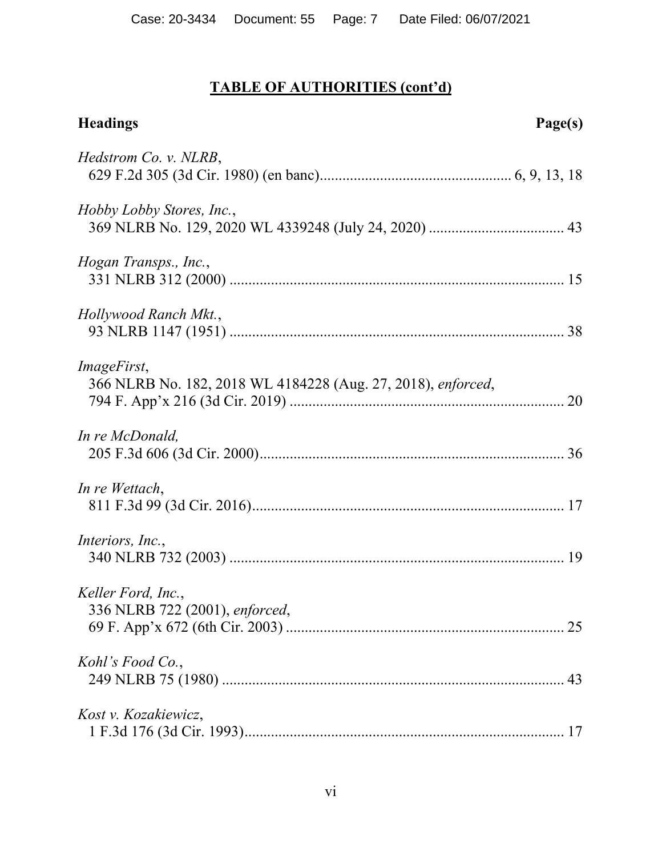| <b>Headings</b>                                                                    | Page(s) |
|------------------------------------------------------------------------------------|---------|
| Hedstrom Co. v. NLRB,                                                              |         |
| <i>Hobby Lobby Stores, Inc.,</i>                                                   |         |
| Hogan Transps., Inc.,                                                              |         |
| Hollywood Ranch Mkt.,                                                              |         |
| <i>ImageFirst,</i><br>366 NLRB No. 182, 2018 WL 4184228 (Aug. 27, 2018), enforced, |         |
| In re McDonald,                                                                    |         |
| In re Wettach,                                                                     |         |
| Interiors, Inc.,                                                                   |         |
| Keller Ford, Inc.,<br>336 NLRB 722 (2001), enforced,                               |         |
| Kohl's Food Co.,                                                                   |         |
| Kost v. Kozakiewicz,                                                               |         |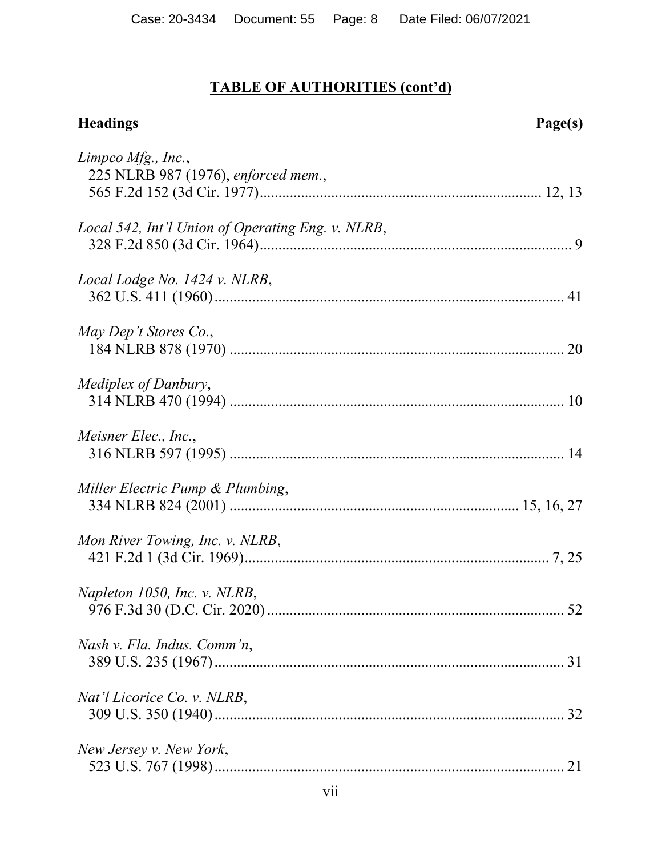| <b>Headings</b>                                           | Page(s) |
|-----------------------------------------------------------|---------|
| Limpco Mfg., Inc.,<br>225 NLRB 987 (1976), enforced mem., |         |
| Local 542, Int'l Union of Operating Eng. v. NLRB,         |         |
| Local Lodge No. 1424 v. NLRB,                             |         |
| May Dep't Stores Co.,                                     |         |
| Mediplex of Danbury,                                      |         |
| Meisner Elec., Inc.,                                      |         |
| Miller Electric Pump & Plumbing,                          |         |
| Mon River Towing, Inc. v. NLRB,                           |         |
| Napleton 1050, Inc. v. NLRB,                              |         |
| Nash v. Fla. Indus. Comm'n,                               |         |
| Nat'l Licorice Co. v. NLRB,                               |         |
| New Jersey v. New York,                                   |         |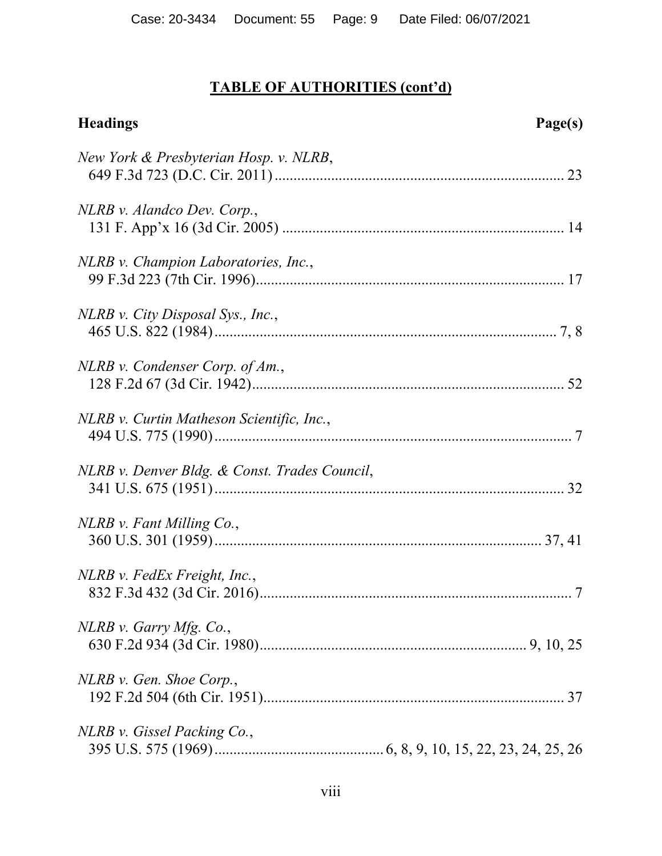| <b>Headings</b>                               | Page(s)    |
|-----------------------------------------------|------------|
| New York & Presbyterian Hosp. v. NLRB,        |            |
| NLRB v. Alandco Dev. Corp.,                   |            |
| NLRB v. Champion Laboratories, Inc.,          |            |
| NLRB v. City Disposal Sys., Inc.,             |            |
| $NLRB$ v. Condenser Corp. of Am.,             |            |
| NLRB v. Curtin Matheson Scientific, Inc.,     |            |
| NLRB v. Denver Bldg. & Const. Trades Council, |            |
| NLRB v. Fant Milling Co.,                     |            |
| NLRB v. FedEx Freight, Inc.,                  | $\ldots$ 7 |
| $NLRB$ v. Garry Mfg. Co.,                     |            |
| NLRB v. Gen. Shoe Corp.,                      |            |
| NLRB v. Gissel Packing Co.,                   |            |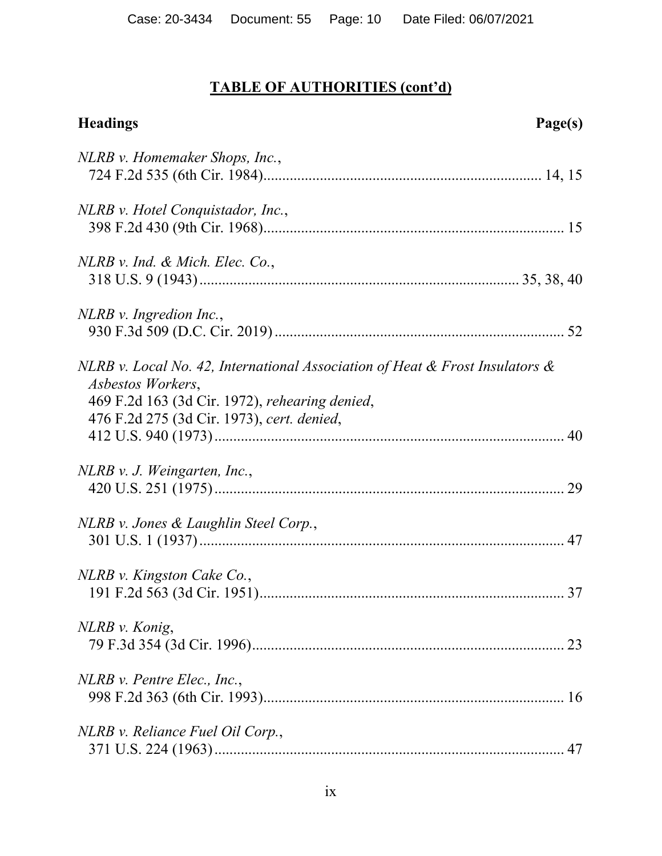| <b>Headings</b><br>Page(s)                                                                                                                                                                           |
|------------------------------------------------------------------------------------------------------------------------------------------------------------------------------------------------------|
| NLRB v. Homemaker Shops, Inc.,                                                                                                                                                                       |
| NLRB v. Hotel Conquistador, Inc.,                                                                                                                                                                    |
| $NLRB$ v. Ind. & Mich. Elec. Co.,                                                                                                                                                                    |
| NLRB v. Ingredion Inc.,                                                                                                                                                                              |
| NLRB v. Local No. 42, International Association of Heat & Frost Insulators $\&$<br>Asbestos Workers,<br>469 F.2d 163 (3d Cir. 1972), rehearing denied,<br>476 F.2d 275 (3d Cir. 1973), cert. denied, |
| NLRB v. J. Weingarten, Inc.,                                                                                                                                                                         |
| NLRB v. Jones & Laughlin Steel Corp.,                                                                                                                                                                |
| NLRB v. Kingston Cake Co.,<br>191 F.2d 563 (3d Cir. 1951)<br>37                                                                                                                                      |
| NLRB v. Konig,                                                                                                                                                                                       |
| $NLRB$ v. Pentre Elec., Inc.,                                                                                                                                                                        |
| NLRB v. Reliance Fuel Oil Corp.,                                                                                                                                                                     |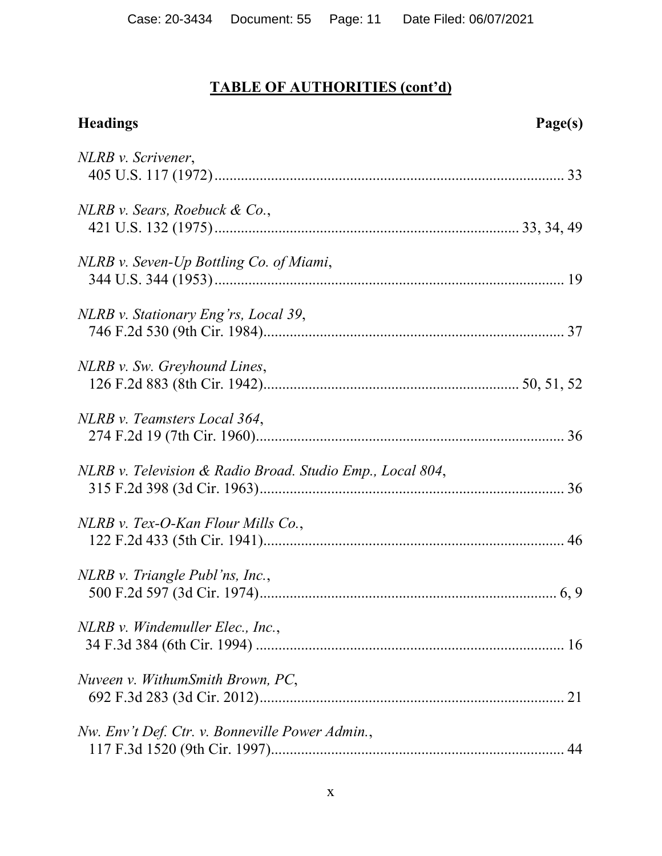| <b>Headings</b>                                           | Page(s) |
|-----------------------------------------------------------|---------|
| NLRB v. Scrivener,                                        |         |
| $NLRB$ v. Sears, Roebuck & Co.,                           |         |
| NLRB v. Seven-Up Bottling Co. of Miami,                   |         |
| NLRB v. Stationary Eng'rs, Local 39,                      |         |
| NLRB v. Sw. Greyhound Lines,                              |         |
| NLRB v. Teamsters Local 364,                              |         |
| NLRB v. Television & Radio Broad. Studio Emp., Local 804, |         |
| NLRB v. Tex-O-Kan Flour Mills Co.,                        |         |
| NLRB v. Triangle Publ'ns, Inc.,                           |         |
| NLRB v. Windemuller Elec., Inc.,                          |         |
| Nuveen v. WithumSmith Brown, PC,                          |         |
| Nw. Env't Def. Ctr. v. Bonneville Power Admin.,           |         |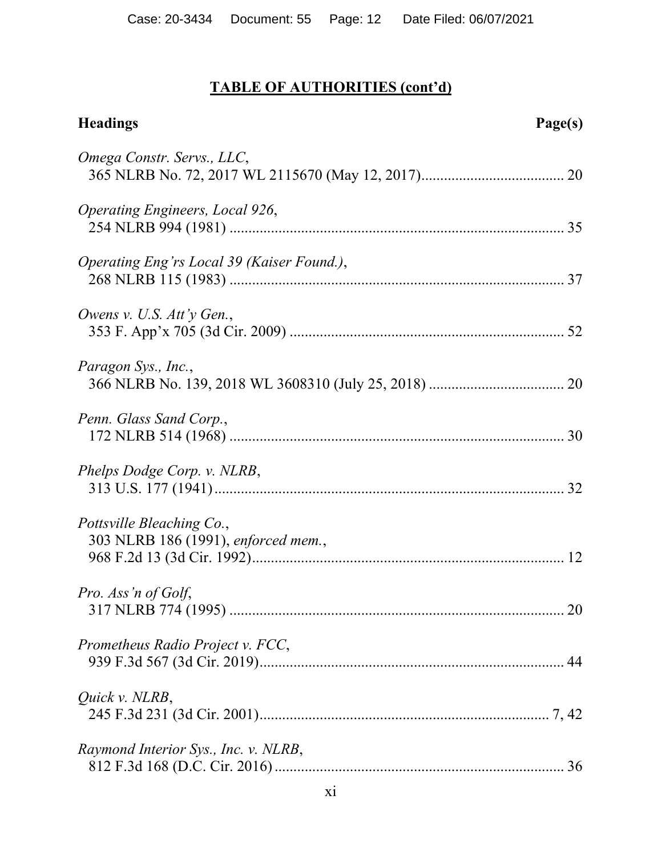| <b>Headings</b>                                                  | Page(s) |
|------------------------------------------------------------------|---------|
| Omega Constr. Servs., LLC,                                       |         |
| Operating Engineers, Local 926,                                  |         |
| Operating Eng'rs Local 39 (Kaiser Found.),                       |         |
| Owens v. U.S. Att'y Gen.,                                        |         |
| Paragon Sys., Inc.,                                              |         |
| Penn. Glass Sand Corp.,                                          |         |
| Phelps Dodge Corp. v. NLRB,                                      |         |
| Pottsville Bleaching Co.,<br>303 NLRB 186 (1991), enforced mem., |         |
| Pro. Ass'n of Golf,                                              |         |
| Prometheus Radio Project v. FCC,                                 |         |
| Quick v. NLRB,                                                   |         |
| Raymond Interior Sys., Inc. v. NLRB,                             |         |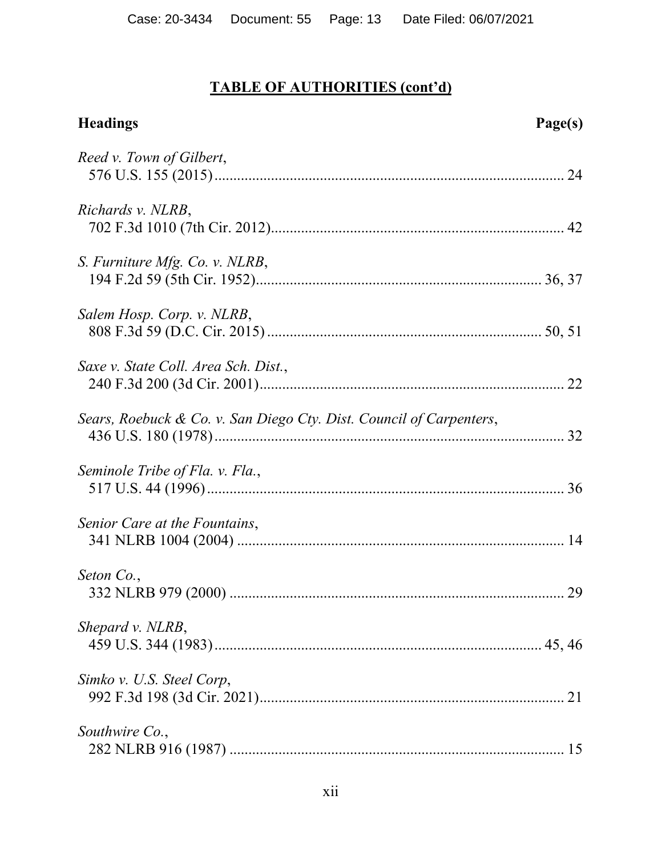| <b>Headings</b>                                                     | Page(s) |
|---------------------------------------------------------------------|---------|
| Reed v. Town of Gilbert,                                            |         |
| Richards v. NLRB,                                                   |         |
| S. Furniture Mfg. Co. v. NLRB,                                      |         |
| Salem Hosp. Corp. v. NLRB,                                          |         |
| Saxe v. State Coll. Area Sch. Dist.,                                |         |
| Sears, Roebuck & Co. v. San Diego Cty. Dist. Council of Carpenters, |         |
| Seminole Tribe of Fla. v. Fla.,                                     |         |
| Senior Care at the Fountains,                                       |         |
| Seton Co.,                                                          | 29      |
| Shepard v. NLRB,                                                    |         |
| Simko v. U.S. Steel Corp,                                           |         |
| Southwire Co.,                                                      |         |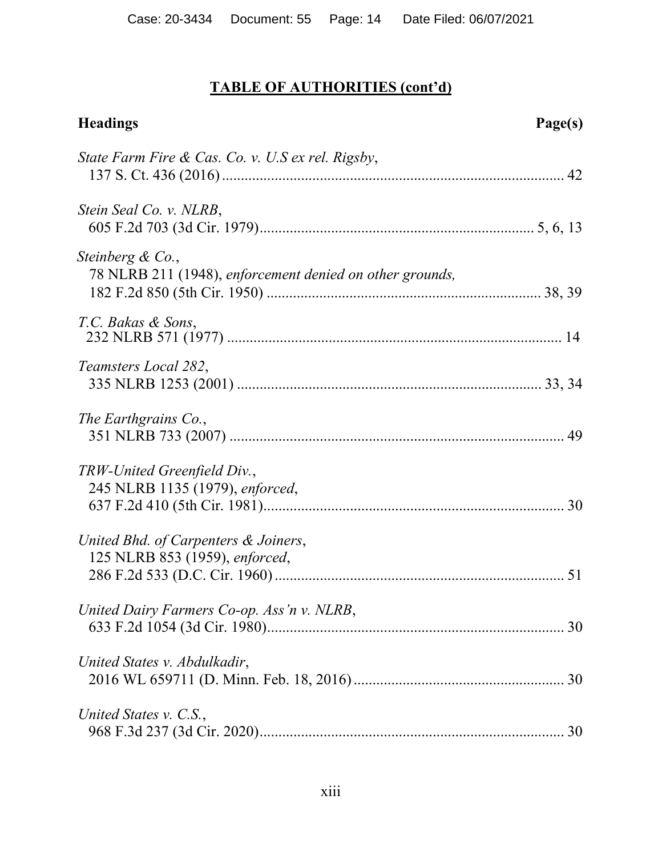| <b>Headings</b>                                                              | Page(s) |
|------------------------------------------------------------------------------|---------|
| State Farm Fire & Cas. Co. v. U.S ex rel. Rigsby,                            |         |
| Stein Seal Co. v. NLRB,                                                      |         |
| Steinberg & Co.,<br>78 NLRB 211 (1948), enforcement denied on other grounds, |         |
| T.C. Bakas & Sons,                                                           |         |
| Teamsters Local 282,                                                         |         |
| The Earthgrains Co.,                                                         |         |
| TRW-United Greenfield Div.,<br>245 NLRB 1135 (1979), enforced,               |         |
| United Bhd. of Carpenters & Joiners,<br>125 NLRB 853 (1959), enforced,       |         |
| United Dairy Farmers Co-op. Ass'n v. NLRB,                                   |         |
| United States v. Abdulkadir,                                                 |         |
| United States v. C.S.,                                                       |         |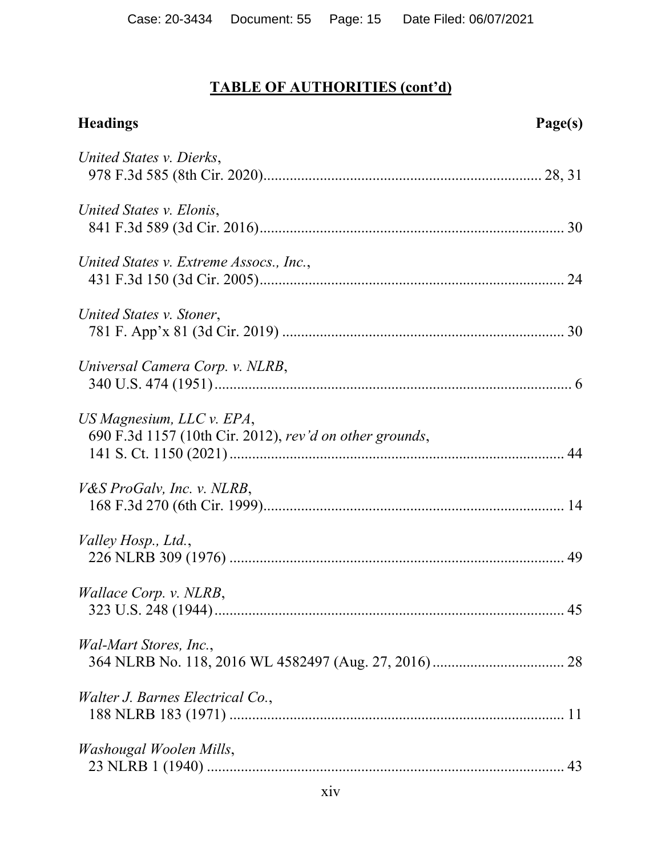| <b>Headings</b>                                                                      | Page(s) |
|--------------------------------------------------------------------------------------|---------|
| United States v. Dierks,                                                             |         |
| United States v. Elonis,                                                             |         |
| United States v. Extreme Assocs., Inc.,                                              |         |
| United States v. Stoner,                                                             |         |
| Universal Camera Corp. v. NLRB,                                                      |         |
| US Magnesium, LLC v. EPA,<br>690 F.3d 1157 (10th Cir. 2012), rev'd on other grounds, |         |
| <i>V&amp;S ProGalv, Inc. v. NLRB,</i>                                                |         |
| Valley Hosp., Ltd.,                                                                  |         |
| Wallace Corp. v. NLRB,                                                               |         |
| <i>Wal-Mart Stores, Inc.,</i>                                                        |         |
| Walter J. Barnes Electrical Co.,                                                     |         |
| Washougal Woolen Mills,                                                              |         |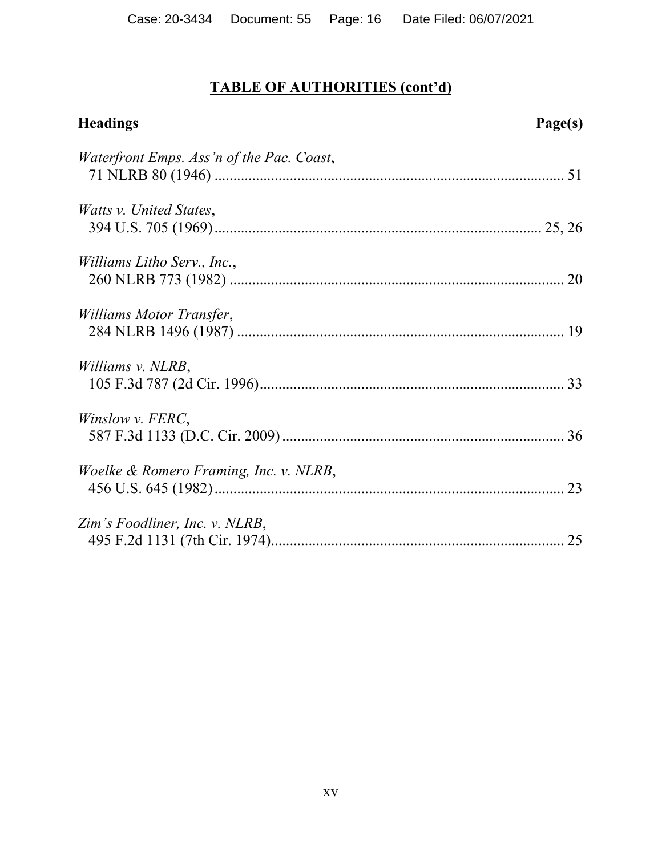| <b>Headings</b>                           | Page(s) |
|-------------------------------------------|---------|
| Waterfront Emps. Ass'n of the Pac. Coast, |         |
| Watts v. United States,                   |         |
| <i>Williams Litho Serv., Inc.,</i>        |         |
| Williams Motor Transfer,                  |         |
| Williams v. NLRB,                         |         |
| Winslow v. FERC,                          |         |
| Woelke & Romero Framing, Inc. v. NLRB,    | 23      |
| Zim's Foodliner, Inc. v. NLRB,            |         |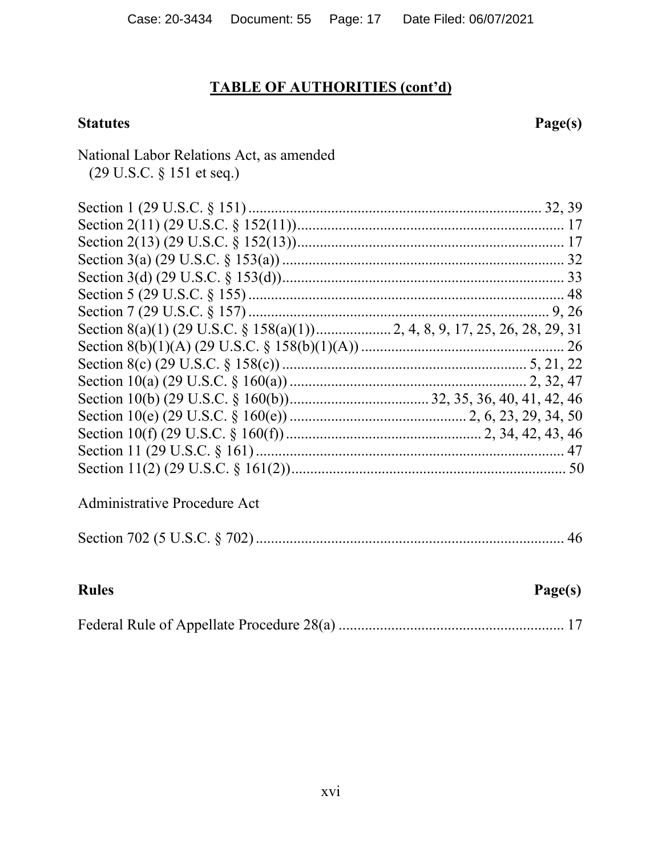### Statutes **Page(s)**

### National Labor Relations Act, as amended (29 U.S.C. § 151 et seq.)

### Administrative Procedure Act

|--|--|

| <b>Rules</b> | Page(s) |
|--------------|---------|
|              |         |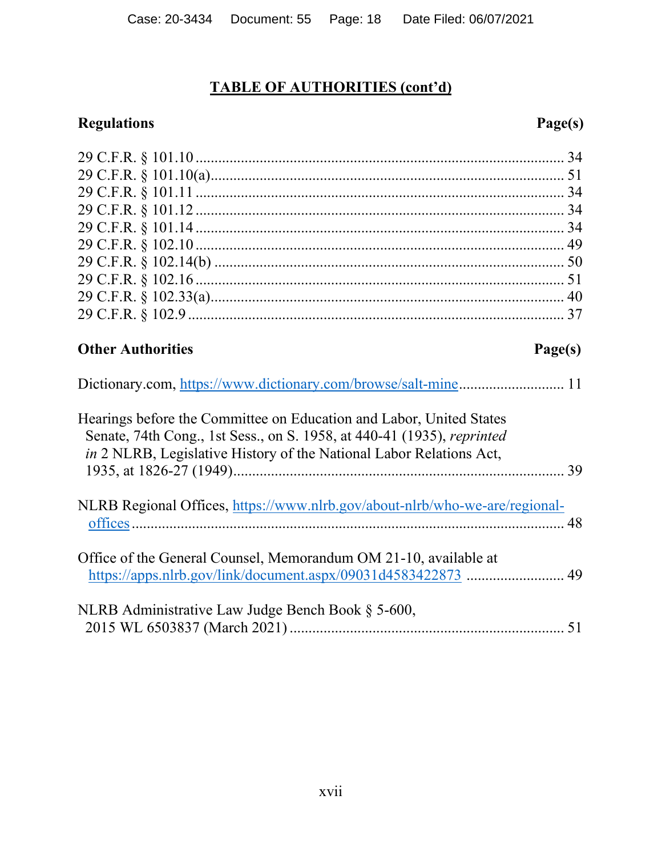# **Regulations Page(s)**

| <b>Other Authorities</b>                                                                                                                      | Page(s) |
|-----------------------------------------------------------------------------------------------------------------------------------------------|---------|
|                                                                                                                                               |         |
| Hearings before the Committee on Education and Labor, United States<br>Senate, 74th Cong., 1st Sess., on S. 1958, at 440-41 (1935), reprinted |         |
| in 2 NLRB, Legislative History of the National Labor Relations Act,                                                                           |         |
| NLRB Regional Offices, https://www.nlrb.gov/about-nlrb/who-we-are/regional-                                                                   |         |
|                                                                                                                                               |         |
| Office of the General Counsel, Memorandum OM 21-10, available at                                                                              |         |
| NLRB Administrative Law Judge Bench Book § 5-600,                                                                                             |         |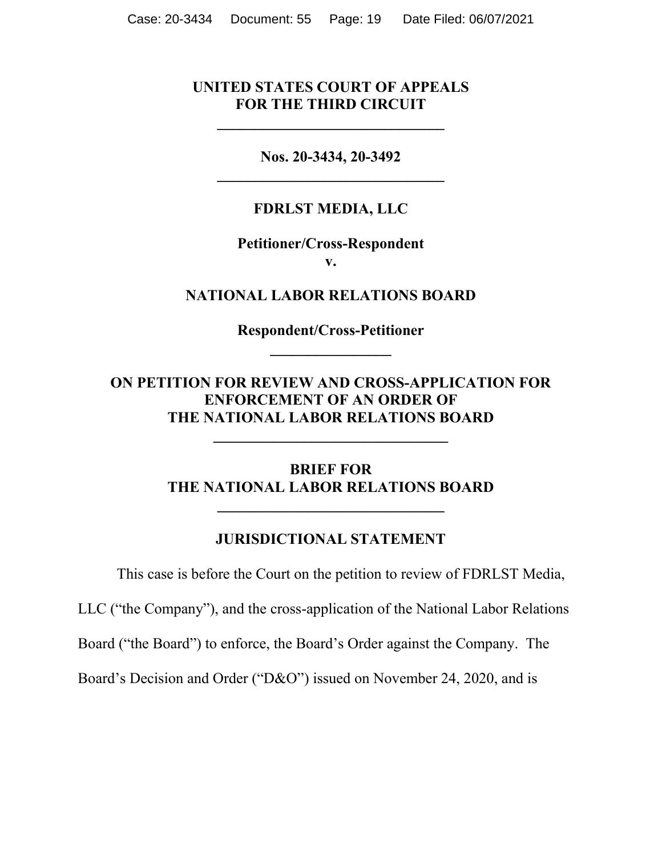### **UNITED STATES COURT OF APPEALS FOR THE THIRD CIRCUIT**

**\_\_\_\_\_\_\_\_\_\_\_\_\_\_\_\_\_\_\_\_\_\_\_\_\_\_\_\_\_\_**

**Nos. 20-3434, 20-3492 \_\_\_\_\_\_\_\_\_\_\_\_\_\_\_\_\_\_\_\_\_\_\_\_\_\_\_\_\_\_**

### **FDRLST MEDIA, LLC**

### **Petitioner/Cross-Respondent v.**

**NATIONAL LABOR RELATIONS BOARD**

**Respondent/Cross-Petitioner \_\_\_\_\_\_\_\_\_\_\_\_\_\_\_\_**

**ON PETITION FOR REVIEW AND CROSS-APPLICATION FOR ENFORCEMENT OF AN ORDER OF THE NATIONAL LABOR RELATIONS BOARD**

**\_\_\_\_\_\_\_\_\_\_\_\_\_\_\_\_\_\_\_\_\_\_\_\_\_\_\_\_\_\_\_**

### **BRIEF FOR THE NATIONAL LABOR RELATIONS BOARD**

**\_\_\_\_\_\_\_\_\_\_\_\_\_\_\_\_\_\_\_\_\_\_\_\_\_\_\_\_\_\_**

#### **JURISDICTIONAL STATEMENT**

This case is before the Court on the petition to review of FDRLST Media,

LLC ("the Company"), and the cross-application of the National Labor Relations

Board ("the Board") to enforce, the Board's Order against the Company. The

Board's Decision and Order ("D&O") issued on November 24, 2020, and is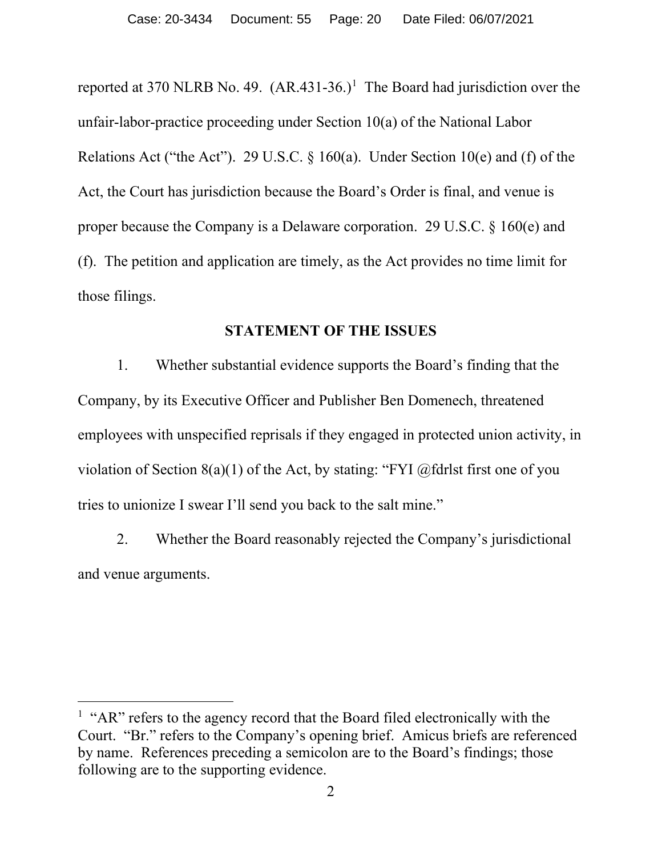reported at 370 NLRB No. 49.  $(AR.431-36.)$  $(AR.431-36.)$  $(AR.431-36.)$ <sup>1</sup> The Board had jurisdiction over the unfair-labor-practice proceeding under Section 10(a) of the National Labor Relations Act ("the Act"). 29 U.S.C.  $\S$  160(a). Under Section 10(e) and (f) of the Act, the Court has jurisdiction because the Board's Order is final, and venue is proper because the Company is a Delaware corporation. 29 U.S.C. § 160(e) and (f). The petition and application are timely, as the Act provides no time limit for those filings.

#### **STATEMENT OF THE ISSUES**

1. Whether substantial evidence supports the Board's finding that the Company, by its Executive Officer and Publisher Ben Domenech, threatened employees with unspecified reprisals if they engaged in protected union activity, in violation of Section 8(a)(1) of the Act, by stating: "FYI  $@$  fdrlst first one of you tries to unionize I swear I'll send you back to the salt mine."

2. Whether the Board reasonably rejected the Company's jurisdictional and venue arguments.

<span id="page-19-0"></span><sup>&</sup>lt;sup>1</sup> "AR" refers to the agency record that the Board filed electronically with the Court. "Br." refers to the Company's opening brief. Amicus briefs are referenced by name. References preceding a semicolon are to the Board's findings; those following are to the supporting evidence.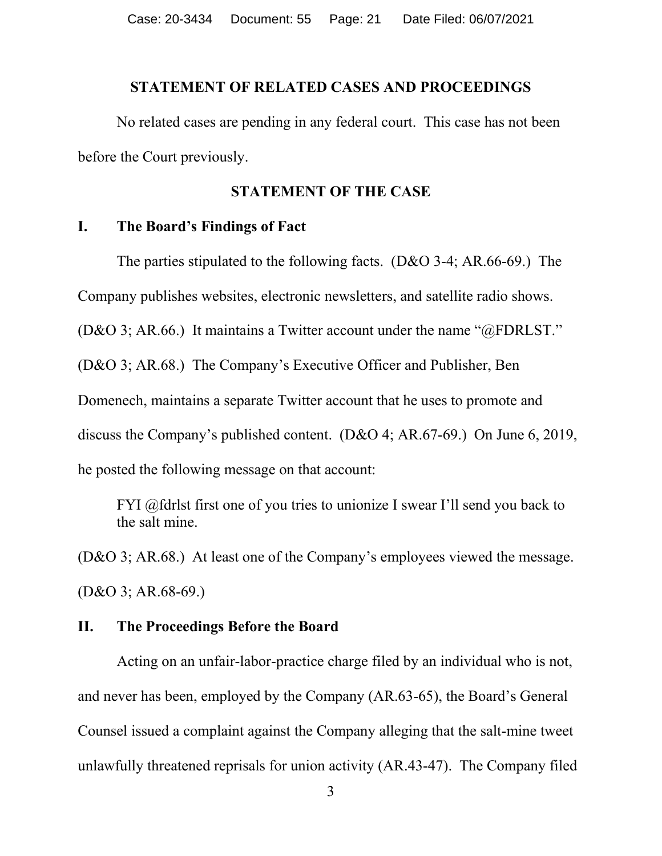#### **STATEMENT OF RELATED CASES AND PROCEEDINGS**

No related cases are pending in any federal court. This case has not been before the Court previously.

#### **STATEMENT OF THE CASE**

#### **I. The Board's Findings of Fact**

The parties stipulated to the following facts. (D&O 3-4; AR.66-69.) The

Company publishes websites, electronic newsletters, and satellite radio shows.

(D&O 3; AR.66.) It maintains a Twitter account under the name "@FDRLST."

(D&O 3; AR.68.) The Company's Executive Officer and Publisher, Ben

Domenech, maintains a separate Twitter account that he uses to promote and

discuss the Company's published content. (D&O 4; AR.67-69.) On June 6, 2019,

he posted the following message on that account:

FYI @fdrlst first one of you tries to unionize I swear I'll send you back to the salt mine.

(D&O 3; AR.68.) At least one of the Company's employees viewed the message. (D&O 3; AR.68-69.)

#### **II. The Proceedings Before the Board**

Acting on an unfair-labor-practice charge filed by an individual who is not, and never has been, employed by the Company (AR.63-65), the Board's General Counsel issued a complaint against the Company alleging that the salt-mine tweet unlawfully threatened reprisals for union activity (AR.43-47). The Company filed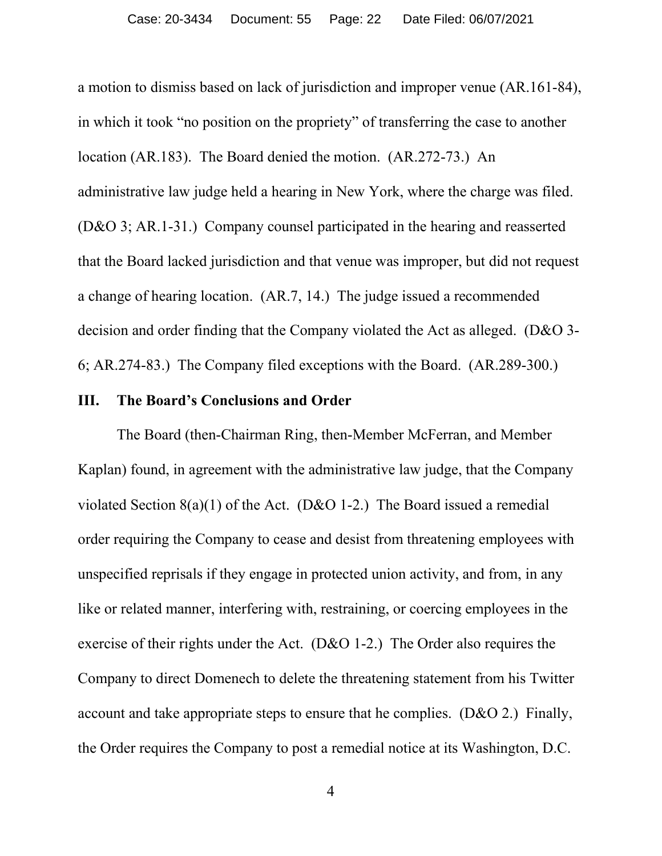a motion to dismiss based on lack of jurisdiction and improper venue (AR.161-84), in which it took "no position on the propriety" of transferring the case to another location (AR.183). The Board denied the motion. (AR.272-73.) An administrative law judge held a hearing in New York, where the charge was filed. (D&O 3; AR.1-31.) Company counsel participated in the hearing and reasserted that the Board lacked jurisdiction and that venue was improper, but did not request a change of hearing location. (AR.7, 14.) The judge issued a recommended decision and order finding that the Company violated the Act as alleged. (D&O 3- 6; AR.274-83.) The Company filed exceptions with the Board. (AR.289-300.)

### **III. The Board's Conclusions and Order**

The Board (then-Chairman Ring, then-Member McFerran, and Member Kaplan) found, in agreement with the administrative law judge, that the Company violated Section  $8(a)(1)$  of the Act. (D&O 1-2.) The Board issued a remedial order requiring the Company to cease and desist from threatening employees with unspecified reprisals if they engage in protected union activity, and from, in any like or related manner, interfering with, restraining, or coercing employees in the exercise of their rights under the Act. (D&O 1-2.) The Order also requires the Company to direct Domenech to delete the threatening statement from his Twitter account and take appropriate steps to ensure that he complies. (D&O 2.) Finally, the Order requires the Company to post a remedial notice at its Washington, D.C.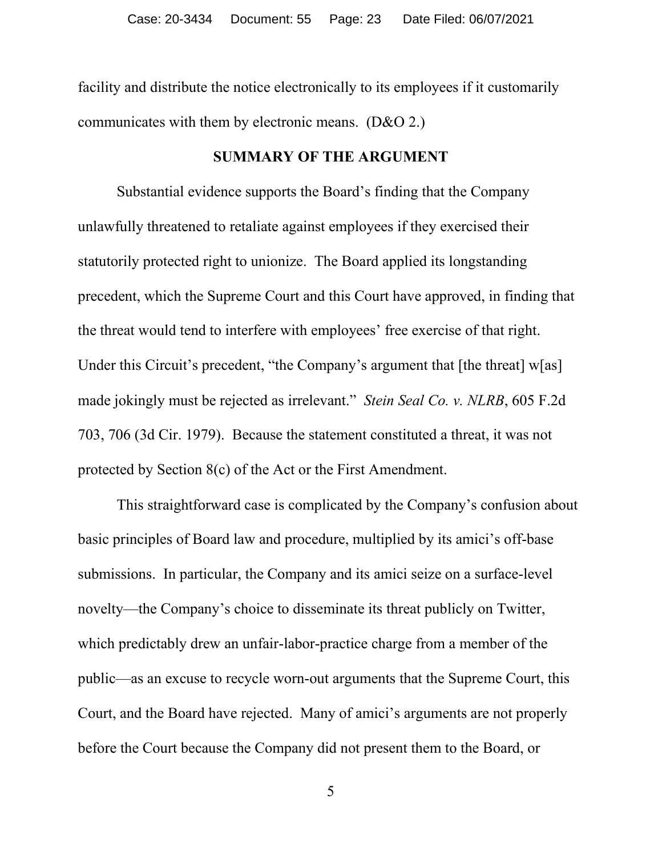facility and distribute the notice electronically to its employees if it customarily communicates with them by electronic means. (D&O 2.)

### **SUMMARY OF THE ARGUMENT**

Substantial evidence supports the Board's finding that the Company unlawfully threatened to retaliate against employees if they exercised their statutorily protected right to unionize. The Board applied its longstanding precedent, which the Supreme Court and this Court have approved, in finding that the threat would tend to interfere with employees' free exercise of that right. Under this Circuit's precedent, "the Company's argument that [the threat] w[as] made jokingly must be rejected as irrelevant." *Stein Seal Co. v. NLRB*, 605 F.2d 703, 706 (3d Cir. 1979). Because the statement constituted a threat, it was not protected by Section 8(c) of the Act or the First Amendment.

This straightforward case is complicated by the Company's confusion about basic principles of Board law and procedure, multiplied by its amici's off-base submissions. In particular, the Company and its amici seize on a surface-level novelty—the Company's choice to disseminate its threat publicly on Twitter, which predictably drew an unfair-labor-practice charge from a member of the public—as an excuse to recycle worn-out arguments that the Supreme Court, this Court, and the Board have rejected. Many of amici's arguments are not properly before the Court because the Company did not present them to the Board, or

5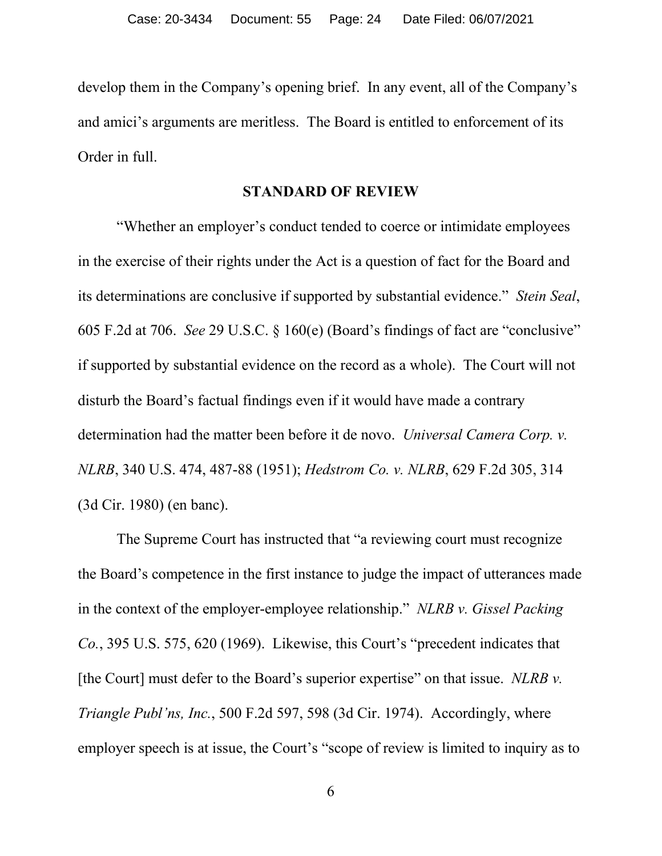develop them in the Company's opening brief. In any event, all of the Company's and amici's arguments are meritless. The Board is entitled to enforcement of its Order in full.

### **STANDARD OF REVIEW**

"Whether an employer's conduct tended to coerce or intimidate employees in the exercise of their rights under the Act is a question of fact for the Board and its determinations are conclusive if supported by substantial evidence." *Stein Seal*, 605 F.2d at 706. *See* 29 U.S.C. § 160(e) (Board's findings of fact are "conclusive" if supported by substantial evidence on the record as a whole). The Court will not disturb the Board's factual findings even if it would have made a contrary determination had the matter been before it de novo. *Universal Camera Corp. v. NLRB*, 340 U.S. 474, 487-88 (1951); *Hedstrom Co. v. NLRB*, 629 F.2d 305, 314 (3d Cir. 1980) (en banc).

The Supreme Court has instructed that "a reviewing court must recognize the Board's competence in the first instance to judge the impact of utterances made in the context of the employer-employee relationship." *NLRB v. Gissel Packing Co.*, 395 U.S. 575, 620 (1969). Likewise, this Court's "precedent indicates that [the Court] must defer to the Board's superior expertise" on that issue. *NLRB v. Triangle Publ'ns, Inc.*, 500 F.2d 597, 598 (3d Cir. 1974). Accordingly, where employer speech is at issue, the Court's "scope of review is limited to inquiry as to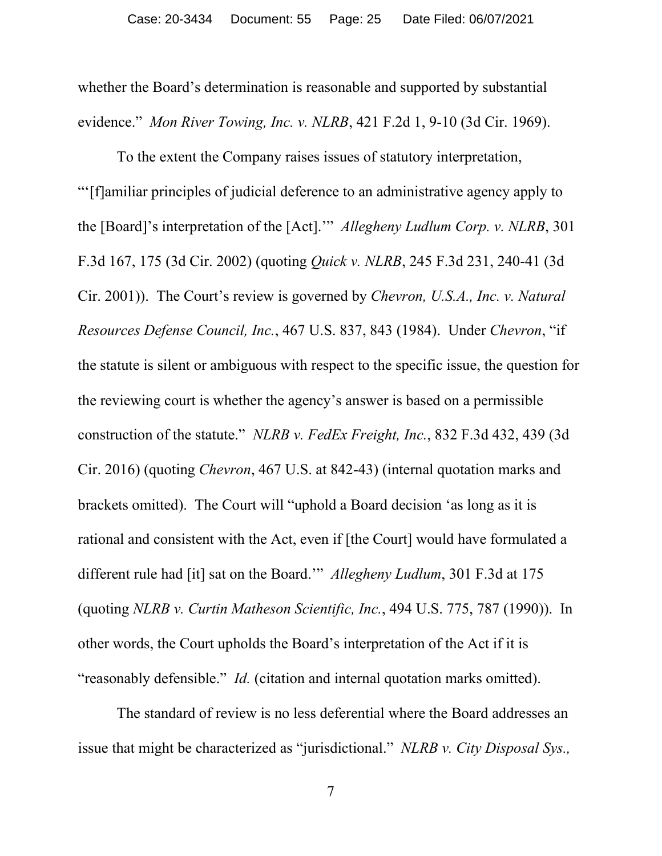whether the Board's determination is reasonable and supported by substantial evidence." *Mon River Towing, Inc. v. NLRB*, 421 F.2d 1, 9-10 (3d Cir. 1969).

To the extent the Company raises issues of statutory interpretation, "'[f]amiliar principles of judicial deference to an administrative agency apply to the [Board]'s interpretation of the [Act].'" *Allegheny Ludlum Corp. v. NLRB*, 301 F.3d 167, 175 (3d Cir. 2002) (quoting *Quick v. NLRB*, 245 F.3d 231, 240-41 (3d Cir. 2001)). The Court's review is governed by *Chevron, U.S.A., Inc. v. Natural Resources Defense Council, Inc.*, 467 U.S. 837, 843 (1984). Under *Chevron*, "if the statute is silent or ambiguous with respect to the specific issue, the question for the reviewing court is whether the agency's answer is based on a permissible construction of the statute." *NLRB v. FedEx Freight, Inc.*, 832 F.3d 432, 439 (3d Cir. 2016) (quoting *Chevron*, 467 U.S. at 842-43) (internal quotation marks and brackets omitted).The Court will "uphold a Board decision 'as long as it is rational and consistent with the Act, even if [the Court] would have formulated a different rule had [it] sat on the Board.'" *Allegheny Ludlum*, 301 F.3d at 175 (quoting *NLRB v. Curtin Matheson Scientific, Inc.*, 494 U.S. 775, 787 (1990)). In other words, the Court upholds the Board's interpretation of the Act if it is "reasonably defensible." *Id.* (citation and internal quotation marks omitted).

The standard of review is no less deferential where the Board addresses an issue that might be characterized as "jurisdictional." *NLRB v. City Disposal Sys.,*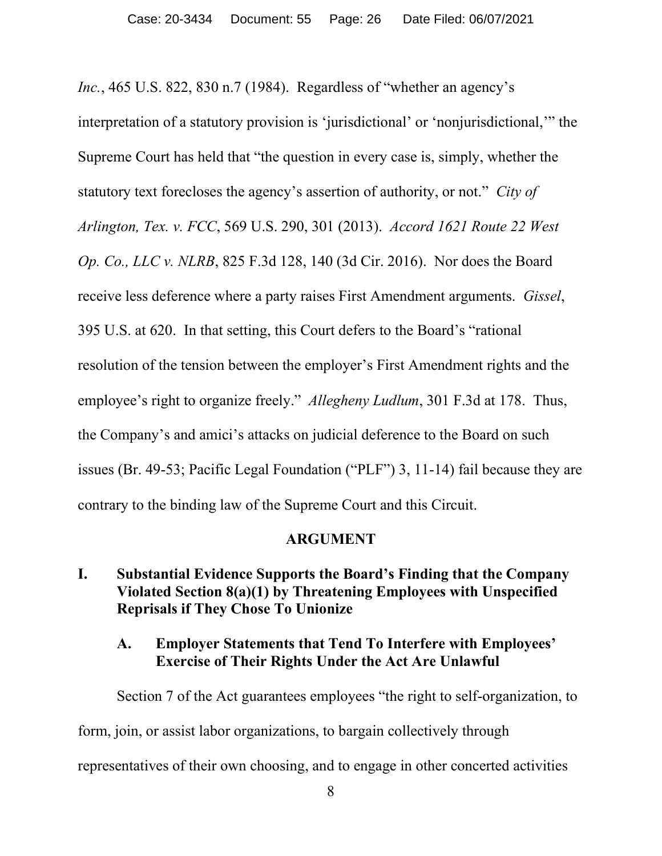*Inc.*, 465 U.S. 822, 830 n.7 (1984). Regardless of "whether an agency's interpretation of a statutory provision is 'jurisdictional' or 'nonjurisdictional,'" the Supreme Court has held that "the question in every case is, simply, whether the statutory text forecloses the agency's assertion of authority, or not." *City of Arlington, Tex. v. FCC*, 569 U.S. 290, 301 (2013). *Accord 1621 Route 22 West Op. Co., LLC v. NLRB*, 825 F.3d 128, 140 (3d Cir. 2016). Nor does the Board receive less deference where a party raises First Amendment arguments. *Gissel*, 395 U.S. at 620. In that setting, this Court defers to the Board's "rational resolution of the tension between the employer's First Amendment rights and the employee's right to organize freely." *Allegheny Ludlum*, 301 F.3d at 178. Thus, the Company's and amici's attacks on judicial deference to the Board on such issues (Br. 49-53; Pacific Legal Foundation ("PLF") 3, 11-14) fail because they are contrary to the binding law of the Supreme Court and this Circuit.

#### **ARGUMENT**

### **I. Substantial Evidence Supports the Board's Finding that the Company Violated Section 8(a)(1) by Threatening Employees with Unspecified Reprisals if They Chose To Unionize**

### **A. Employer Statements that Tend To Interfere with Employees' Exercise of Their Rights Under the Act Are Unlawful**

Section 7 of the Act guarantees employees "the right to self-organization, to form, join, or assist labor organizations, to bargain collectively through representatives of their own choosing, and to engage in other concerted activities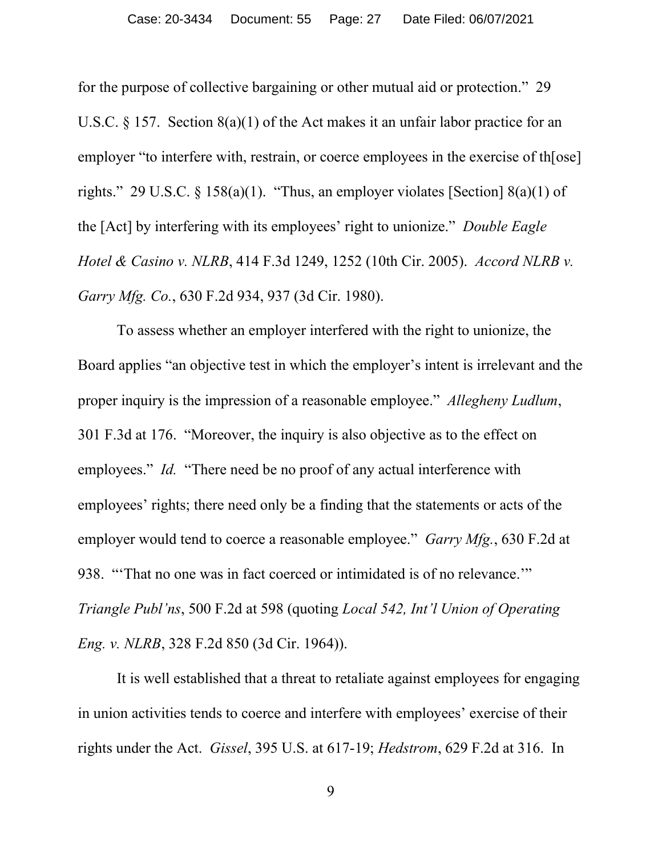for the purpose of collective bargaining or other mutual aid or protection." 29 U.S.C. § 157. Section 8(a)(1) of the Act makes it an unfair labor practice for an employer "to interfere with, restrain, or coerce employees in the exercise of th[ose] rights." 29 U.S.C.  $\S$  158(a)(1). "Thus, an employer violates [Section] 8(a)(1) of the [Act] by interfering with its employees' right to unionize." *Double Eagle Hotel & Casino v. NLRB*, 414 F.3d 1249, 1252 (10th Cir. 2005). *Accord NLRB v. Garry Mfg. Co.*, 630 F.2d 934, 937 (3d Cir. 1980).

To assess whether an employer interfered with the right to unionize, the Board applies "an objective test in which the employer's intent is irrelevant and the proper inquiry is the impression of a reasonable employee." *Allegheny Ludlum*, 301 F.3d at 176. "Moreover, the inquiry is also objective as to the effect on employees." *Id.* "There need be no proof of any actual interference with employees' rights; there need only be a finding that the statements or acts of the employer would tend to coerce a reasonable employee." *Garry Mfg.*, 630 F.2d at 938. "'That no one was in fact coerced or intimidated is of no relevance.'" *Triangle Publ'ns*, 500 F.2d at 598 (quoting *Local 542, Int'l Union of Operating Eng. v. NLRB*, 328 F.2d 850 (3d Cir. 1964)).

It is well established that a threat to retaliate against employees for engaging in union activities tends to coerce and interfere with employees' exercise of their rights under the Act. *Gissel*, 395 U.S. at 617-19; *Hedstrom*, 629 F.2d at 316. In

9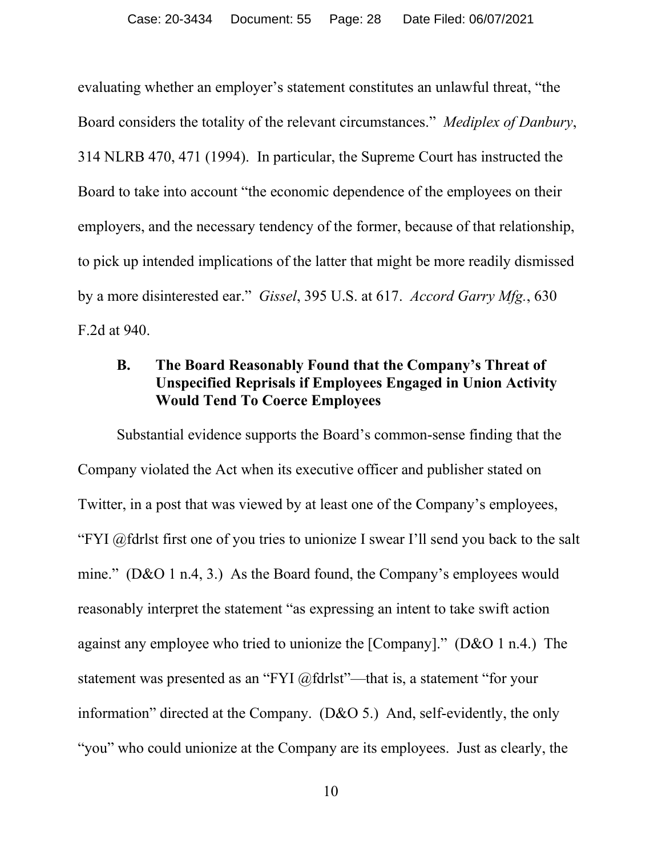evaluating whether an employer's statement constitutes an unlawful threat, "the Board considers the totality of the relevant circumstances." *Mediplex of Danbury*, 314 NLRB 470, 471 (1994). In particular, the Supreme Court has instructed the Board to take into account "the economic dependence of the employees on their employers, and the necessary tendency of the former, because of that relationship, to pick up intended implications of the latter that might be more readily dismissed by a more disinterested ear." *Gissel*, 395 U.S. at 617. *Accord Garry Mfg.*, 630 F.2d at 940.

### **B. The Board Reasonably Found that the Company's Threat of Unspecified Reprisals if Employees Engaged in Union Activity Would Tend To Coerce Employees**

Substantial evidence supports the Board's common-sense finding that the Company violated the Act when its executive officer and publisher stated on Twitter, in a post that was viewed by at least one of the Company's employees, "FYI @fdrlst first one of you tries to unionize I swear I'll send you back to the salt mine." (D&O 1 n.4, 3.) As the Board found, the Company's employees would reasonably interpret the statement "as expressing an intent to take swift action against any employee who tried to unionize the [Company]." (D&O 1 n.4.) The statement was presented as an "FYI @fdrlst"—that is, a statement "for your information" directed at the Company. (D&O 5.) And, self-evidently, the only "you" who could unionize at the Company are its employees. Just as clearly, the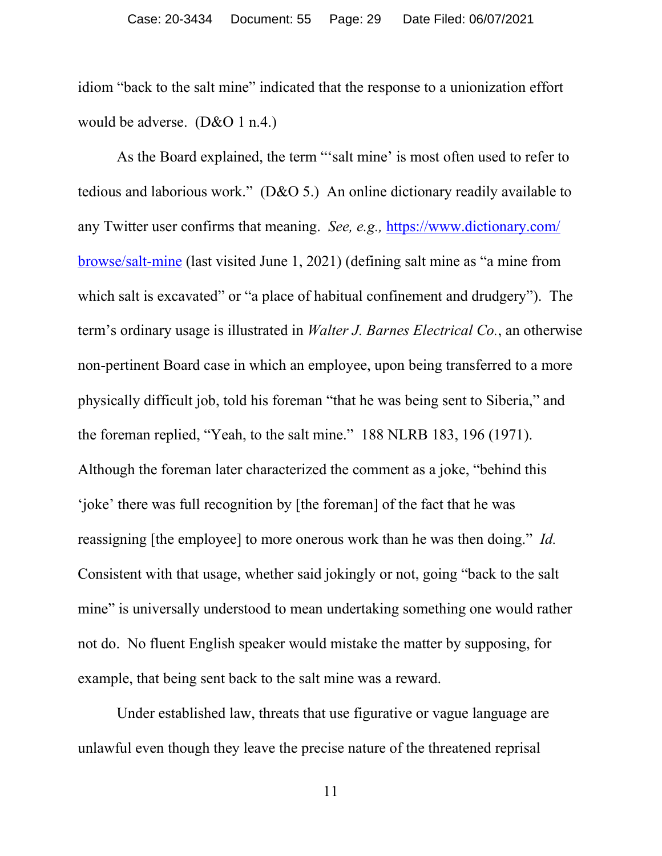idiom "back to the salt mine" indicated that the response to a unionization effort would be adverse. (D&O 1 n.4.)

As the Board explained, the term "'salt mine' is most often used to refer to tedious and laborious work." (D&O 5.) An online dictionary readily available to any Twitter user confirms that meaning. *See, e.g.,* [https://www.dictionary.com/](https://www.dictionary.com/%E2%80%8Cbrowse/%E2%80%8C%E2%80%8Csalt-mine) [browse/salt-mine](https://www.dictionary.com/%E2%80%8Cbrowse/%E2%80%8C%E2%80%8Csalt-mine) (last visited June 1, 2021) (defining salt mine as "a mine from which salt is excavated" or "a place of habitual confinement and drudgery"). The term's ordinary usage is illustrated in *Walter J. Barnes Electrical Co.*, an otherwise non-pertinent Board case in which an employee, upon being transferred to a more physically difficult job, told his foreman "that he was being sent to Siberia," and the foreman replied, "Yeah, to the salt mine." 188 NLRB 183, 196 (1971). Although the foreman later characterized the comment as a joke, "behind this 'joke' there was full recognition by [the foreman] of the fact that he was reassigning [the employee] to more onerous work than he was then doing." *Id.* Consistent with that usage, whether said jokingly or not, going "back to the salt mine" is universally understood to mean undertaking something one would rather not do. No fluent English speaker would mistake the matter by supposing, for example, that being sent back to the salt mine was a reward.

Under established law, threats that use figurative or vague language are unlawful even though they leave the precise nature of the threatened reprisal

11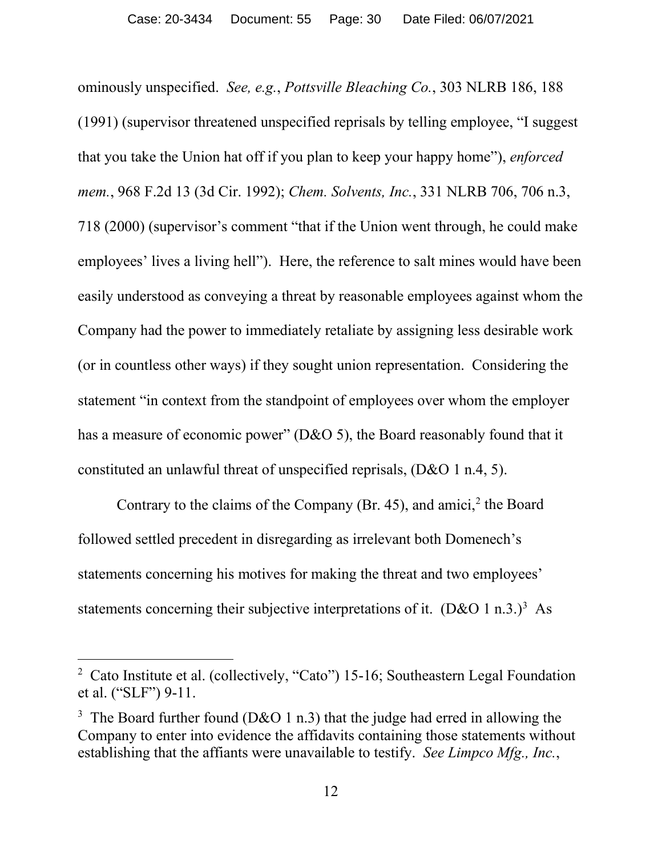ominously unspecified. *See, e.g.*, *Pottsville Bleaching Co.*, 303 NLRB 186, 188 (1991) (supervisor threatened unspecified reprisals by telling employee, "I suggest that you take the Union hat off if you plan to keep your happy home"), *enforced mem.*, 968 F.2d 13 (3d Cir. 1992); *Chem. Solvents, Inc.*, 331 NLRB 706, 706 n.3, 718 (2000) (supervisor's comment "that if the Union went through, he could make employees' lives a living hell"). Here, the reference to salt mines would have been easily understood as conveying a threat by reasonable employees against whom the Company had the power to immediately retaliate by assigning less desirable work (or in countless other ways) if they sought union representation. Considering the statement "in context from the standpoint of employees over whom the employer has a measure of economic power" (D&O 5), the Board reasonably found that it constituted an unlawful threat of unspecified reprisals, (D&O 1 n.4, 5).

Contrary to the claims of the Company (Br. 45), and amici, [2](#page-29-0) the Board followed settled precedent in disregarding as irrelevant both Domenech's statements concerning his motives for making the threat and two employees' statements concerning their subjective interpretations of it.  $(D&O 1n.3.)^3$  $(D&O 1n.3.)^3$  $(D&O 1n.3.)^3$  As

<span id="page-29-0"></span><sup>&</sup>lt;sup>2</sup> Cato Institute et al. (collectively, "Cato") 15-16; Southeastern Legal Foundation et al. ("SLF") 9-11.

<span id="page-29-1"></span><sup>&</sup>lt;sup>3</sup> The Board further found (D&O 1 n.3) that the judge had erred in allowing the Company to enter into evidence the affidavits containing those statements without establishing that the affiants were unavailable to testify. *See Limpco Mfg., Inc.*,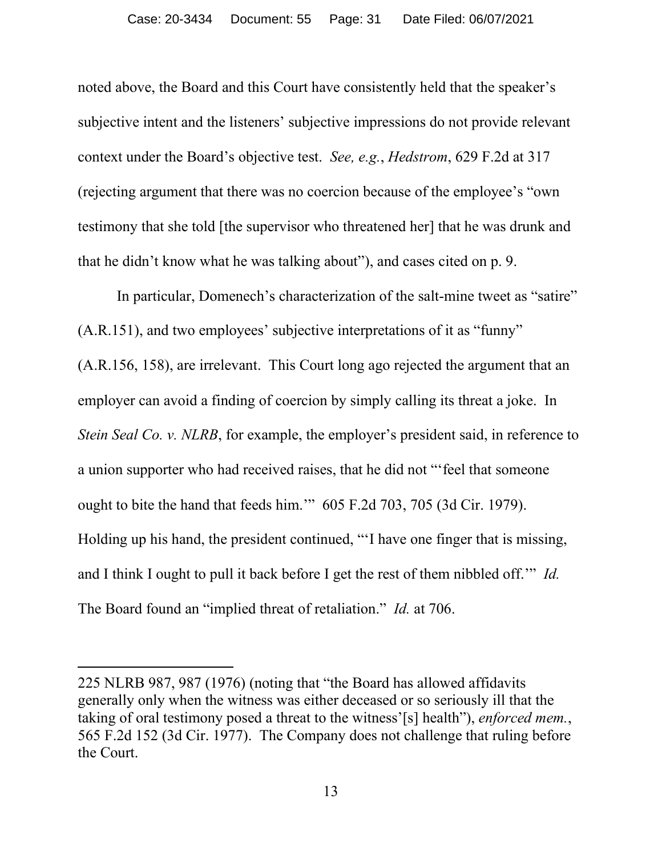noted above, the Board and this Court have consistently held that the speaker's subjective intent and the listeners' subjective impressions do not provide relevant context under the Board's objective test. *See, e.g.*, *Hedstrom*, 629 F.2d at 317 (rejecting argument that there was no coercion because of the employee's "own testimony that she told [the supervisor who threatened her] that he was drunk and that he didn't know what he was talking about"), and cases cited on p. 9.

In particular, Domenech's characterization of the salt-mine tweet as "satire" (A.R.151), and two employees' subjective interpretations of it as "funny" (A.R.156, 158), are irrelevant. This Court long ago rejected the argument that an employer can avoid a finding of coercion by simply calling its threat a joke. In *Stein Seal Co. v. NLRB*, for example, the employer's president said, in reference to a union supporter who had received raises, that he did not "'feel that someone ought to bite the hand that feeds him.'" 605 F.2d 703, 705 (3d Cir. 1979). Holding up his hand, the president continued, "'I have one finger that is missing, and I think I ought to pull it back before I get the rest of them nibbled off.'" *Id.* The Board found an "implied threat of retaliation." *Id.* at 706.

<sup>225</sup> NLRB 987, 987 (1976) (noting that "the Board has allowed affidavits generally only when the witness was either deceased or so seriously ill that the taking of oral testimony posed a threat to the witness'[s] health"), *enforced mem.*, 565 F.2d 152 (3d Cir. 1977). The Company does not challenge that ruling before the Court.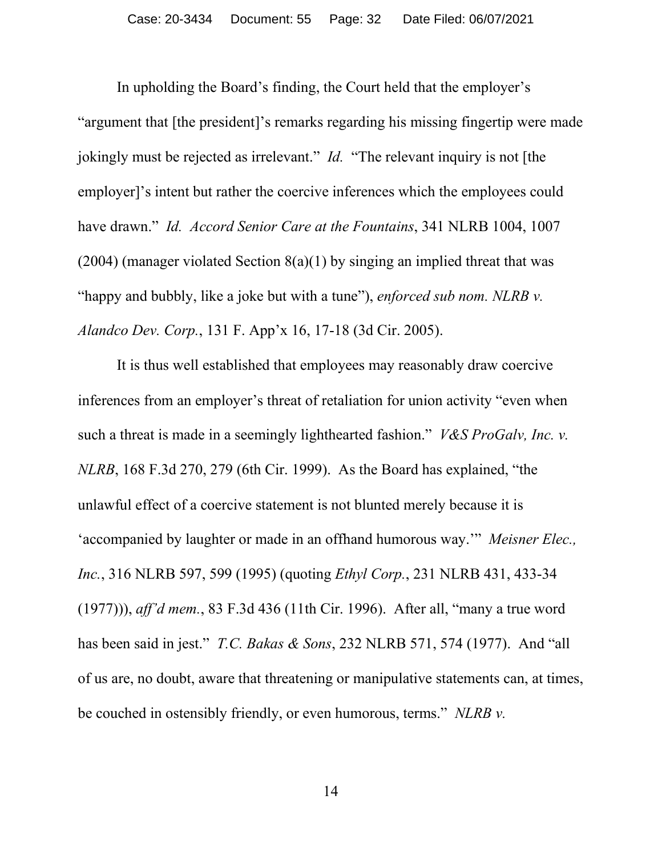In upholding the Board's finding, the Court held that the employer's "argument that [the president]'s remarks regarding his missing fingertip were made jokingly must be rejected as irrelevant." *Id.* "The relevant inquiry is not [the employer]'s intent but rather the coercive inferences which the employees could have drawn." *Id. Accord Senior Care at the Fountains*, 341 NLRB 1004, 1007 (2004) (manager violated Section 8(a)(1) by singing an implied threat that was "happy and bubbly, like a joke but with a tune"), *enforced sub nom. NLRB v. Alandco Dev. Corp.*, 131 F. App'x 16, 17-18 (3d Cir. 2005).

It is thus well established that employees may reasonably draw coercive inferences from an employer's threat of retaliation for union activity "even when such a threat is made in a seemingly lighthearted fashion." *V&S ProGalv, Inc. v. NLRB*, 168 F.3d 270, 279 (6th Cir. 1999). As the Board has explained, "the unlawful effect of a coercive statement is not blunted merely because it is 'accompanied by laughter or made in an offhand humorous way.'" *Meisner Elec., Inc.*, 316 NLRB 597, 599 (1995) (quoting *Ethyl Corp.*, 231 NLRB 431, 433-34 (1977))), *aff'd mem.*, 83 F.3d 436 (11th Cir. 1996). After all, "many a true word has been said in jest." *T.C. Bakas & Sons*, 232 NLRB 571, 574 (1977). And "all of us are, no doubt, aware that threatening or manipulative statements can, at times, be couched in ostensibly friendly, or even humorous, terms." *NLRB v.*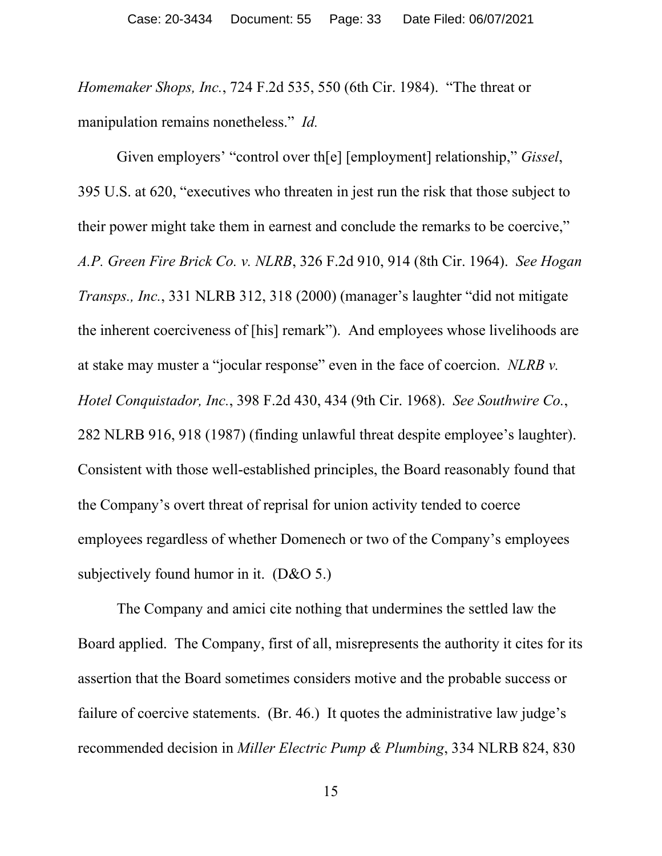*Homemaker Shops, Inc.*, 724 F.2d 535, 550 (6th Cir. 1984). "The threat or manipulation remains nonetheless." *Id.*

Given employers' "control over th[e] [employment] relationship," *Gissel*, 395 U.S. at 620, "executives who threaten in jest run the risk that those subject to their power might take them in earnest and conclude the remarks to be coercive," *A.P. Green Fire Brick Co. v. NLRB*, 326 F.2d 910, 914 (8th Cir. 1964). *See Hogan Transps., Inc.*, 331 NLRB 312, 318 (2000) (manager's laughter "did not mitigate the inherent coerciveness of [his] remark"). And employees whose livelihoods are at stake may muster a "jocular response" even in the face of coercion. *NLRB v. Hotel Conquistador, Inc.*, 398 F.2d 430, 434 (9th Cir. 1968). *See Southwire Co.*, 282 NLRB 916, 918 (1987) (finding unlawful threat despite employee's laughter). Consistent with those well-established principles, the Board reasonably found that the Company's overt threat of reprisal for union activity tended to coerce employees regardless of whether Domenech or two of the Company's employees subjectively found humor in it. (D&O 5.)

The Company and amici cite nothing that undermines the settled law the Board applied. The Company, first of all, misrepresents the authority it cites for its assertion that the Board sometimes considers motive and the probable success or failure of coercive statements. (Br. 46.) It quotes the administrative law judge's recommended decision in *Miller Electric Pump & Plumbing*, 334 NLRB 824, 830

15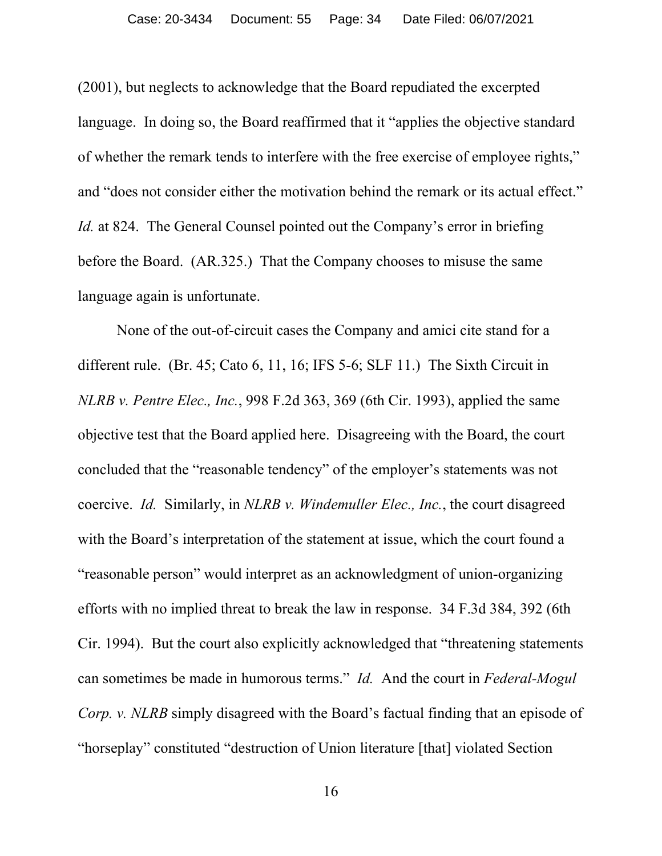(2001), but neglects to acknowledge that the Board repudiated the excerpted language. In doing so, the Board reaffirmed that it "applies the objective standard of whether the remark tends to interfere with the free exercise of employee rights," and "does not consider either the motivation behind the remark or its actual effect." *Id.* at 824. The General Counsel pointed out the Company's error in briefing before the Board. (AR.325.) That the Company chooses to misuse the same language again is unfortunate.

None of the out-of-circuit cases the Company and amici cite stand for a different rule. (Br. 45; Cato 6, 11, 16; IFS 5-6; SLF 11.) The Sixth Circuit in *NLRB v. Pentre Elec., Inc.*, 998 F.2d 363, 369 (6th Cir. 1993), applied the same objective test that the Board applied here. Disagreeing with the Board, the court concluded that the "reasonable tendency" of the employer's statements was not coercive. *Id.* Similarly, in *NLRB v. Windemuller Elec., Inc.*, the court disagreed with the Board's interpretation of the statement at issue, which the court found a "reasonable person" would interpret as an acknowledgment of union-organizing efforts with no implied threat to break the law in response. 34 F.3d 384, 392 (6th Cir. 1994). But the court also explicitly acknowledged that "threatening statements can sometimes be made in humorous terms." *Id.* And the court in *Federal-Mogul Corp. v. NLRB* simply disagreed with the Board's factual finding that an episode of "horseplay" constituted "destruction of Union literature [that] violated Section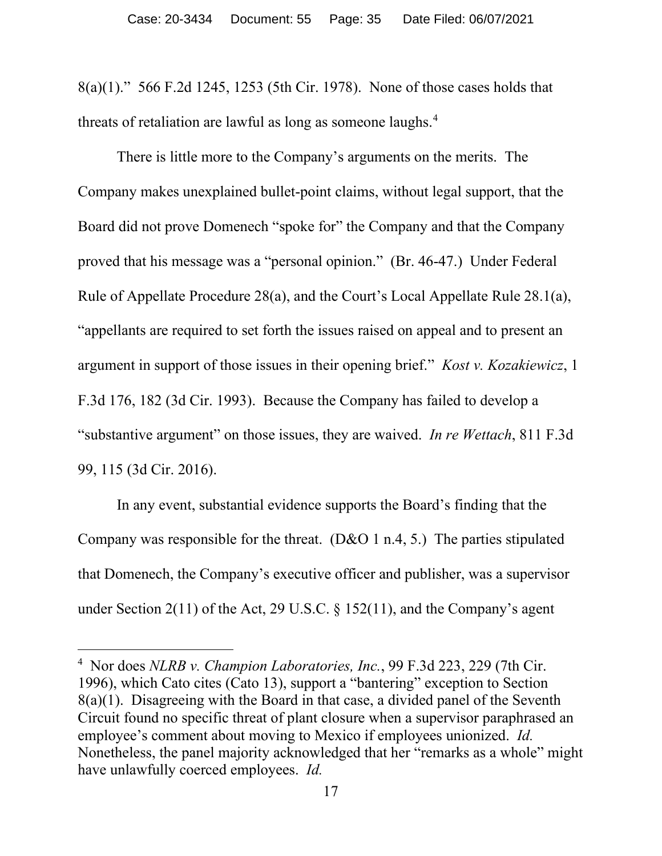8(a)(1)." 566 F.2d 1245, 1253 (5th Cir. 1978). None of those cases holds that threats of retaliation are lawful as long as someone laughs.<sup>[4](#page-34-0)</sup>

There is little more to the Company's arguments on the merits. The Company makes unexplained bullet-point claims, without legal support, that the Board did not prove Domenech "spoke for" the Company and that the Company proved that his message was a "personal opinion." (Br. 46-47.) Under Federal Rule of Appellate Procedure 28(a), and the Court's Local Appellate Rule 28.1(a), "appellants are required to set forth the issues raised on appeal and to present an argument in support of those issues in their opening brief." *Kost v. Kozakiewicz*, 1 F.3d 176, 182 (3d Cir. 1993). Because the Company has failed to develop a "substantive argument" on those issues, they are waived. *In re Wettach*, 811 F.3d 99, 115 (3d Cir. 2016).

In any event, substantial evidence supports the Board's finding that the Company was responsible for the threat. (D&O 1 n.4, 5.) The parties stipulated that Domenech, the Company's executive officer and publisher, was a supervisor under Section 2(11) of the Act, 29 U.S.C. § 152(11), and the Company's agent

<span id="page-34-0"></span><sup>4</sup> Nor does *NLRB v. Champion Laboratories, Inc.*, 99 F.3d 223, 229 (7th Cir. 1996), which Cato cites (Cato 13), support a "bantering" exception to Section 8(a)(1). Disagreeing with the Board in that case, a divided panel of the Seventh Circuit found no specific threat of plant closure when a supervisor paraphrased an employee's comment about moving to Mexico if employees unionized. *Id.* Nonetheless, the panel majority acknowledged that her "remarks as a whole" might have unlawfully coerced employees. *Id.*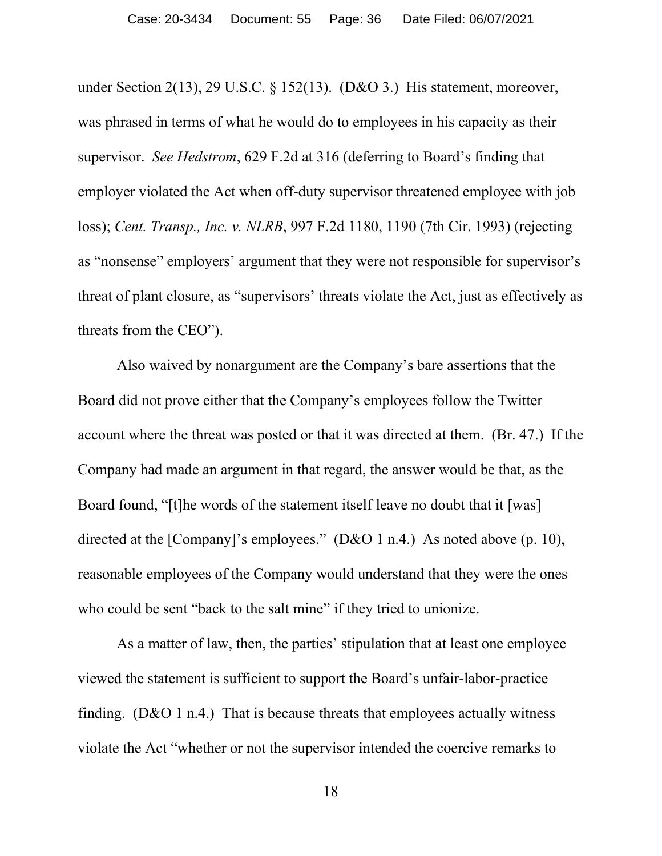under Section 2(13), 29 U.S.C. § 152(13). (D&O 3.) His statement, moreover, was phrased in terms of what he would do to employees in his capacity as their supervisor. *See Hedstrom*, 629 F.2d at 316 (deferring to Board's finding that employer violated the Act when off-duty supervisor threatened employee with job loss); *Cent. Transp., Inc. v. NLRB*, 997 F.2d 1180, 1190 (7th Cir. 1993) (rejecting as "nonsense" employers' argument that they were not responsible for supervisor's threat of plant closure, as "supervisors' threats violate the Act, just as effectively as threats from the CEO").

Also waived by nonargument are the Company's bare assertions that the Board did not prove either that the Company's employees follow the Twitter account where the threat was posted or that it was directed at them. (Br. 47.) If the Company had made an argument in that regard, the answer would be that, as the Board found, "[t]he words of the statement itself leave no doubt that it [was] directed at the [Company]'s employees." (D&O 1 n.4.) As noted above (p. 10), reasonable employees of the Company would understand that they were the ones who could be sent "back to the salt mine" if they tried to unionize.

As a matter of law, then, the parties' stipulation that at least one employee viewed the statement is sufficient to support the Board's unfair-labor-practice finding. ( $D&O1$  n.4.) That is because threats that employees actually witness violate the Act "whether or not the supervisor intended the coercive remarks to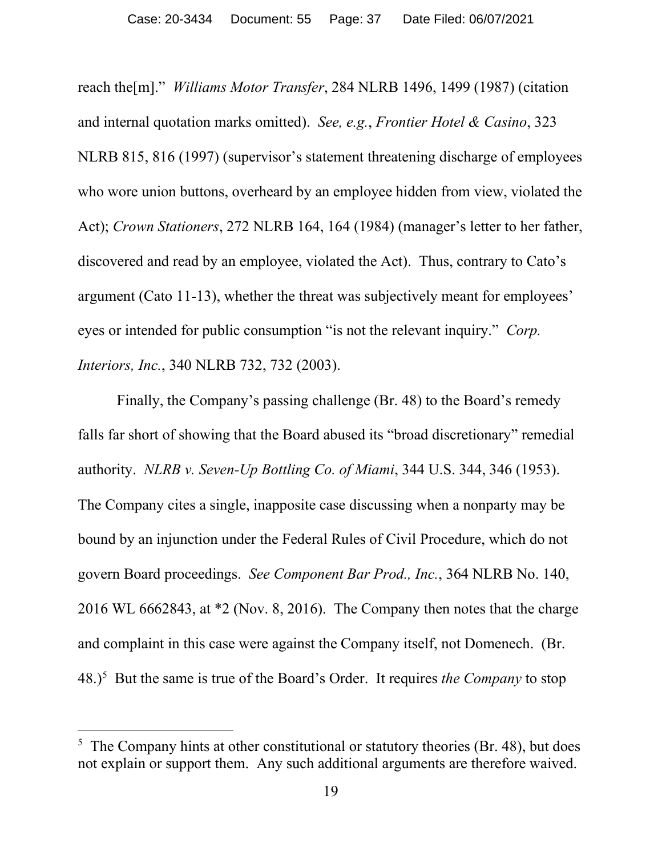reach the[m]." *Williams Motor Transfer*, 284 NLRB 1496, 1499 (1987) (citation and internal quotation marks omitted). *See, e.g.*, *Frontier Hotel & Casino*, 323 NLRB 815, 816 (1997) (supervisor's statement threatening discharge of employees who wore union buttons, overheard by an employee hidden from view, violated the Act); *Crown Stationers*, 272 NLRB 164, 164 (1984) (manager's letter to her father, discovered and read by an employee, violated the Act). Thus, contrary to Cato's argument (Cato 11-13), whether the threat was subjectively meant for employees' eyes or intended for public consumption "is not the relevant inquiry." *Corp. Interiors, Inc.*, 340 NLRB 732, 732 (2003).

Finally, the Company's passing challenge (Br. 48) to the Board's remedy falls far short of showing that the Board abused its "broad discretionary" remedial authority. *NLRB v. Seven-Up Bottling Co. of Miami*, 344 U.S. 344, 346 (1953). The Company cites a single, inapposite case discussing when a nonparty may be bound by an injunction under the Federal Rules of Civil Procedure, which do not govern Board proceedings. *See Component Bar Prod., Inc.*, 364 NLRB No. 140, 2016 WL 6662843, at \*2 (Nov. 8, 2016). The Company then notes that the charge and complaint in this case were against the Company itself, not Domenech. (Br. 48.)[5](#page-36-0) But the same is true of the Board's Order. It requires *the Company* to stop

<span id="page-36-0"></span><sup>&</sup>lt;sup>5</sup> The Company hints at other constitutional or statutory theories (Br. 48), but does not explain or support them. Any such additional arguments are therefore waived.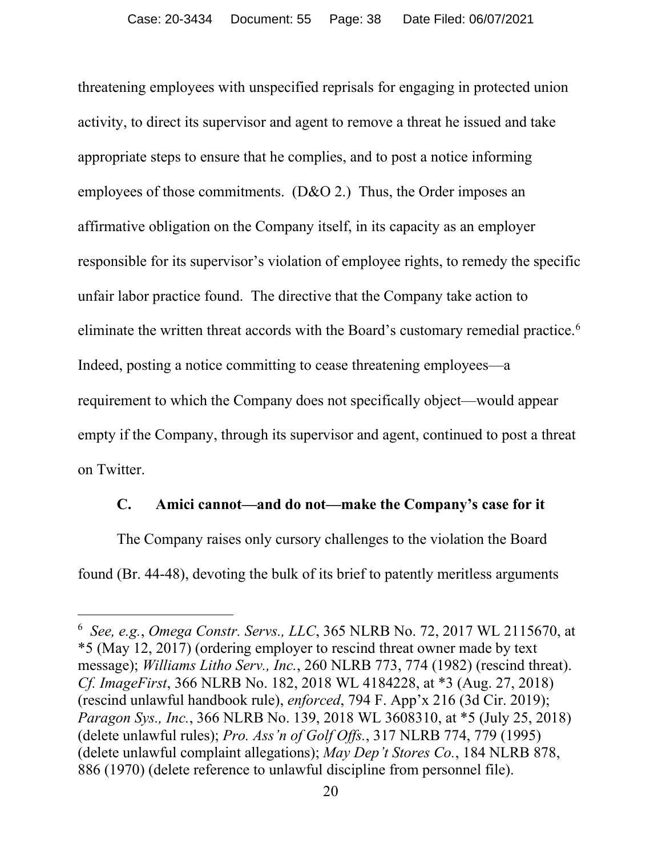threatening employees with unspecified reprisals for engaging in protected union activity, to direct its supervisor and agent to remove a threat he issued and take appropriate steps to ensure that he complies, and to post a notice informing employees of those commitments. (D&O 2.) Thus, the Order imposes an affirmative obligation on the Company itself, in its capacity as an employer responsible for its supervisor's violation of employee rights, to remedy the specific unfair labor practice found. The directive that the Company take action to eliminate the written threat accords with the Board's customary remedial practice. [6](#page-37-0) Indeed, posting a notice committing to cease threatening employees—a requirement to which the Company does not specifically object—would appear empty if the Company, through its supervisor and agent, continued to post a threat on Twitter.

## **C. Amici cannot—and do not—make the Company's case for it**

The Company raises only cursory challenges to the violation the Board found (Br. 44-48), devoting the bulk of its brief to patently meritless arguments

<span id="page-37-0"></span><sup>6</sup> *See, e.g.*, *Omega Constr. Servs., LLC*, 365 NLRB No. 72, 2017 WL 2115670, at \*5 (May 12, 2017) (ordering employer to rescind threat owner made by text message); *Williams Litho Serv., Inc.*, 260 NLRB 773, 774 (1982) (rescind threat). *Cf. ImageFirst*, 366 NLRB No. 182, 2018 WL 4184228, at \*3 (Aug. 27, 2018) (rescind unlawful handbook rule), *enforced*, 794 F. App'x 216 (3d Cir. 2019); *Paragon Sys., Inc.*, 366 NLRB No. 139, 2018 WL 3608310, at \*5 (July 25, 2018) (delete unlawful rules); *Pro. Ass'n of Golf Offs.*, 317 NLRB 774, 779 (1995) (delete unlawful complaint allegations); *May Dep't Stores Co.*, 184 NLRB 878, 886 (1970) (delete reference to unlawful discipline from personnel file).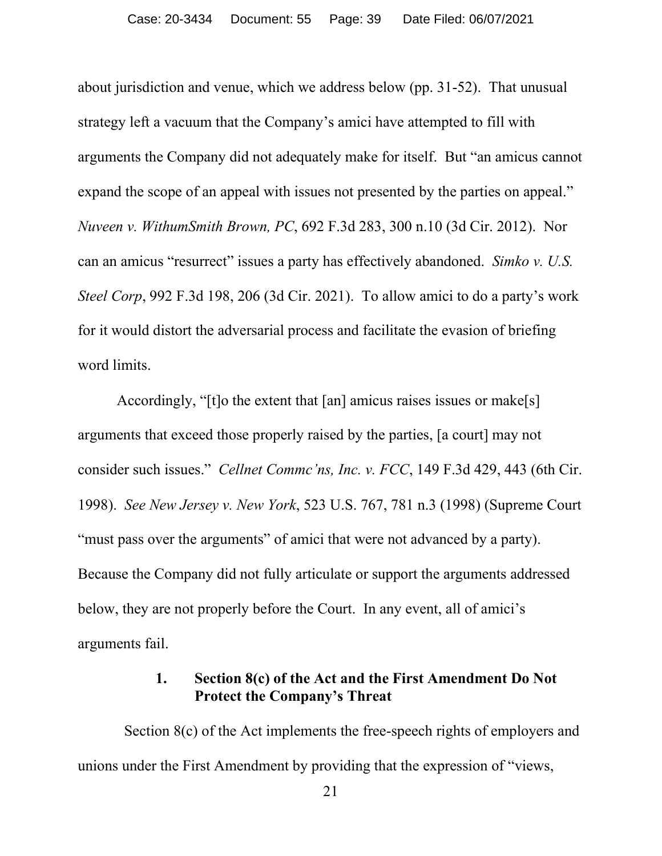about jurisdiction and venue, which we address below (pp. 31-52). That unusual strategy left a vacuum that the Company's amici have attempted to fill with arguments the Company did not adequately make for itself. But "an amicus cannot expand the scope of an appeal with issues not presented by the parties on appeal." *Nuveen v. WithumSmith Brown, PC*, 692 F.3d 283, 300 n.10 (3d Cir. 2012). Nor can an amicus "resurrect" issues a party has effectively abandoned. *Simko v. U.S. Steel Corp*, 992 F.3d 198, 206 (3d Cir. 2021). To allow amici to do a party's work for it would distort the adversarial process and facilitate the evasion of briefing word limits.

Accordingly, "[t]o the extent that [an] amicus raises issues or make[s] arguments that exceed those properly raised by the parties, [a court] may not consider such issues." *Cellnet Commc'ns, Inc. v. FCC*, 149 F.3d 429, 443 (6th Cir. 1998). *See New Jersey v. New York*, 523 U.S. 767, 781 n.3 (1998) (Supreme Court "must pass over the arguments" of amici that were not advanced by a party). Because the Company did not fully articulate or support the arguments addressed below, they are not properly before the Court. In any event, all of amici's arguments fail.

# **1. Section 8(c) of the Act and the First Amendment Do Not Protect the Company's Threat**

Section 8(c) of the Act implements the free-speech rights of employers and unions under the First Amendment by providing that the expression of "views,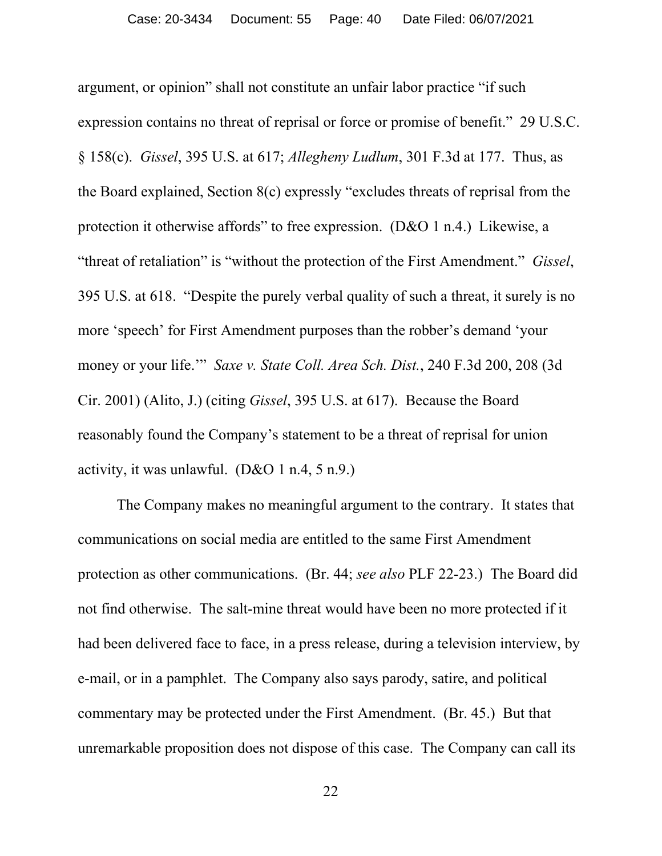argument, or opinion" shall not constitute an unfair labor practice "if such expression contains no threat of reprisal or force or promise of benefit." 29 U.S.C. § 158(c). *Gissel*, 395 U.S. at 617; *Allegheny Ludlum*, 301 F.3d at 177. Thus, as the Board explained, Section 8(c) expressly "excludes threats of reprisal from the protection it otherwise affords" to free expression. (D&O 1 n.4.) Likewise, a "threat of retaliation" is "without the protection of the First Amendment." *Gissel*, 395 U.S. at 618. "Despite the purely verbal quality of such a threat, it surely is no more 'speech' for First Amendment purposes than the robber's demand 'your money or your life.'" *Saxe v. State Coll. Area Sch. Dist.*, 240 F.3d 200, 208 (3d Cir. 2001) (Alito, J.) (citing *Gissel*, 395 U.S. at 617). Because the Board reasonably found the Company's statement to be a threat of reprisal for union activity, it was unlawful.  $(D&O 1 n.4, 5 n.9.)$ 

The Company makes no meaningful argument to the contrary. It states that communications on social media are entitled to the same First Amendment protection as other communications. (Br. 44; *see also* PLF 22-23.) The Board did not find otherwise. The salt-mine threat would have been no more protected if it had been delivered face to face, in a press release, during a television interview, by e-mail, or in a pamphlet. The Company also says parody, satire, and political commentary may be protected under the First Amendment. (Br. 45.) But that unremarkable proposition does not dispose of this case. The Company can call its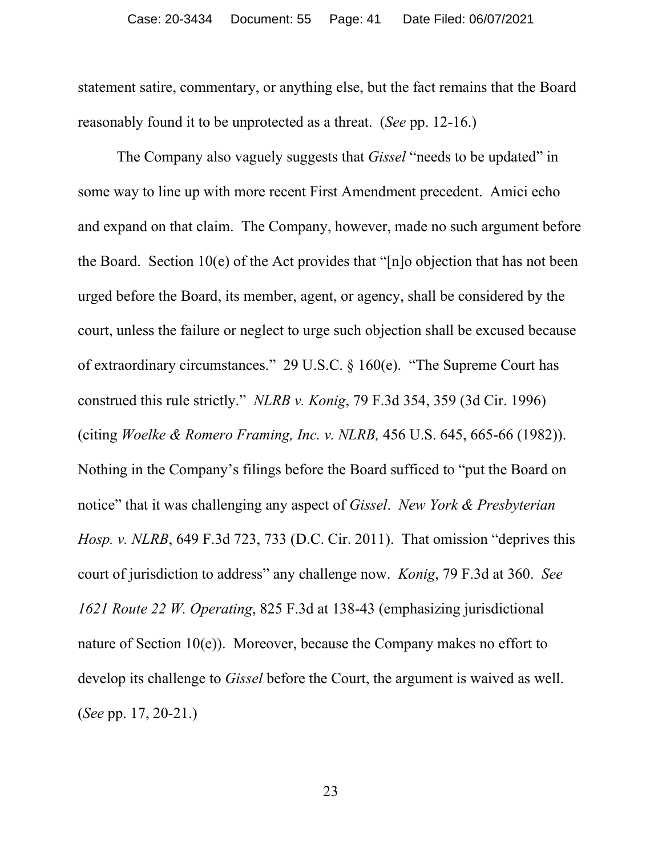statement satire, commentary, or anything else, but the fact remains that the Board reasonably found it to be unprotected as a threat. (*See* pp. 12-16.)

The Company also vaguely suggests that *Gissel* "needs to be updated" in some way to line up with more recent First Amendment precedent. Amici echo and expand on that claim. The Company, however, made no such argument before the Board. Section 10(e) of the Act provides that "[n]o objection that has not been urged before the Board, its member, agent, or agency, shall be considered by the court, unless the failure or neglect to urge such objection shall be excused because of extraordinary circumstances." 29 U.S.C. § 160(e). "The Supreme Court has construed this rule strictly." *NLRB v. Konig*, 79 F.3d 354, 359 (3d Cir. 1996) (citing *Woelke & Romero Framing, Inc. v. NLRB,* 456 U.S. 645, 665-66 (1982)). Nothing in the Company's filings before the Board sufficed to "put the Board on notice" that it was challenging any aspect of *Gissel*. *New York & Presbyterian Hosp. v. NLRB*, 649 F.3d 723, 733 (D.C. Cir. 2011). That omission "deprives this court of jurisdiction to address" any challenge now. *Konig*, 79 F.3d at 360. *See 1621 Route 22 W. Operating*, 825 F.3d at 138-43 (emphasizing jurisdictional nature of Section 10(e)). Moreover, because the Company makes no effort to develop its challenge to *Gissel* before the Court, the argument is waived as well. (*See* pp. 17, 20-21.)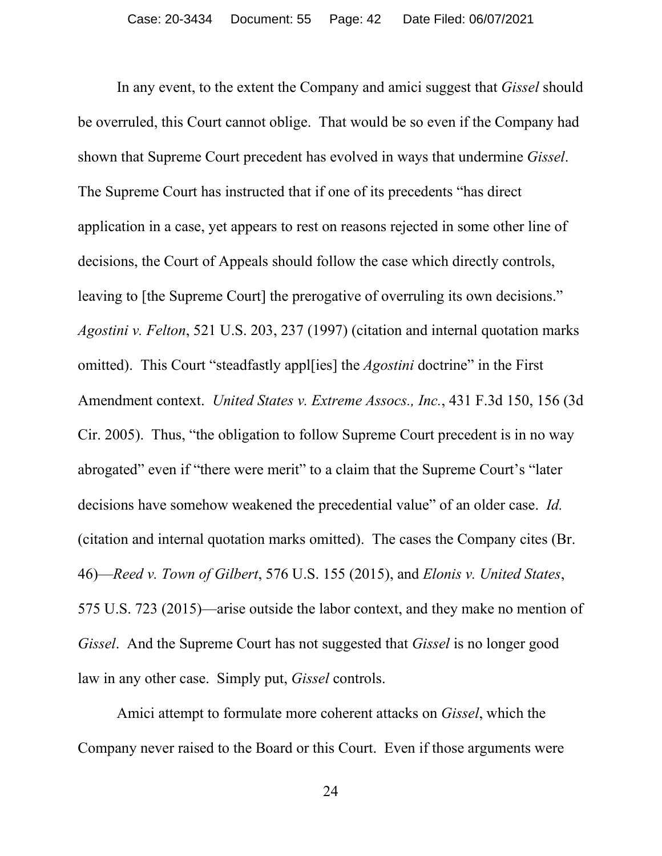In any event, to the extent the Company and amici suggest that *Gissel* should be overruled, this Court cannot oblige. That would be so even if the Company had shown that Supreme Court precedent has evolved in ways that undermine *Gissel*. The Supreme Court has instructed that if one of its precedents "has direct application in a case, yet appears to rest on reasons rejected in some other line of decisions, the Court of Appeals should follow the case which directly controls, leaving to [the Supreme Court] the prerogative of overruling its own decisions." *Agostini v. Felton*, 521 U.S. 203, 237 (1997) (citation and internal quotation marks omitted). This Court "steadfastly appl[ies] the *Agostini* doctrine" in the First Amendment context. *United States v. Extreme Assocs., Inc.*, 431 F.3d 150, 156 (3d Cir. 2005). Thus, "the obligation to follow Supreme Court precedent is in no way abrogated" even if "there were merit" to a claim that the Supreme Court's "later decisions have somehow weakened the precedential value" of an older case. *Id.* (citation and internal quotation marks omitted). The cases the Company cites (Br. 46)—*Reed v. Town of Gilbert*, 576 U.S. 155 (2015), and *Elonis v. United States*, 575 U.S. 723 (2015)—arise outside the labor context, and they make no mention of *Gissel*.And the Supreme Court has not suggested that *Gissel* is no longer good law in any other case. Simply put, *Gissel* controls.

Amici attempt to formulate more coherent attacks on *Gissel*, which the Company never raised to the Board or this Court. Even if those arguments were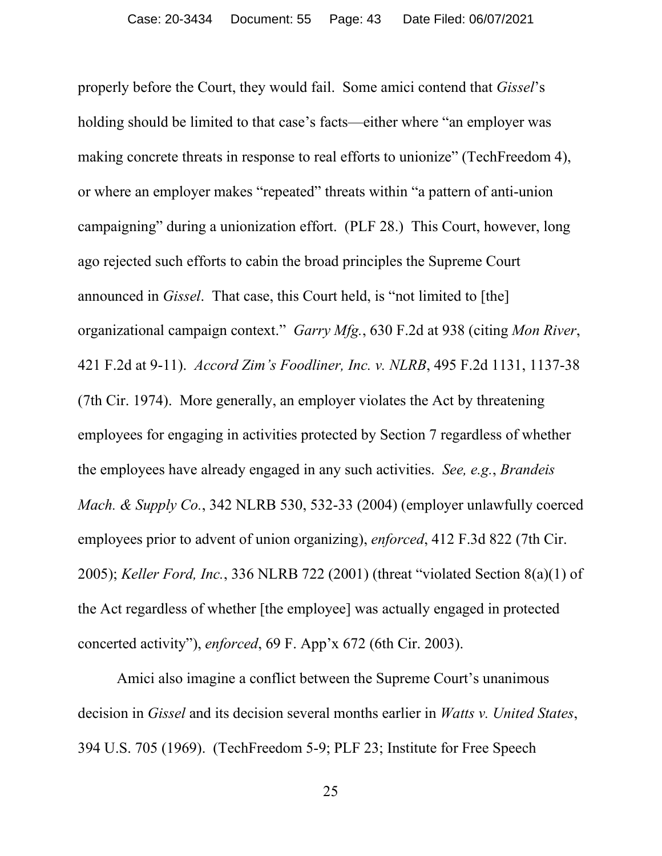properly before the Court, they would fail. Some amici contend that *Gissel*'s holding should be limited to that case's facts—either where "an employer was making concrete threats in response to real efforts to unionize" (TechFreedom 4), or where an employer makes "repeated" threats within "a pattern of anti-union campaigning" during a unionization effort. (PLF 28.) This Court, however, long ago rejected such efforts to cabin the broad principles the Supreme Court announced in *Gissel*. That case, this Court held, is "not limited to [the] organizational campaign context." *Garry Mfg.*, 630 F.2d at 938 (citing *Mon River*, 421 F.2d at 9-11). *Accord Zim's Foodliner, Inc. v. NLRB*, 495 F.2d 1131, 1137-38 (7th Cir. 1974). More generally, an employer violates the Act by threatening employees for engaging in activities protected by Section 7 regardless of whether the employees have already engaged in any such activities. *See, e.g.*, *Brandeis Mach. & Supply Co.*, 342 NLRB 530, 532-33 (2004) (employer unlawfully coerced employees prior to advent of union organizing), *enforced*, 412 F.3d 822 (7th Cir. 2005); *Keller Ford, Inc.*, 336 NLRB 722 (2001) (threat "violated Section 8(a)(1) of the Act regardless of whether [the employee] was actually engaged in protected concerted activity"), *enforced*, 69 F. App'x 672 (6th Cir. 2003).

Amici also imagine a conflict between the Supreme Court's unanimous decision in *Gissel* and its decision several months earlier in *Watts v. United States*, 394 U.S. 705 (1969). (TechFreedom 5-9; PLF 23; Institute for Free Speech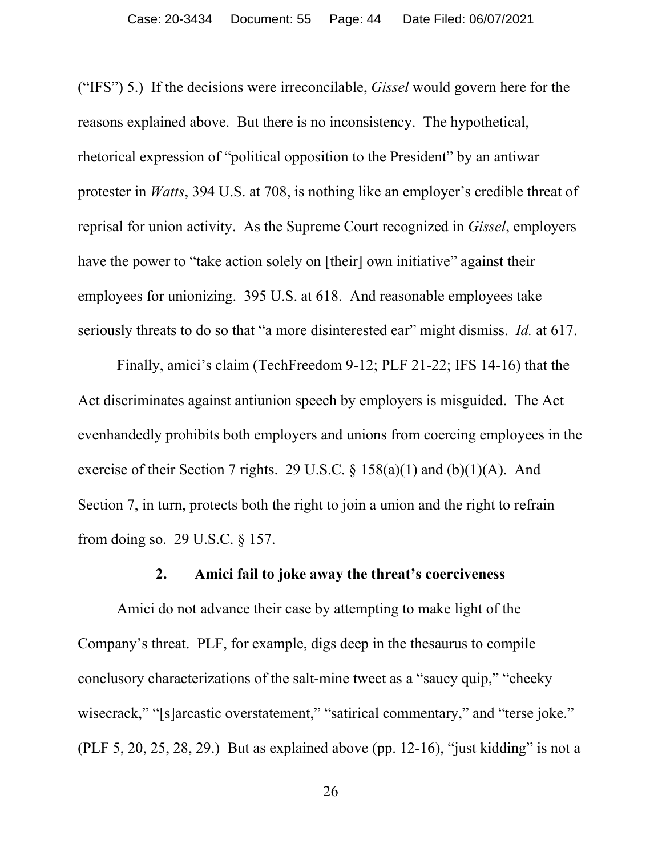("IFS") 5.) If the decisions were irreconcilable, *Gissel* would govern here for the reasons explained above. But there is no inconsistency. The hypothetical, rhetorical expression of "political opposition to the President" by an antiwar protester in *Watts*, 394 U.S. at 708, is nothing like an employer's credible threat of reprisal for union activity. As the Supreme Court recognized in *Gissel*, employers have the power to "take action solely on [their] own initiative" against their employees for unionizing. 395 U.S. at 618. And reasonable employees take seriously threats to do so that "a more disinterested ear" might dismiss. *Id.* at 617.

Finally, amici's claim (TechFreedom 9-12; PLF 21-22; IFS 14-16) that the Act discriminates against antiunion speech by employers is misguided. The Act evenhandedly prohibits both employers and unions from coercing employees in the exercise of their Section 7 rights. 29 U.S.C.  $\S$  158(a)(1) and (b)(1)(A). And Section 7, in turn, protects both the right to join a union and the right to refrain from doing so. 29 U.S.C. § 157.

### **2. Amici fail to joke away the threat's coerciveness**

Amici do not advance their case by attempting to make light of the Company's threat. PLF, for example, digs deep in the thesaurus to compile conclusory characterizations of the salt-mine tweet as a "saucy quip," "cheeky wisecrack," "[s]arcastic overstatement," "satirical commentary," and "terse joke." (PLF 5, 20, 25, 28, 29.) But as explained above (pp. 12-16), "just kidding" is not a

26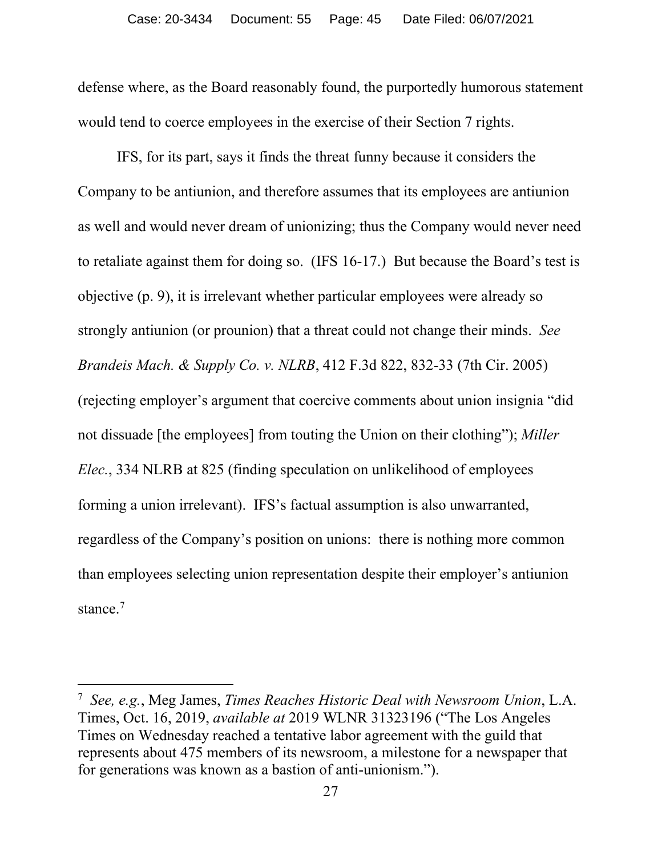defense where, as the Board reasonably found, the purportedly humorous statement would tend to coerce employees in the exercise of their Section 7 rights.

IFS, for its part, says it finds the threat funny because it considers the Company to be antiunion, and therefore assumes that its employees are antiunion as well and would never dream of unionizing; thus the Company would never need to retaliate against them for doing so. (IFS 16-17.) But because the Board's test is objective (p. 9), it is irrelevant whether particular employees were already so strongly antiunion (or prounion) that a threat could not change their minds. *See Brandeis Mach. & Supply Co. v. NLRB*, 412 F.3d 822, 832-33 (7th Cir. 2005) (rejecting employer's argument that coercive comments about union insignia "did not dissuade [the employees] from touting the Union on their clothing"); *Miller Elec.*, 334 NLRB at 825 (finding speculation on unlikelihood of employees forming a union irrelevant). IFS's factual assumption is also unwarranted, regardless of the Company's position on unions: there is nothing more common than employees selecting union representation despite their employer's antiunion stance.<sup>[7](#page-44-0)</sup>

<span id="page-44-0"></span><sup>7</sup> *See, e.g.*, Meg James, *Times Reaches Historic Deal with Newsroom Union*, L.A. Times, Oct. 16, 2019, *available at* 2019 WLNR 31323196 ("The Los Angeles Times on Wednesday reached a tentative labor agreement with the guild that represents about 475 members of its newsroom, a milestone for a newspaper that for generations was known as a bastion of anti-unionism.").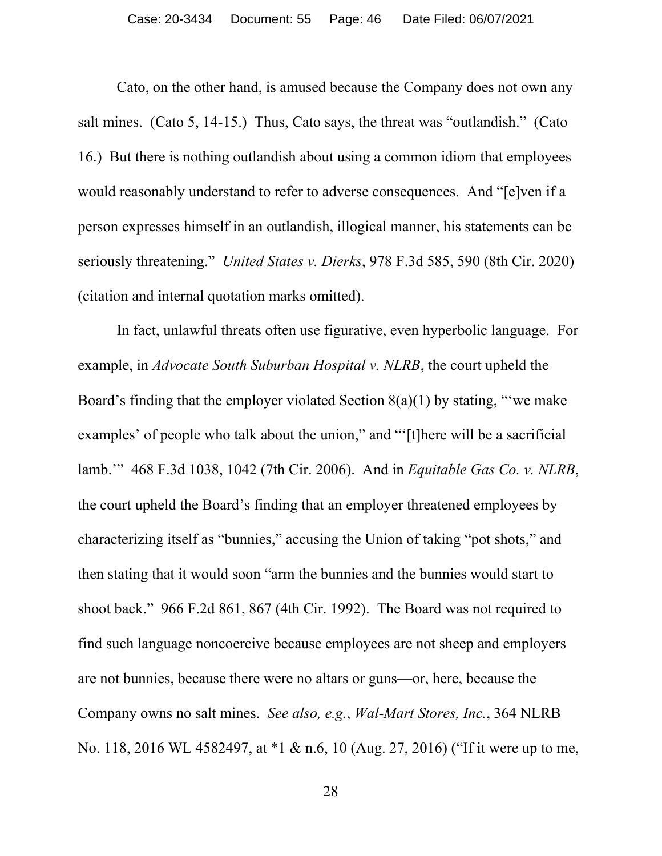Cato, on the other hand, is amused because the Company does not own any salt mines. (Cato 5, 14-15.) Thus, Cato says, the threat was "outlandish." (Cato 16.) But there is nothing outlandish about using a common idiom that employees would reasonably understand to refer to adverse consequences. And "[e]ven if a person expresses himself in an outlandish, illogical manner, his statements can be seriously threatening." *United States v. Dierks*, 978 F.3d 585, 590 (8th Cir. 2020) (citation and internal quotation marks omitted).

In fact, unlawful threats often use figurative, even hyperbolic language. For example, in *Advocate South Suburban Hospital v. NLRB*, the court upheld the Board's finding that the employer violated Section  $8(a)(1)$  by stating, "we make examples' of people who talk about the union," and "'[t]here will be a sacrificial lamb.'" 468 F.3d 1038, 1042 (7th Cir. 2006). And in *Equitable Gas Co. v. NLRB*, the court upheld the Board's finding that an employer threatened employees by characterizing itself as "bunnies," accusing the Union of taking "pot shots," and then stating that it would soon "arm the bunnies and the bunnies would start to shoot back." 966 F.2d 861, 867 (4th Cir. 1992). The Board was not required to find such language noncoercive because employees are not sheep and employers are not bunnies, because there were no altars or guns—or, here, because the Company owns no salt mines. *See also, e.g.*, *Wal-Mart Stores, Inc.*, 364 NLRB No. 118, 2016 WL 4582497, at \*1 & n.6, 10 (Aug. 27, 2016) ("If it were up to me,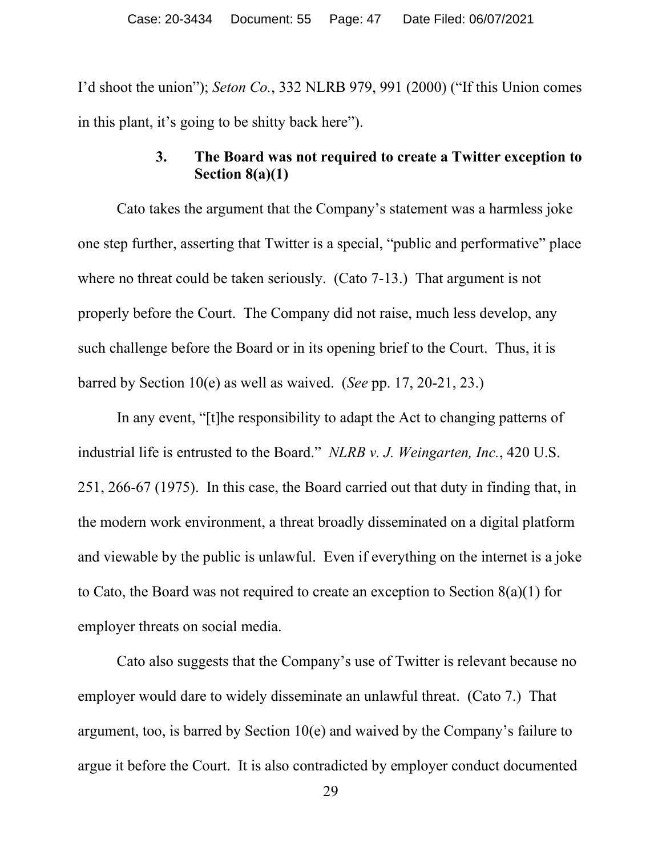I'd shoot the union"); *Seton Co.*, 332 NLRB 979, 991 (2000) ("If this Union comes in this plant, it's going to be shitty back here").

# **3. The Board was not required to create a Twitter exception to Section 8(a)(1)**

Cato takes the argument that the Company's statement was a harmless joke one step further, asserting that Twitter is a special, "public and performative" place where no threat could be taken seriously. (Cato 7-13.) That argument is not properly before the Court. The Company did not raise, much less develop, any such challenge before the Board or in its opening brief to the Court. Thus, it is barred by Section 10(e) as well as waived. (*See* pp. 17, 20-21, 23.)

In any event, "[t]he responsibility to adapt the Act to changing patterns of industrial life is entrusted to the Board." *NLRB v. J. Weingarten, Inc.*, 420 U.S. 251, 266-67 (1975). In this case, the Board carried out that duty in finding that, in the modern work environment, a threat broadly disseminated on a digital platform and viewable by the public is unlawful. Even if everything on the internet is a joke to Cato, the Board was not required to create an exception to Section  $8(a)(1)$  for employer threats on social media.

Cato also suggests that the Company's use of Twitter is relevant because no employer would dare to widely disseminate an unlawful threat. (Cato 7.) That argument, too, is barred by Section 10(e) and waived by the Company's failure to argue it before the Court. It is also contradicted by employer conduct documented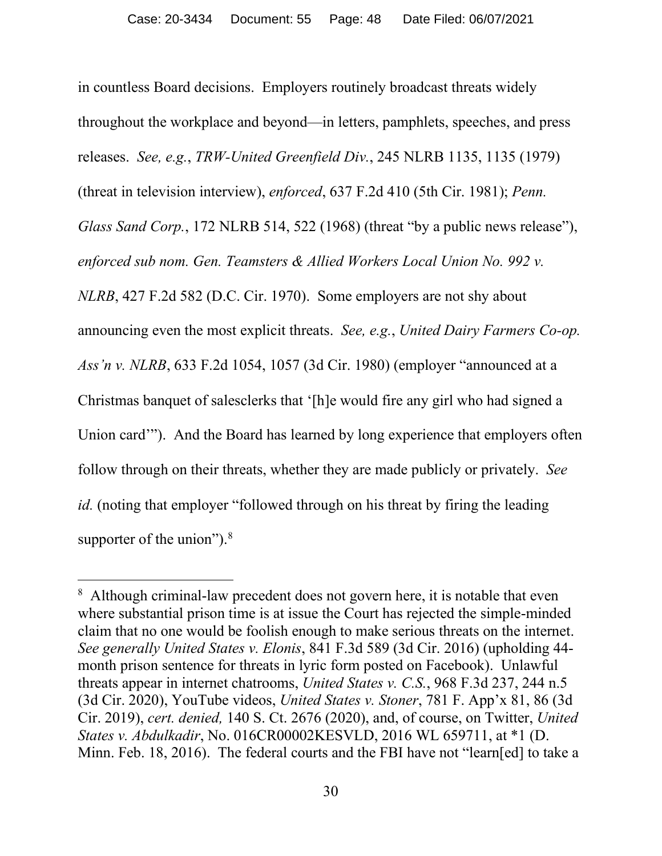in countless Board decisions. Employers routinely broadcast threats widely throughout the workplace and beyond—in letters, pamphlets, speeches, and press releases. *See, e.g.*, *TRW-United Greenfield Div.*, 245 NLRB 1135, 1135 (1979) (threat in television interview), *enforced*, 637 F.2d 410 (5th Cir. 1981); *Penn. Glass Sand Corp.*, 172 NLRB 514, 522 (1968) (threat "by a public news release"), *enforced sub nom. Gen. Teamsters & Allied Workers Local Union No. 992 v. NLRB*, 427 F.2d 582 (D.C. Cir. 1970). Some employers are not shy about announcing even the most explicit threats. *See, e.g.*, *United Dairy Farmers Co-op. Ass'n v. NLRB*, 633 F.2d 1054, 1057 (3d Cir. 1980) (employer "announced at a Christmas banquet of salesclerks that '[h]e would fire any girl who had signed a Union card'"). And the Board has learned by long experience that employers often follow through on their threats, whether they are made publicly or privately. *See id.* (noting that employer "followed through on his threat by firing the leading supporter of the union"). $8$ 

<span id="page-47-0"></span><sup>&</sup>lt;sup>8</sup> Although criminal-law precedent does not govern here, it is notable that even where substantial prison time is at issue the Court has rejected the simple-minded claim that no one would be foolish enough to make serious threats on the internet. *See generally United States v. Elonis*, 841 F.3d 589 (3d Cir. 2016) (upholding 44 month prison sentence for threats in lyric form posted on Facebook). Unlawful threats appear in internet chatrooms, *United States v. C.S.*, 968 F.3d 237, 244 n.5 (3d Cir. 2020), YouTube videos, *United States v. Stoner*, 781 F. App'x 81, 86 (3d Cir. 2019), *cert. denied,* 140 S. Ct. 2676 (2020), and, of course, on Twitter, *United States v. Abdulkadir*, No. 016CR00002KESVLD, 2016 WL 659711, at \*1 (D. Minn. Feb. 18, 2016). The federal courts and the FBI have not "learn[ed] to take a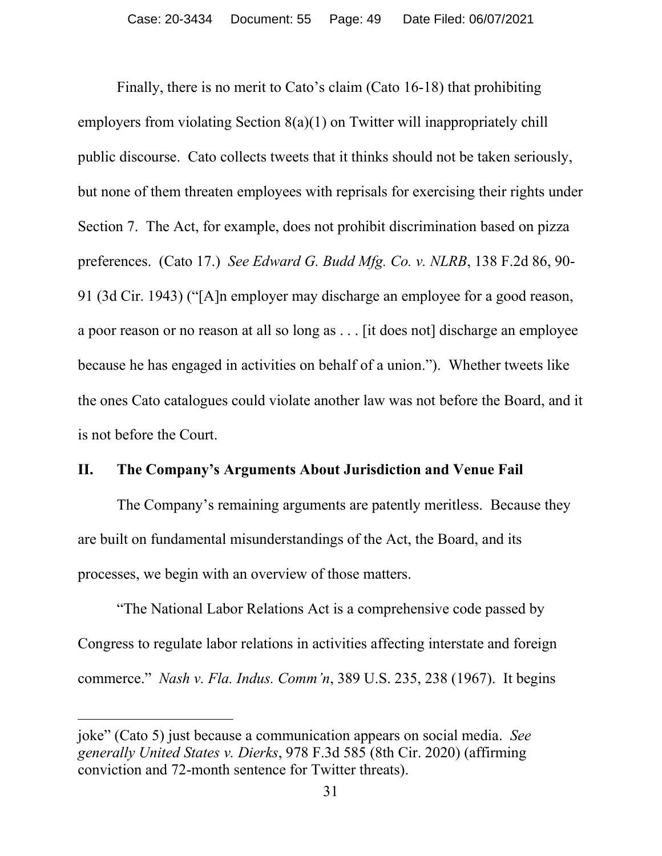Finally, there is no merit to Cato's claim (Cato 16-18) that prohibiting employers from violating Section 8(a)(1) on Twitter will inappropriately chill public discourse. Cato collects tweets that it thinks should not be taken seriously, but none of them threaten employees with reprisals for exercising their rights under Section 7. The Act, for example, does not prohibit discrimination based on pizza preferences. (Cato 17.) *See Edward G. Budd Mfg. Co. v. NLRB*, 138 F.2d 86, 90- 91 (3d Cir. 1943) ("[A]n employer may discharge an employee for a good reason, a poor reason or no reason at all so long as . . . [it does not] discharge an employee because he has engaged in activities on behalf of a union."). Whether tweets like the ones Cato catalogues could violate another law was not before the Board, and it is not before the Court.

#### **II. The Company's Arguments About Jurisdiction and Venue Fail**

The Company's remaining arguments are patently meritless. Because they are built on fundamental misunderstandings of the Act, the Board, and its processes, we begin with an overview of those matters.

"The National Labor Relations Act is a comprehensive code passed by Congress to regulate labor relations in activities affecting interstate and foreign commerce." *Nash v. Fla. Indus. Comm'n*, 389 U.S. 235, 238 (1967). It begins

joke" (Cato 5) just because a communication appears on social media. *See generally United States v. Dierks*, 978 F.3d 585 (8th Cir. 2020) (affirming conviction and 72-month sentence for Twitter threats).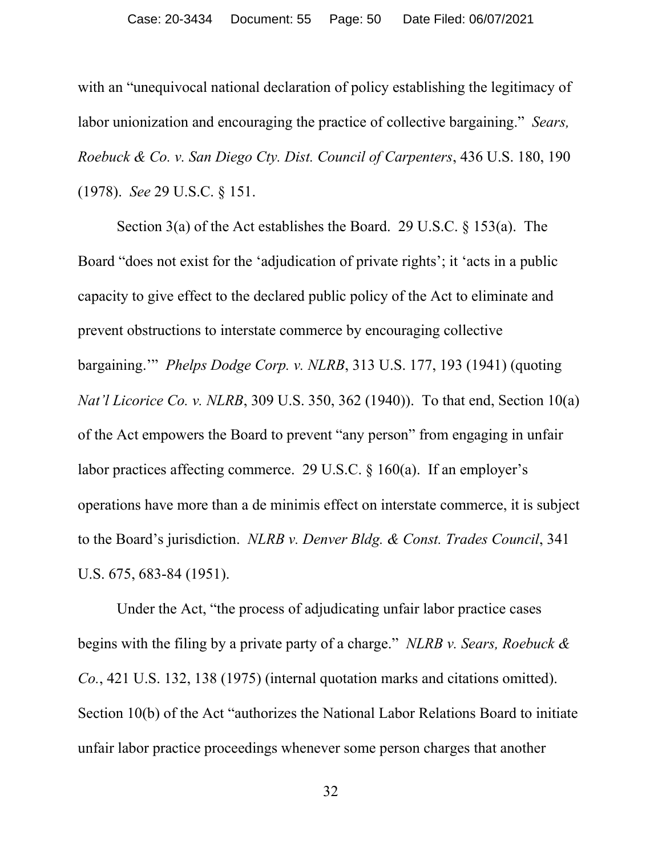with an "unequivocal national declaration of policy establishing the legitimacy of labor unionization and encouraging the practice of collective bargaining." *Sears, Roebuck & Co. v. San Diego Cty. Dist. Council of Carpenters*, 436 U.S. 180, 190 (1978). *See* 29 U.S.C. § 151.

Section 3(a) of the Act establishes the Board. 29 U.S.C. § 153(a). The Board "does not exist for the 'adjudication of private rights'; it 'acts in a public capacity to give effect to the declared public policy of the Act to eliminate and prevent obstructions to interstate commerce by encouraging collective bargaining.'" *Phelps Dodge Corp. v. NLRB*, 313 U.S. 177, 193 (1941) (quoting *Nat'l Licorice Co. v. NLRB*, 309 U.S. 350, 362 (1940)). To that end, Section 10(a) of the Act empowers the Board to prevent "any person" from engaging in unfair labor practices affecting commerce. 29 U.S.C. § 160(a). If an employer's operations have more than a de minimis effect on interstate commerce, it is subject to the Board's jurisdiction. *NLRB v. Denver Bldg. & Const. Trades Council*, 341 U.S. 675, 683-84 (1951).

Under the Act, "the process of adjudicating unfair labor practice cases begins with the filing by a private party of a charge." *NLRB v. Sears, Roebuck & Co.*, 421 U.S. 132, 138 (1975) (internal quotation marks and citations omitted). Section 10(b) of the Act "authorizes the National Labor Relations Board to initiate unfair labor practice proceedings whenever some person charges that another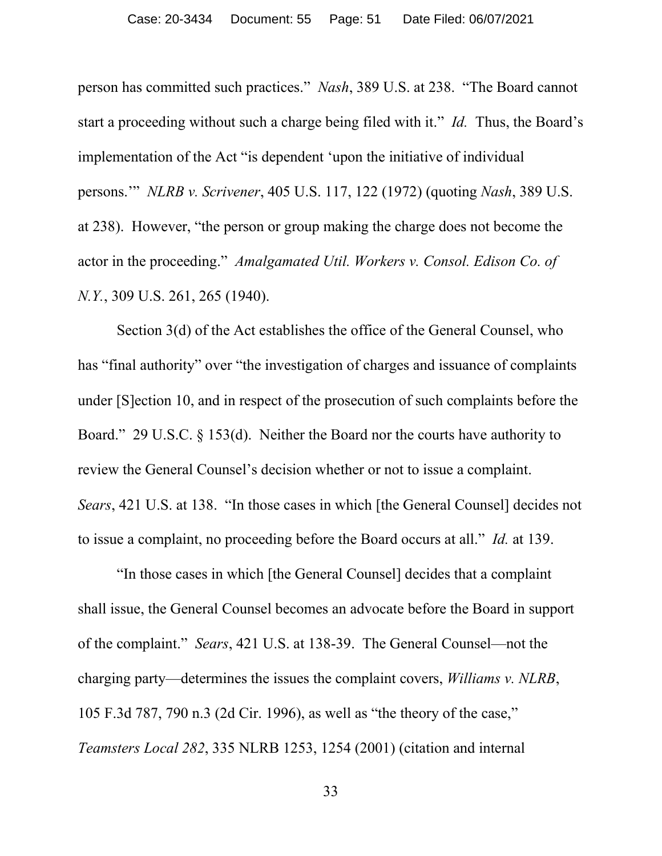person has committed such practices." *Nash*, 389 U.S. at 238. "The Board cannot start a proceeding without such a charge being filed with it." *Id.* Thus, the Board's implementation of the Act "is dependent 'upon the initiative of individual persons.'" *NLRB v. Scrivener*, 405 U.S. 117, 122 (1972) (quoting *Nash*, 389 U.S. at 238). However, "the person or group making the charge does not become the actor in the proceeding." *Amalgamated Util. Workers v. Consol. Edison Co. of N.Y.*, 309 U.S. 261, 265 (1940).

Section 3(d) of the Act establishes the office of the General Counsel, who has "final authority" over "the investigation of charges and issuance of complaints under [S]ection 10, and in respect of the prosecution of such complaints before the Board." 29 U.S.C. § 153(d). Neither the Board nor the courts have authority to review the General Counsel's decision whether or not to issue a complaint. *Sears*, 421 U.S. at 138. "In those cases in which [the General Counsel] decides not to issue a complaint, no proceeding before the Board occurs at all." *Id.* at 139.

"In those cases in which [the General Counsel] decides that a complaint shall issue, the General Counsel becomes an advocate before the Board in support of the complaint." *Sears*, 421 U.S. at 138-39. The General Counsel—not the charging party—determines the issues the complaint covers, *Williams v. NLRB*, 105 F.3d 787, 790 n.3 (2d Cir. 1996), as well as "the theory of the case," *Teamsters Local 282*, 335 NLRB 1253, 1254 (2001) (citation and internal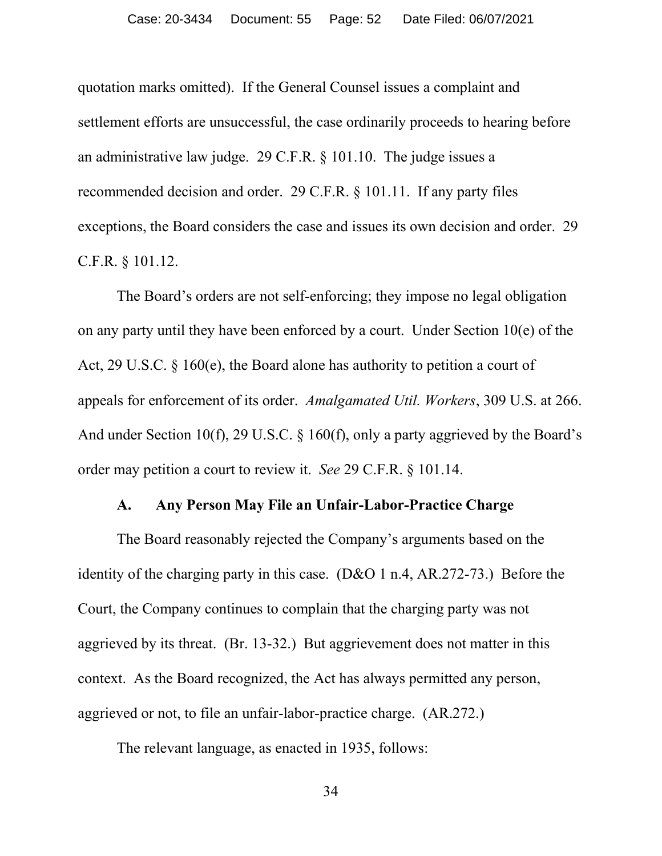quotation marks omitted). If the General Counsel issues a complaint and settlement efforts are unsuccessful, the case ordinarily proceeds to hearing before an administrative law judge. 29 C.F.R. § 101.10. The judge issues a recommended decision and order. 29 C.F.R. § 101.11. If any party files exceptions, the Board considers the case and issues its own decision and order. 29 C.F.R. § 101.12.

The Board's orders are not self-enforcing; they impose no legal obligation on any party until they have been enforced by a court. Under Section 10(e) of the Act, 29 U.S.C. § 160(e), the Board alone has authority to petition a court of appeals for enforcement of its order. *Amalgamated Util. Workers*, 309 U.S. at 266. And under Section 10(f), 29 U.S.C. § 160(f), only a party aggrieved by the Board's order may petition a court to review it. *See* 29 C.F.R. § 101.14.

#### **A. Any Person May File an Unfair-Labor-Practice Charge**

The Board reasonably rejected the Company's arguments based on the identity of the charging party in this case. (D&O 1 n.4, AR.272-73.) Before the Court, the Company continues to complain that the charging party was not aggrieved by its threat. (Br. 13-32.) But aggrievement does not matter in this context. As the Board recognized, the Act has always permitted any person, aggrieved or not, to file an unfair-labor-practice charge. (AR.272.)

The relevant language, as enacted in 1935, follows:

34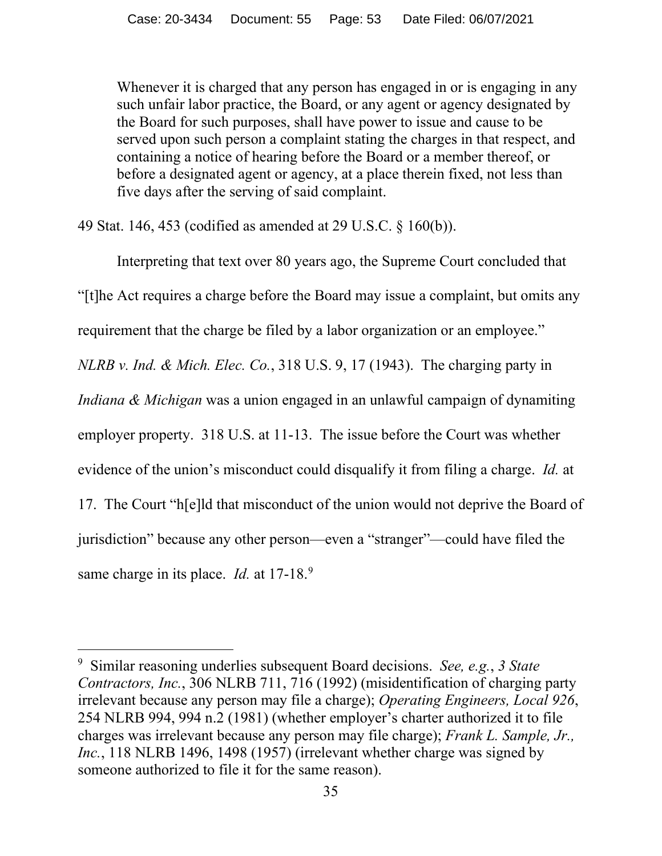Whenever it is charged that any person has engaged in or is engaging in any such unfair labor practice, the Board, or any agent or agency designated by the Board for such purposes, shall have power to issue and cause to be served upon such person a complaint stating the charges in that respect, and containing a notice of hearing before the Board or a member thereof, or before a designated agent or agency, at a place therein fixed, not less than five days after the serving of said complaint.

49 Stat. 146, 453 (codified as amended at 29 U.S.C. § 160(b)).

Interpreting that text over 80 years ago, the Supreme Court concluded that "[t]he Act requires a charge before the Board may issue a complaint, but omits any requirement that the charge be filed by a labor organization or an employee." *NLRB v. Ind. & Mich. Elec. Co.*, 318 U.S. 9, 17 (1943). The charging party in *Indiana & Michigan* was a union engaged in an unlawful campaign of dynamiting employer property. 318 U.S. at 11-13. The issue before the Court was whether evidence of the union's misconduct could disqualify it from filing a charge. *Id.* at 17. The Court "h[e]ld that misconduct of the union would not deprive the Board of jurisdiction" because any other person—even a "stranger"—could have filed the same charge in its place. *Id.* at 17-18.<sup>[9](#page-52-0)</sup>

<span id="page-52-0"></span><sup>9</sup> Similar reasoning underlies subsequent Board decisions. *See, e.g.*, *3 State Contractors, Inc.*, 306 NLRB 711, 716 (1992) (misidentification of charging party irrelevant because any person may file a charge); *Operating Engineers, Local 926*, 254 NLRB 994, 994 n.2 (1981) (whether employer's charter authorized it to file charges was irrelevant because any person may file charge); *Frank L. Sample, Jr., Inc.*, 118 NLRB 1496, 1498 (1957) (irrelevant whether charge was signed by someone authorized to file it for the same reason).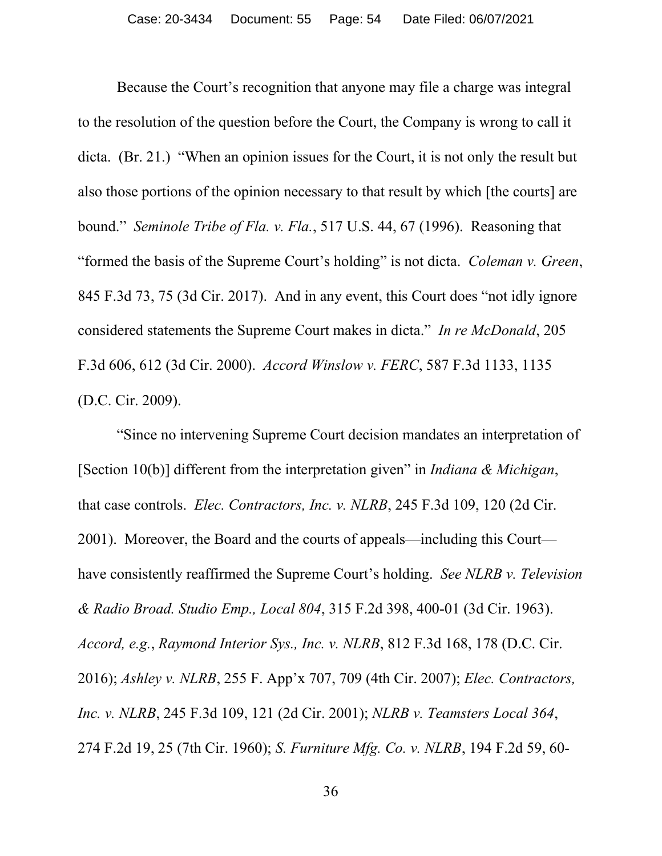Because the Court's recognition that anyone may file a charge was integral to the resolution of the question before the Court, the Company is wrong to call it dicta. (Br. 21.) "When an opinion issues for the Court, it is not only the result but also those portions of the opinion necessary to that result by which [the courts] are bound." *Seminole Tribe of Fla. v. Fla.*, 517 U.S. 44, 67 (1996). Reasoning that "formed the basis of the Supreme Court's holding" is not dicta. *Coleman v. Green*, 845 F.3d 73, 75 (3d Cir. 2017). And in any event, this Court does "not idly ignore considered statements the Supreme Court makes in dicta." *In re McDonald*, 205 F.3d 606, 612 (3d Cir. 2000). *Accord Winslow v. FERC*, 587 F.3d 1133, 1135 (D.C. Cir. 2009).

"Since no intervening Supreme Court decision mandates an interpretation of [Section 10(b)] different from the interpretation given" in *Indiana & Michigan*, that case controls. *Elec. Contractors, Inc. v. NLRB*, 245 F.3d 109, 120 (2d Cir. 2001). Moreover, the Board and the courts of appeals—including this Court have consistently reaffirmed the Supreme Court's holding. *See NLRB v. Television & Radio Broad. Studio Emp., Local 804*, 315 F.2d 398, 400-01 (3d Cir. 1963). *Accord, e.g.*, *Raymond Interior Sys., Inc. v. NLRB*, 812 F.3d 168, 178 (D.C. Cir. 2016); *Ashley v. NLRB*, 255 F. App'x 707, 709 (4th Cir. 2007); *Elec. Contractors, Inc. v. NLRB*, 245 F.3d 109, 121 (2d Cir. 2001); *NLRB v. Teamsters Local 364*, 274 F.2d 19, 25 (7th Cir. 1960); *S. Furniture Mfg. Co. v. NLRB*, 194 F.2d 59, 60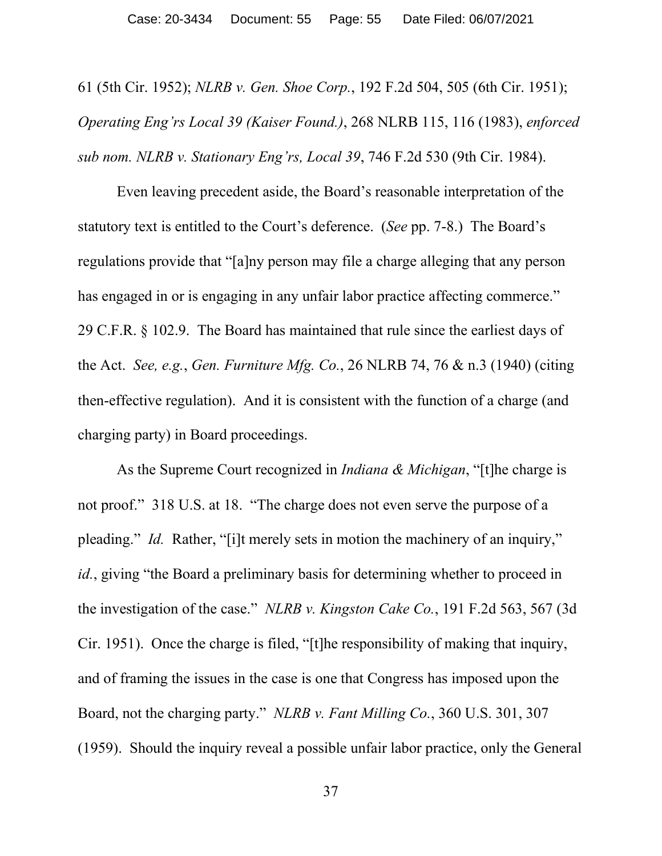61 (5th Cir. 1952); *NLRB v. Gen. Shoe Corp.*, 192 F.2d 504, 505 (6th Cir. 1951); *Operating Eng'rs Local 39 (Kaiser Found.)*, 268 NLRB 115, 116 (1983), *enforced sub nom. NLRB v. Stationary Eng'rs, Local 39*, 746 F.2d 530 (9th Cir. 1984).

Even leaving precedent aside, the Board's reasonable interpretation of the statutory text is entitled to the Court's deference. (*See* pp. 7-8.) The Board's regulations provide that "[a]ny person may file a charge alleging that any person has engaged in or is engaging in any unfair labor practice affecting commerce." 29 C.F.R. § 102.9. The Board has maintained that rule since the earliest days of the Act. *See, e.g.*, *Gen. Furniture Mfg. Co.*, 26 NLRB 74, 76 & n.3 (1940) (citing then-effective regulation). And it is consistent with the function of a charge (and charging party) in Board proceedings.

As the Supreme Court recognized in *Indiana & Michigan*, "[t]he charge is not proof." 318 U.S. at 18. "The charge does not even serve the purpose of a pleading." *Id.* Rather, "[i]t merely sets in motion the machinery of an inquiry," *id.*, giving "the Board a preliminary basis for determining whether to proceed in the investigation of the case." *NLRB v. Kingston Cake Co.*, 191 F.2d 563, 567 (3d Cir. 1951). Once the charge is filed, "[t]he responsibility of making that inquiry, and of framing the issues in the case is one that Congress has imposed upon the Board, not the charging party." *NLRB v. Fant Milling Co.*, 360 U.S. 301, 307 (1959). Should the inquiry reveal a possible unfair labor practice, only the General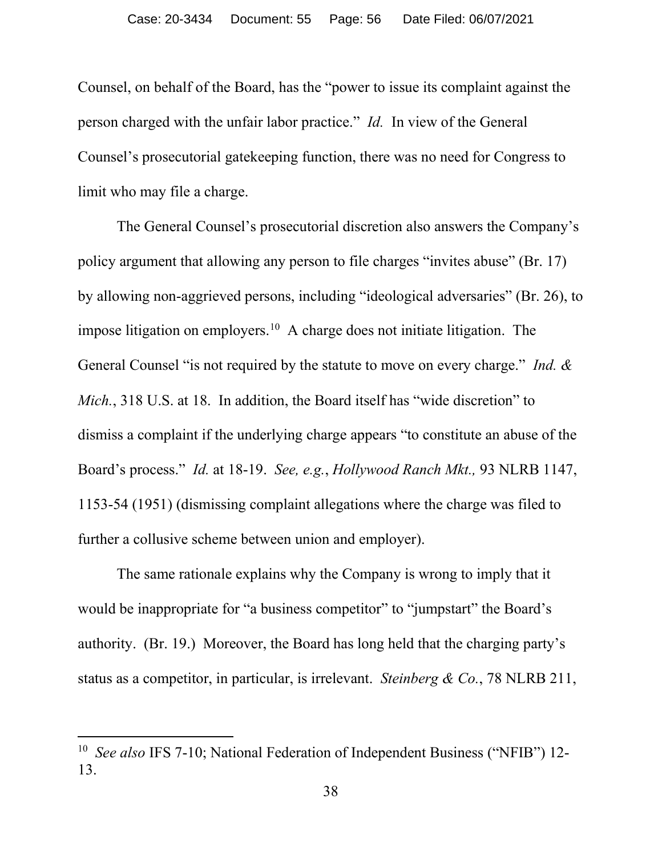Counsel, on behalf of the Board, has the "power to issue its complaint against the person charged with the unfair labor practice." *Id.* In view of the General Counsel's prosecutorial gatekeeping function, there was no need for Congress to limit who may file a charge.

The General Counsel's prosecutorial discretion also answers the Company's policy argument that allowing any person to file charges "invites abuse" (Br. 17) by allowing non-aggrieved persons, including "ideological adversaries" (Br. 26), to impose litigation on employers.<sup>10</sup> A charge does not initiate litigation. The General Counsel "is not required by the statute to move on every charge." *Ind. & Mich.*, 318 U.S. at 18. In addition, the Board itself has "wide discretion" to dismiss a complaint if the underlying charge appears "to constitute an abuse of the Board's process." *Id.* at 18-19. *See, e.g.*, *Hollywood Ranch Mkt.,* 93 NLRB 1147, 1153-54 (1951) (dismissing complaint allegations where the charge was filed to further a collusive scheme between union and employer).

The same rationale explains why the Company is wrong to imply that it would be inappropriate for "a business competitor" to "jumpstart" the Board's authority. (Br. 19.) Moreover, the Board has long held that the charging party's status as a competitor, in particular, is irrelevant. *Steinberg & Co.*, 78 NLRB 211,

<span id="page-55-0"></span><sup>&</sup>lt;sup>10</sup> *See also* IFS 7-10; National Federation of Independent Business ("NFIB") 12-13.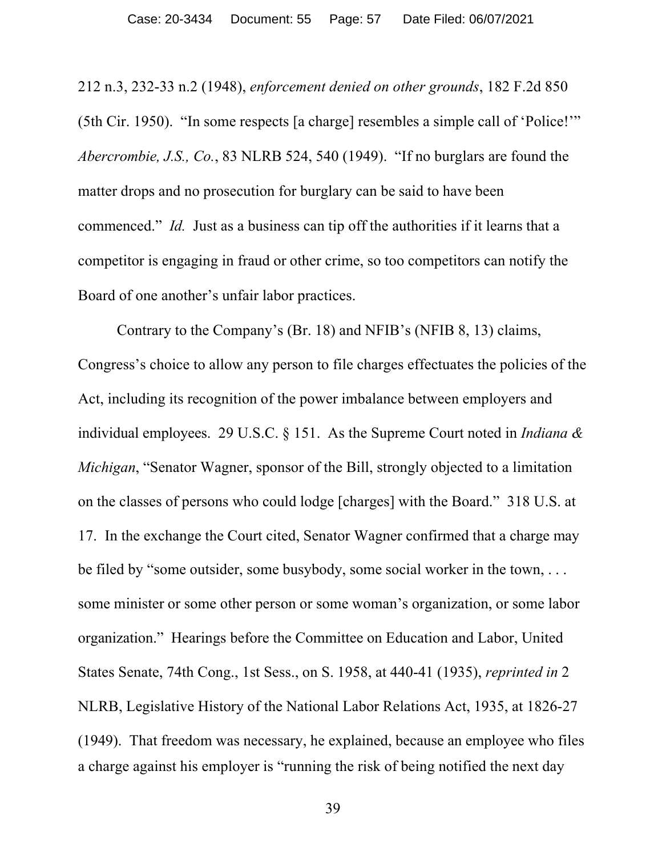212 n.3, 232-33 n.2 (1948), *enforcement denied on other grounds*, 182 F.2d 850 (5th Cir. 1950). "In some respects [a charge] resembles a simple call of 'Police!'" *Abercrombie, J.S., Co.*, 83 NLRB 524, 540 (1949). "If no burglars are found the matter drops and no prosecution for burglary can be said to have been commenced." *Id.* Just as a business can tip off the authorities if it learns that a competitor is engaging in fraud or other crime, so too competitors can notify the Board of one another's unfair labor practices.

Contrary to the Company's (Br. 18) and NFIB's (NFIB 8, 13) claims, Congress's choice to allow any person to file charges effectuates the policies of the Act, including its recognition of the power imbalance between employers and individual employees. 29 U.S.C. § 151. As the Supreme Court noted in *Indiana & Michigan*, "Senator Wagner, sponsor of the Bill, strongly objected to a limitation on the classes of persons who could lodge [charges] with the Board." 318 U.S. at 17. In the exchange the Court cited, Senator Wagner confirmed that a charge may be filed by "some outsider, some busybody, some social worker in the town, . . . some minister or some other person or some woman's organization, or some labor organization." Hearings before the Committee on Education and Labor, United States Senate, 74th Cong., 1st Sess., on S. 1958, at 440-41 (1935), *reprinted in* 2 NLRB, Legislative History of the National Labor Relations Act, 1935, at 1826-27 (1949). That freedom was necessary, he explained, because an employee who files a charge against his employer is "running the risk of being notified the next day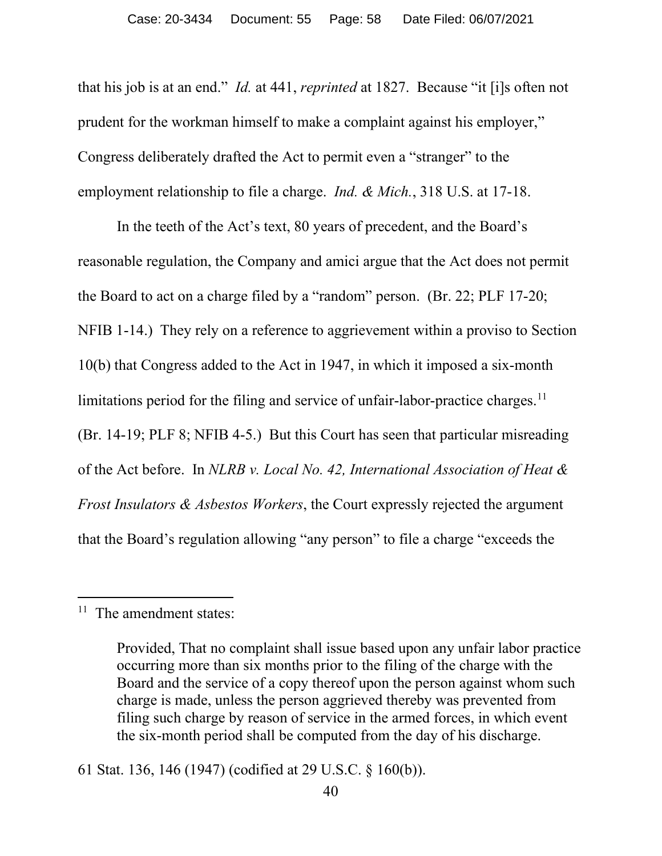that his job is at an end." *Id.* at 441, *reprinted* at 1827. Because "it [i]s often not prudent for the workman himself to make a complaint against his employer," Congress deliberately drafted the Act to permit even a "stranger" to the employment relationship to file a charge. *Ind. & Mich.*, 318 U.S. at 17-18.

In the teeth of the Act's text, 80 years of precedent, and the Board's reasonable regulation, the Company and amici argue that the Act does not permit the Board to act on a charge filed by a "random" person. (Br. 22; PLF 17-20; NFIB 1-14.) They rely on a reference to aggrievement within a proviso to Section 10(b) that Congress added to the Act in 1947, in which it imposed a six-month limitations period for the filing and service of unfair-labor-practice charges.<sup>[11](#page-57-0)</sup> (Br. 14-19; PLF 8; NFIB 4-5.) But this Court has seen that particular misreading of the Act before. In *NLRB v. Local No. 42, International Association of Heat & Frost Insulators & Asbestos Workers*, the Court expressly rejected the argument that the Board's regulation allowing "any person" to file a charge "exceeds the

<span id="page-57-0"></span><sup>&</sup>lt;sup>11</sup> The amendment states:

Provided, That no complaint shall issue based upon any unfair labor practice occurring more than six months prior to the filing of the charge with the Board and the service of a copy thereof upon the person against whom such charge is made, unless the person aggrieved thereby was prevented from filing such charge by reason of service in the armed forces, in which event the six-month period shall be computed from the day of his discharge.

<sup>61</sup> Stat. 136, 146 (1947) (codified at 29 U.S.C. § 160(b)).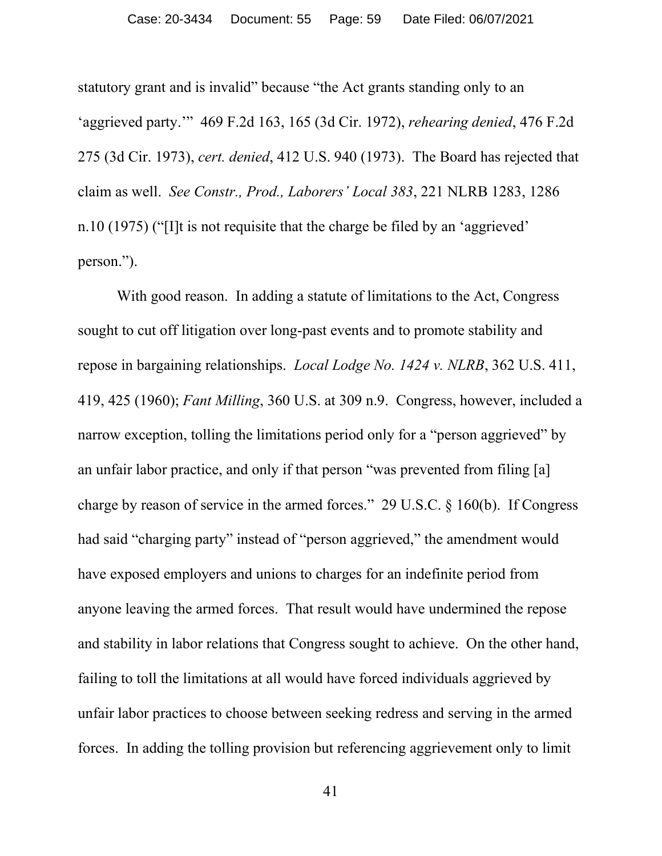statutory grant and is invalid" because "the Act grants standing only to an 'aggrieved party.'" 469 F.2d 163, 165 (3d Cir. 1972), *rehearing denied*, 476 F.2d 275 (3d Cir. 1973), *cert. denied*, 412 U.S. 940 (1973). The Board has rejected that claim as well. *See Constr., Prod., Laborers' Local 383*, 221 NLRB 1283, 1286 n.10 (1975) ("[I]t is not requisite that the charge be filed by an 'aggrieved' person.").

With good reason. In adding a statute of limitations to the Act, Congress sought to cut off litigation over long-past events and to promote stability and repose in bargaining relationships. *Local Lodge No. 1424 v. NLRB*, 362 U.S. 411, 419, 425 (1960); *Fant Milling*, 360 U.S. at 309 n.9. Congress, however, included a narrow exception, tolling the limitations period only for a "person aggrieved" by an unfair labor practice, and only if that person "was prevented from filing [a] charge by reason of service in the armed forces." 29 U.S.C. § 160(b). If Congress had said "charging party" instead of "person aggrieved," the amendment would have exposed employers and unions to charges for an indefinite period from anyone leaving the armed forces. That result would have undermined the repose and stability in labor relations that Congress sought to achieve. On the other hand, failing to toll the limitations at all would have forced individuals aggrieved by unfair labor practices to choose between seeking redress and serving in the armed forces. In adding the tolling provision but referencing aggrievement only to limit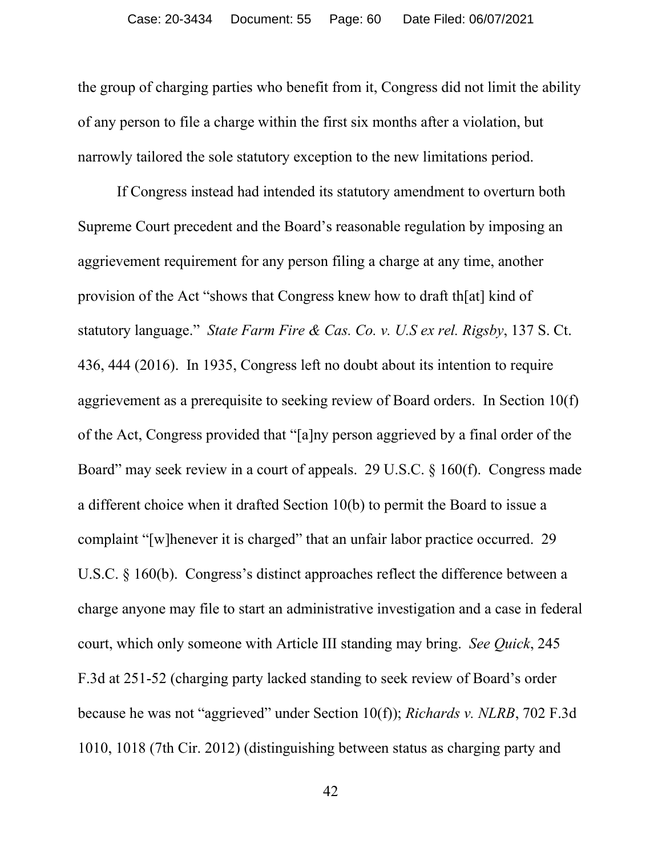the group of charging parties who benefit from it, Congress did not limit the ability of any person to file a charge within the first six months after a violation, but narrowly tailored the sole statutory exception to the new limitations period.

If Congress instead had intended its statutory amendment to overturn both Supreme Court precedent and the Board's reasonable regulation by imposing an aggrievement requirement for any person filing a charge at any time, another provision of the Act "shows that Congress knew how to draft th[at] kind of statutory language." *State Farm Fire & Cas. Co. v. U.S ex rel. Rigsby*, 137 S. Ct. 436, 444 (2016). In 1935, Congress left no doubt about its intention to require aggrievement as a prerequisite to seeking review of Board orders. In Section 10(f) of the Act, Congress provided that "[a]ny person aggrieved by a final order of the Board" may seek review in a court of appeals. 29 U.S.C. § 160(f). Congress made a different choice when it drafted Section 10(b) to permit the Board to issue a complaint "[w]henever it is charged" that an unfair labor practice occurred. 29 U.S.C. § 160(b). Congress's distinct approaches reflect the difference between a charge anyone may file to start an administrative investigation and a case in federal court, which only someone with Article III standing may bring. *See Quick*, 245 F.3d at 251-52 (charging party lacked standing to seek review of Board's order because he was not "aggrieved" under Section 10(f)); *Richards v. NLRB*, 702 F.3d 1010, 1018 (7th Cir. 2012) (distinguishing between status as charging party and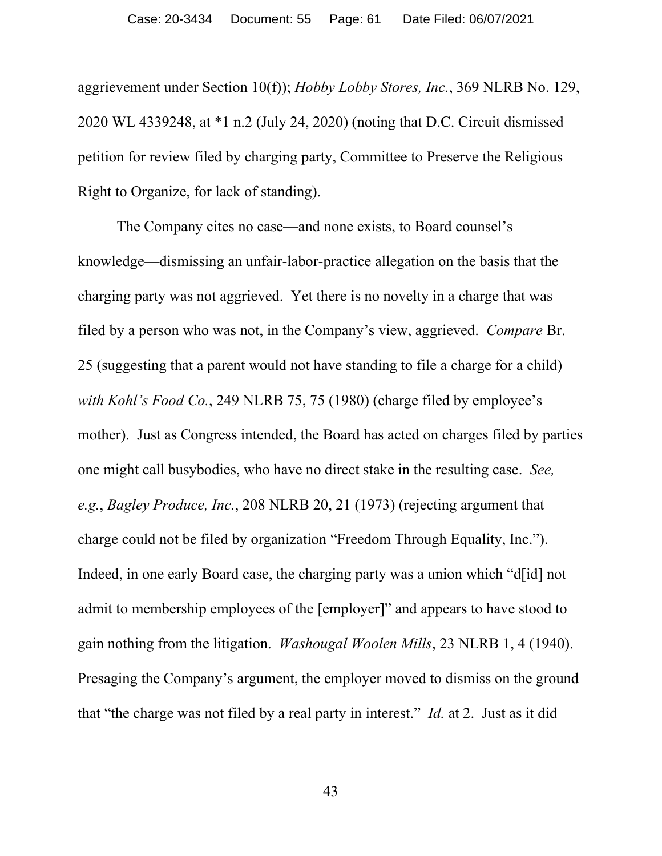aggrievement under Section 10(f)); *Hobby Lobby Stores, Inc.*, 369 NLRB No. 129, 2020 WL 4339248, at \*1 n.2 (July 24, 2020) (noting that D.C. Circuit dismissed petition for review filed by charging party, Committee to Preserve the Religious Right to Organize, for lack of standing).

The Company cites no case—and none exists, to Board counsel's knowledge—dismissing an unfair-labor-practice allegation on the basis that the charging party was not aggrieved. Yet there is no novelty in a charge that was filed by a person who was not, in the Company's view, aggrieved. *Compare* Br. 25 (suggesting that a parent would not have standing to file a charge for a child) *with Kohl's Food Co.*, 249 NLRB 75, 75 (1980) (charge filed by employee's mother). Just as Congress intended, the Board has acted on charges filed by parties one might call busybodies, who have no direct stake in the resulting case. *See, e.g.*, *Bagley Produce, Inc.*, 208 NLRB 20, 21 (1973) (rejecting argument that charge could not be filed by organization "Freedom Through Equality, Inc."). Indeed, in one early Board case, the charging party was a union which "d[id] not admit to membership employees of the [employer]" and appears to have stood to gain nothing from the litigation. *Washougal Woolen Mills*, 23 NLRB 1, 4 (1940). Presaging the Company's argument, the employer moved to dismiss on the ground that "the charge was not filed by a real party in interest." *Id.* at 2. Just as it did

43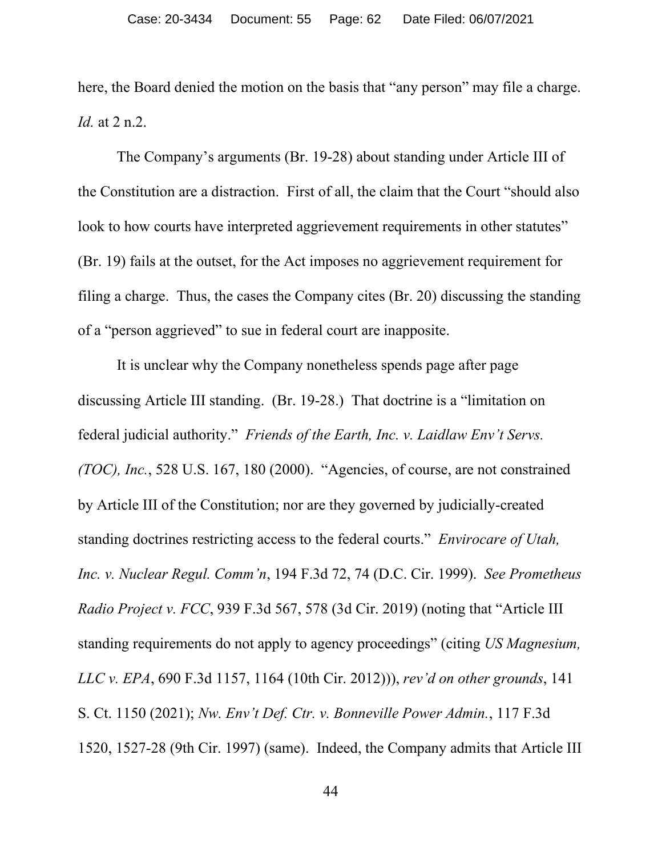here, the Board denied the motion on the basis that "any person" may file a charge. *Id.* at 2 n.2.

The Company's arguments (Br. 19-28) about standing under Article III of the Constitution are a distraction. First of all, the claim that the Court "should also look to how courts have interpreted aggrievement requirements in other statutes" (Br. 19) fails at the outset, for the Act imposes no aggrievement requirement for filing a charge. Thus, the cases the Company cites (Br. 20) discussing the standing of a "person aggrieved" to sue in federal court are inapposite.

It is unclear why the Company nonetheless spends page after page discussing Article III standing. (Br. 19-28.) That doctrine is a "limitation on federal judicial authority." *Friends of the Earth, Inc. v. Laidlaw Env't Servs. (TOC), Inc.*, 528 U.S. 167, 180 (2000). "Agencies, of course, are not constrained by Article III of the Constitution; nor are they governed by judicially-created standing doctrines restricting access to the federal courts." *Envirocare of Utah, Inc. v. Nuclear Regul. Comm'n*, 194 F.3d 72, 74 (D.C. Cir. 1999). *See Prometheus Radio Project v. FCC*, 939 F.3d 567, 578 (3d Cir. 2019) (noting that "Article III standing requirements do not apply to agency proceedings" (citing *US Magnesium, LLC v. EPA*, 690 F.3d 1157, 1164 (10th Cir. 2012))), *rev'd on other grounds*, 141 S. Ct. 1150 (2021); *Nw. Env't Def. Ctr. v. Bonneville Power Admin.*, 117 F.3d 1520, 1527-28 (9th Cir. 1997) (same). Indeed, the Company admits that Article III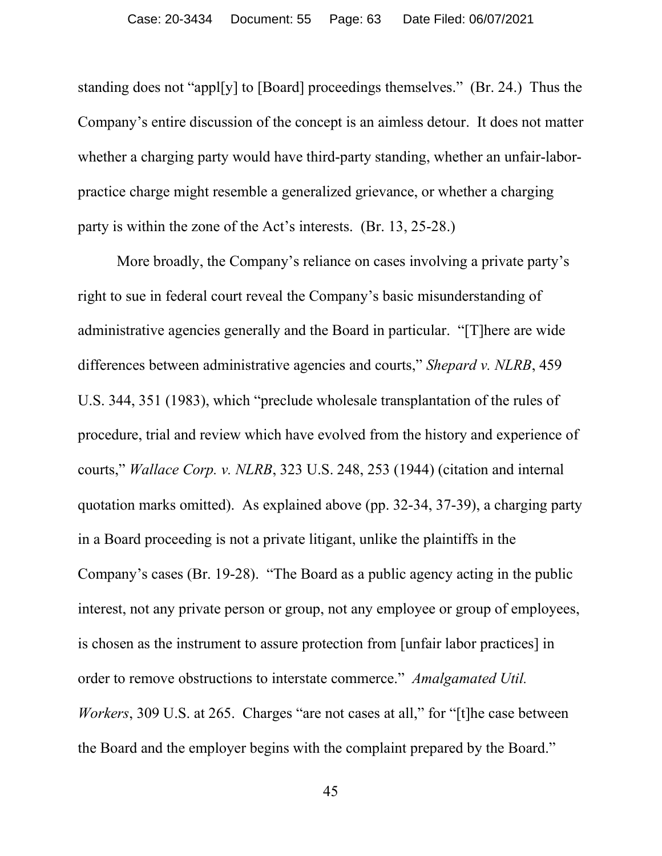standing does not "appl[y] to [Board] proceedings themselves." (Br. 24.) Thus the Company's entire discussion of the concept is an aimless detour. It does not matter whether a charging party would have third-party standing, whether an unfair-laborpractice charge might resemble a generalized grievance, or whether a charging party is within the zone of the Act's interests. (Br. 13, 25-28.)

More broadly, the Company's reliance on cases involving a private party's right to sue in federal court reveal the Company's basic misunderstanding of administrative agencies generally and the Board in particular. "[T]here are wide differences between administrative agencies and courts," *Shepard v. NLRB*, 459 U.S. 344, 351 (1983), which "preclude wholesale transplantation of the rules of procedure, trial and review which have evolved from the history and experience of courts," *Wallace Corp. v. NLRB*, 323 U.S. 248, 253 (1944) (citation and internal quotation marks omitted). As explained above (pp. 32-34, 37-39), a charging party in a Board proceeding is not a private litigant, unlike the plaintiffs in the Company's cases (Br. 19-28). "The Board as a public agency acting in the public interest, not any private person or group, not any employee or group of employees, is chosen as the instrument to assure protection from [unfair labor practices] in order to remove obstructions to interstate commerce." *Amalgamated Util. Workers*, 309 U.S. at 265. Charges "are not cases at all," for "[t] he case between the Board and the employer begins with the complaint prepared by the Board."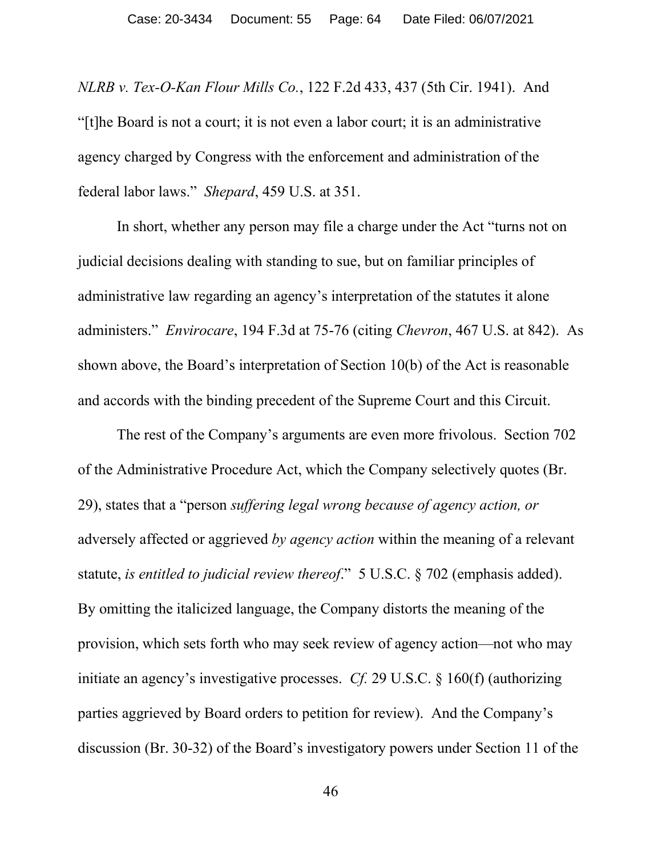*NLRB v. Tex-O-Kan Flour Mills Co.*, 122 F.2d 433, 437 (5th Cir. 1941). And "[t]he Board is not a court; it is not even a labor court; it is an administrative agency charged by Congress with the enforcement and administration of the federal labor laws." *Shepard*, 459 U.S. at 351.

In short, whether any person may file a charge under the Act "turns not on judicial decisions dealing with standing to sue, but on familiar principles of administrative law regarding an agency's interpretation of the statutes it alone administers." *Envirocare*, 194 F.3d at 75-76 (citing *Chevron*, 467 U.S. at 842). As shown above, the Board's interpretation of Section 10(b) of the Act is reasonable and accords with the binding precedent of the Supreme Court and this Circuit.

The rest of the Company's arguments are even more frivolous. Section 702 of the Administrative Procedure Act, which the Company selectively quotes (Br. 29), states that a "person *suffering legal wrong because of agency action, or* adversely affected or aggrieved *by agency action* within the meaning of a relevant statute, *is entitled to judicial review thereof*." 5 U.S.C. § 702 (emphasis added). By omitting the italicized language, the Company distorts the meaning of the provision, which sets forth who may seek review of agency action—not who may initiate an agency's investigative processes. *Cf.* 29 U.S.C. § 160(f) (authorizing parties aggrieved by Board orders to petition for review). And the Company's discussion (Br. 30-32) of the Board's investigatory powers under Section 11 of the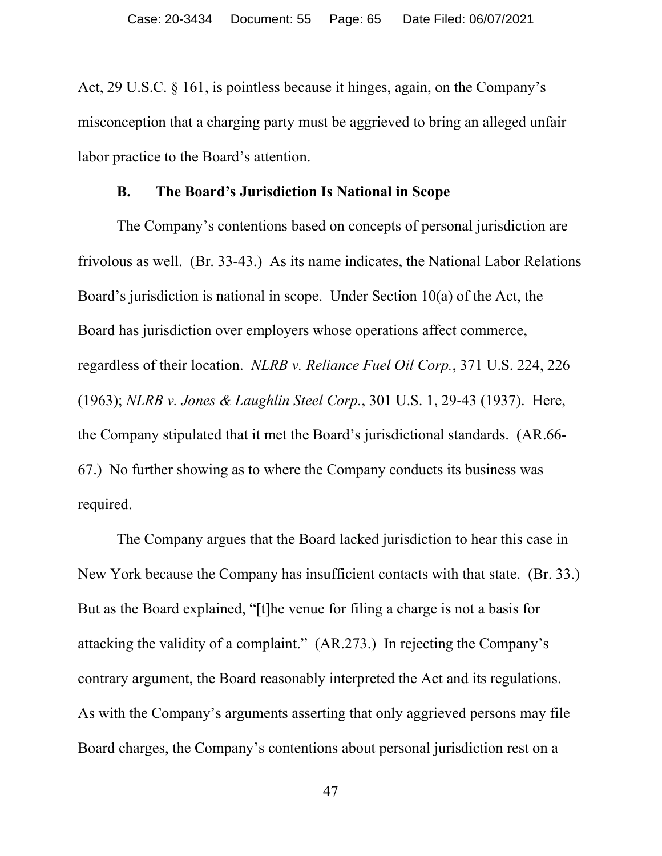Act, 29 U.S.C. § 161, is pointless because it hinges, again, on the Company's misconception that a charging party must be aggrieved to bring an alleged unfair labor practice to the Board's attention.

### **B. The Board's Jurisdiction Is National in Scope**

The Company's contentions based on concepts of personal jurisdiction are frivolous as well. (Br. 33-43.) As its name indicates, the National Labor Relations Board's jurisdiction is national in scope. Under Section 10(a) of the Act, the Board has jurisdiction over employers whose operations affect commerce, regardless of their location. *NLRB v. Reliance Fuel Oil Corp.*, 371 U.S. 224, 226 (1963); *NLRB v. Jones & Laughlin Steel Corp.*, 301 U.S. 1, 29-43 (1937). Here, the Company stipulated that it met the Board's jurisdictional standards. (AR.66- 67.) No further showing as to where the Company conducts its business was required.

The Company argues that the Board lacked jurisdiction to hear this case in New York because the Company has insufficient contacts with that state. (Br. 33.) But as the Board explained, "[t]he venue for filing a charge is not a basis for attacking the validity of a complaint." (AR.273.) In rejecting the Company's contrary argument, the Board reasonably interpreted the Act and its regulations. As with the Company's arguments asserting that only aggrieved persons may file Board charges, the Company's contentions about personal jurisdiction rest on a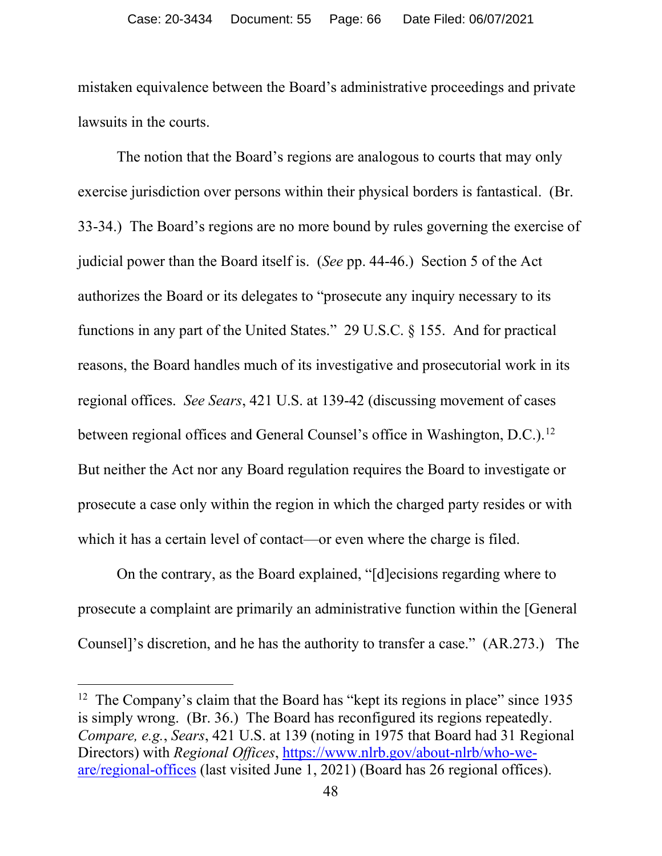mistaken equivalence between the Board's administrative proceedings and private lawsuits in the courts.

The notion that the Board's regions are analogous to courts that may only exercise jurisdiction over persons within their physical borders is fantastical. (Br. 33-34.) The Board's regions are no more bound by rules governing the exercise of judicial power than the Board itself is. (*See* pp. 44-46.) Section 5 of the Act authorizes the Board or its delegates to "prosecute any inquiry necessary to its functions in any part of the United States." 29 U.S.C. § 155. And for practical reasons, the Board handles much of its investigative and prosecutorial work in its regional offices. *See Sears*, 421 U.S. at 139-42 (discussing movement of cases between regional offices and General Counsel's office in Washington, D.C.).<sup>12</sup> But neither the Act nor any Board regulation requires the Board to investigate or prosecute a case only within the region in which the charged party resides or with which it has a certain level of contact—or even where the charge is filed.

On the contrary, as the Board explained, "[d]ecisions regarding where to prosecute a complaint are primarily an administrative function within the [General Counsel]'s discretion, and he has the authority to transfer a case." (AR.273.) The

<span id="page-65-0"></span><sup>&</sup>lt;sup>12</sup> The Company's claim that the Board has "kept its regions in place" since 1935 is simply wrong. (Br. 36.) The Board has reconfigured its regions repeatedly. *Compare, e.g.*, *Sears*, 421 U.S. at 139 (noting in 1975 that Board had 31 Regional Directors) with *Regional Offices*, [https://www.nlrb.gov/about-nlrb/who-we](https://www.nlrb.gov/about-nlrb/who-we-are/regional-offices)[are/regional-offices](https://www.nlrb.gov/about-nlrb/who-we-are/regional-offices) (last visited June 1, 2021) (Board has 26 regional offices).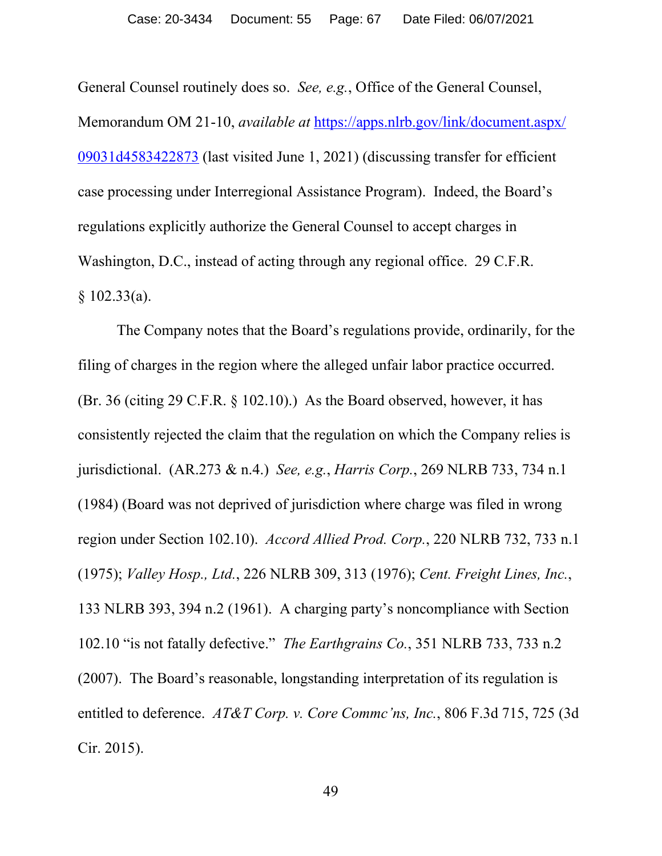General Counsel routinely does so. *See, e.g.*, Office of the General Counsel, Memorandum OM 21-10, *available at* [https://apps.nlrb.gov/link/document.aspx/](https://apps.nlrb.gov/link/document.%E2%80%8Caspx/%E2%80%8C09031d4583422873) [09031d4583422873](https://apps.nlrb.gov/link/document.%E2%80%8Caspx/%E2%80%8C09031d4583422873) (last visited June 1, 2021) (discussing transfer for efficient case processing under Interregional Assistance Program). Indeed, the Board's regulations explicitly authorize the General Counsel to accept charges in Washington, D.C., instead of acting through any regional office. 29 C.F.R. § 102.33(a).

The Company notes that the Board's regulations provide, ordinarily, for the filing of charges in the region where the alleged unfair labor practice occurred. (Br. 36 (citing 29 C.F.R. § 102.10).) As the Board observed, however, it has consistently rejected the claim that the regulation on which the Company relies is jurisdictional. (AR.273 & n.4.) *See, e.g.*, *Harris Corp.*, 269 NLRB 733, 734 n.1 (1984) (Board was not deprived of jurisdiction where charge was filed in wrong region under Section 102.10). *Accord Allied Prod. Corp.*, 220 NLRB 732, 733 n.1 (1975); *Valley Hosp., Ltd.*, 226 NLRB 309, 313 (1976); *Cent. Freight Lines, Inc.*, 133 NLRB 393, 394 n.2 (1961). A charging party's noncompliance with Section 102.10 "is not fatally defective." *The Earthgrains Co.*, 351 NLRB 733, 733 n.2 (2007). The Board's reasonable, longstanding interpretation of its regulation is entitled to deference. *AT&T Corp. v. Core Commc'ns, Inc.*, 806 F.3d 715, 725 (3d Cir. 2015).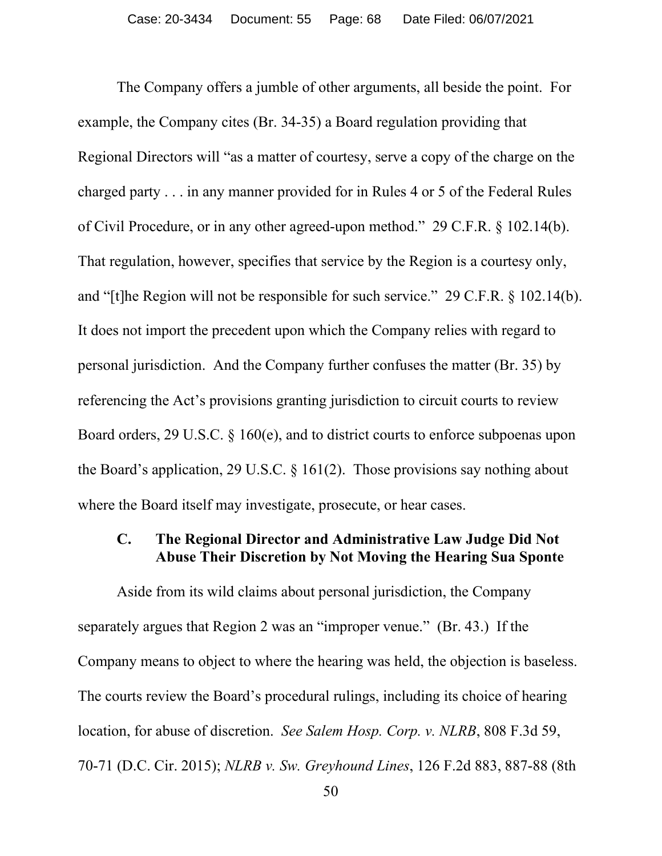The Company offers a jumble of other arguments, all beside the point. For example, the Company cites (Br. 34-35) a Board regulation providing that Regional Directors will "as a matter of courtesy, serve a copy of the charge on the charged party . . . in any manner provided for in Rules 4 or 5 of the Federal Rules of Civil Procedure, or in any other agreed-upon method." 29 C.F.R. § 102.14(b). That regulation, however, specifies that service by the Region is a courtesy only, and "[t]he Region will not be responsible for such service." 29 C.F.R. § 102.14(b). It does not import the precedent upon which the Company relies with regard to personal jurisdiction. And the Company further confuses the matter (Br. 35) by referencing the Act's provisions granting jurisdiction to circuit courts to review Board orders, 29 U.S.C. § 160(e), and to district courts to enforce subpoenas upon the Board's application, 29 U.S.C. § 161(2). Those provisions say nothing about where the Board itself may investigate, prosecute, or hear cases.

# **C. The Regional Director and Administrative Law Judge Did Not Abuse Their Discretion by Not Moving the Hearing Sua Sponte**

Aside from its wild claims about personal jurisdiction, the Company separately argues that Region 2 was an "improper venue." (Br. 43.) If the Company means to object to where the hearing was held, the objection is baseless. The courts review the Board's procedural rulings, including its choice of hearing location, for abuse of discretion. *See Salem Hosp. Corp. v. NLRB*, 808 F.3d 59, 70-71 (D.C. Cir. 2015); *NLRB v. Sw. Greyhound Lines*, 126 F.2d 883, 887-88 (8th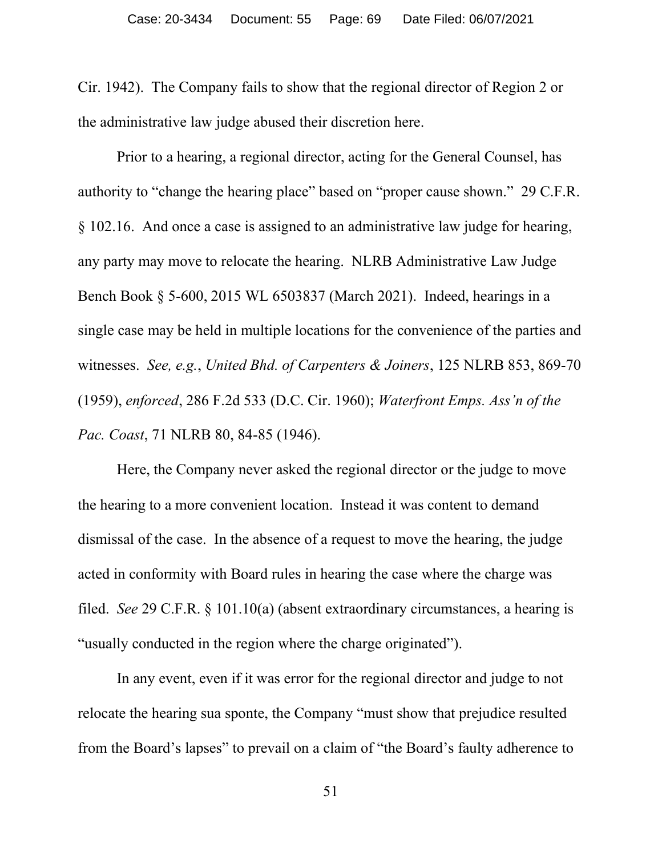Cir. 1942). The Company fails to show that the regional director of Region 2 or the administrative law judge abused their discretion here.

Prior to a hearing, a regional director, acting for the General Counsel, has authority to "change the hearing place" based on "proper cause shown." 29 C.F.R. § 102.16. And once a case is assigned to an administrative law judge for hearing, any party may move to relocate the hearing. NLRB Administrative Law Judge Bench Book § 5-600, 2015 WL 6503837 (March 2021). Indeed, hearings in a single case may be held in multiple locations for the convenience of the parties and witnesses. *See, e.g.*, *United Bhd. of Carpenters & Joiners*, 125 NLRB 853, 869-70 (1959), *enforced*, 286 F.2d 533 (D.C. Cir. 1960); *Waterfront Emps. Ass'n of the Pac. Coast*, 71 NLRB 80, 84-85 (1946).

Here, the Company never asked the regional director or the judge to move the hearing to a more convenient location. Instead it was content to demand dismissal of the case. In the absence of a request to move the hearing, the judge acted in conformity with Board rules in hearing the case where the charge was filed. *See* 29 C.F.R. § 101.10(a) (absent extraordinary circumstances, a hearing is "usually conducted in the region where the charge originated").

In any event, even if it was error for the regional director and judge to not relocate the hearing sua sponte, the Company "must show that prejudice resulted from the Board's lapses" to prevail on a claim of "the Board's faulty adherence to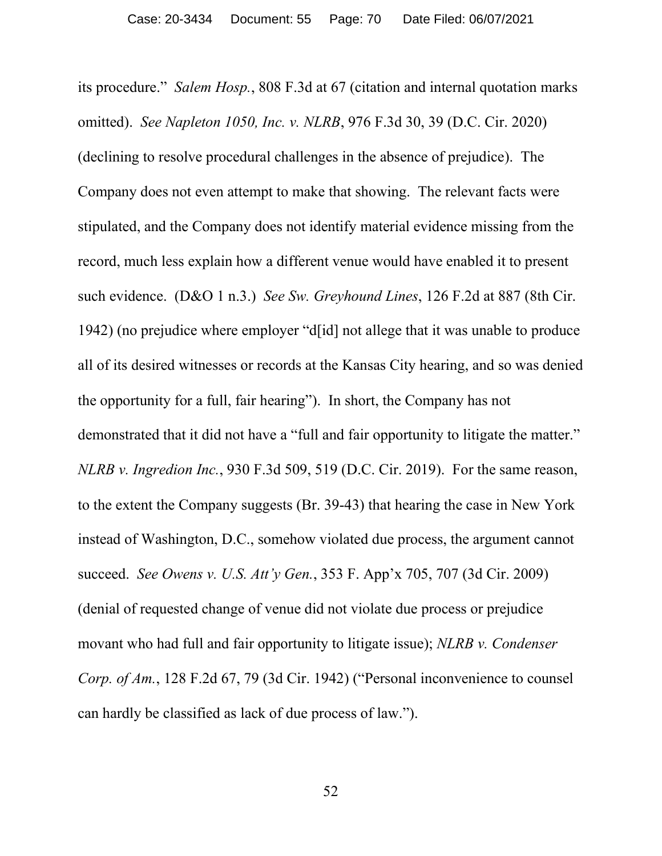its procedure." *Salem Hosp.*, 808 F.3d at 67 (citation and internal quotation marks omitted). *See Napleton 1050, Inc. v. NLRB*, 976 F.3d 30, 39 (D.C. Cir. 2020) (declining to resolve procedural challenges in the absence of prejudice). The Company does not even attempt to make that showing. The relevant facts were stipulated, and the Company does not identify material evidence missing from the record, much less explain how a different venue would have enabled it to present such evidence. (D&O 1 n.3.) *See Sw. Greyhound Lines*, 126 F.2d at 887 (8th Cir. 1942) (no prejudice where employer "d[id] not allege that it was unable to produce all of its desired witnesses or records at the Kansas City hearing, and so was denied the opportunity for a full, fair hearing"). In short, the Company has not demonstrated that it did not have a "full and fair opportunity to litigate the matter." *NLRB v. Ingredion Inc.*, 930 F.3d 509, 519 (D.C. Cir. 2019). For the same reason, to the extent the Company suggests (Br. 39-43) that hearing the case in New York instead of Washington, D.C., somehow violated due process, the argument cannot succeed. *See Owens v. U.S. Att'y Gen.*, 353 F. App'x 705, 707 (3d Cir. 2009) (denial of requested change of venue did not violate due process or prejudice movant who had full and fair opportunity to litigate issue); *NLRB v. Condenser Corp. of Am.*, 128 F.2d 67, 79 (3d Cir. 1942) ("Personal inconvenience to counsel can hardly be classified as lack of due process of law.").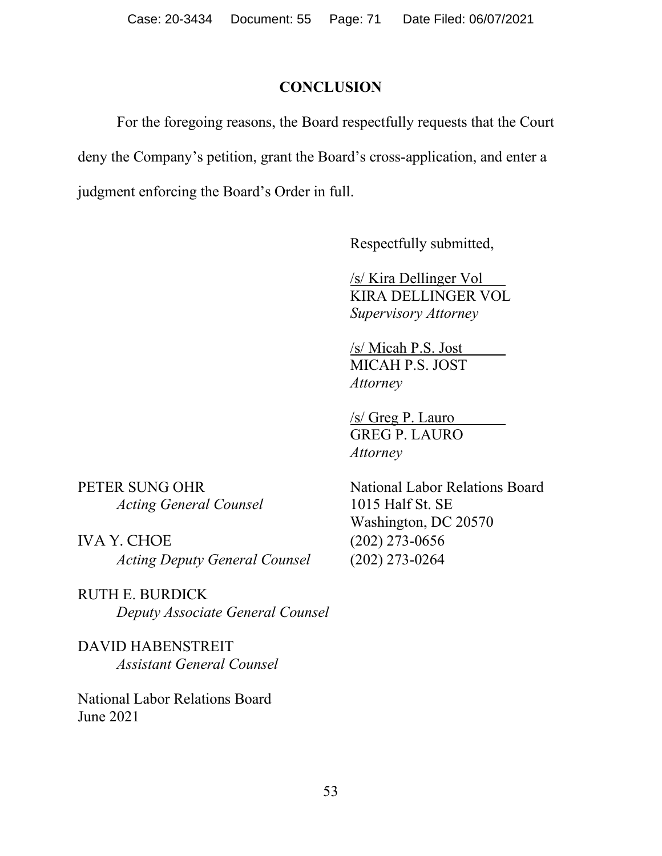# **CONCLUSION**

For the foregoing reasons, the Board respectfully requests that the Court deny the Company's petition, grant the Board's cross-application, and enter a judgment enforcing the Board's Order in full.

Respectfully submitted,

/s/ Kira Dellinger Vol KIRA DELLINGER VOL *Supervisory Attorney*

/s/ Micah P.S. Jost MICAH P.S. JOST *Attorney*

/s/ Greg P. Lauro GREG P. LAURO *Attorney*

*Acting General Counsel* 1015 Half St. SE

IVA Y. CHOE (202) 273-0656 *Acting Deputy General Counsel* (202) 273-0264

RUTH E. BURDICK *Deputy Associate General Counsel*

DAVID HABENSTREIT *Assistant General Counsel*

National Labor Relations Board June 2021

PETER SUNG OHR National Labor Relations Board Washington, DC 20570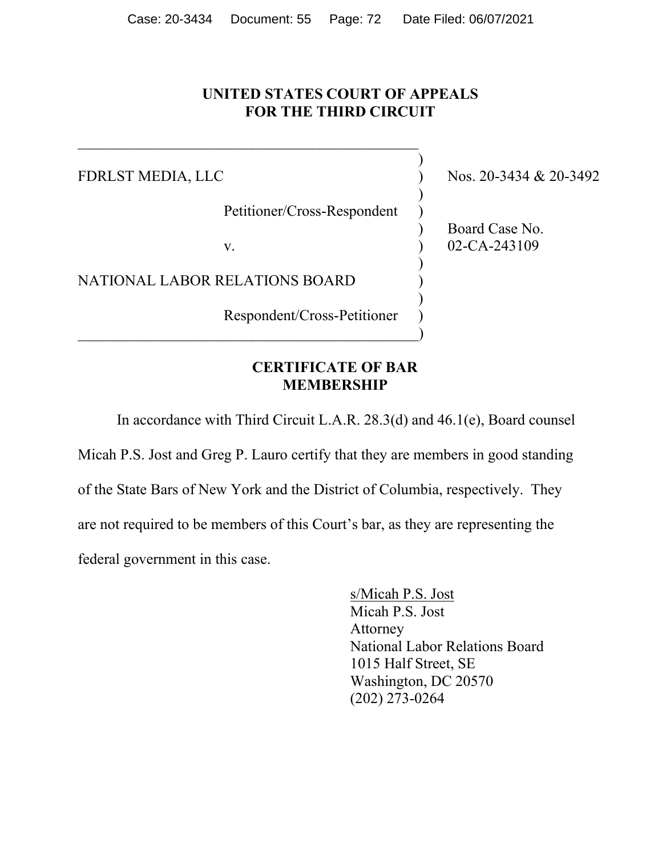## **UNITED STATES COURT OF APPEALS FOR THE THIRD CIRCUIT**

)

)

 $\mathcal{L}$ 

)

FDRLST MEDIA, LLC ) Nos. 20-3434 & 20-3492

Petitioner/Cross-Respondent )

 $\hspace{.5cm}$   $\hspace{.5cm}$   $\hspace{.5cm}$   $\hspace{.5cm}$   $\hspace{.5cm}$   $\hspace{.5cm}$   $\hspace{.5cm}$   $\hspace{.5cm}$   $\hspace{.5cm}$   $\hspace{.5cm}$   $\hspace{.5cm}$   $\hspace{.5cm}$   $\hspace{.5cm}$   $\hspace{.5cm}$   $\hspace{.5cm}$   $\hspace{.5cm}$   $\hspace{.5cm}$   $\hspace{.5cm}$   $\hspace{.5cm}$   $\hspace{.5cm}$ 

 $\mathcal{L}_\mathcal{L}$  , which is a set of the set of the set of the set of the set of the set of the set of the set of the set of the set of the set of the set of the set of the set of the set of the set of the set of the set of

NATIONAL LABOR RELATIONS BOARD )

Respondent/Cross-Petitioner )

### ) Board Case No. v. 02-CA-243109

## **CERTIFICATE OF BAR MEMBERSHIP**

In accordance with Third Circuit L.A.R. 28.3(d) and 46.1(e), Board counsel

Micah P.S. Jost and Greg P. Lauro certify that they are members in good standing of the State Bars of New York and the District of Columbia, respectively. They are not required to be members of this Court's bar, as they are representing the federal government in this case.

> s/Micah P.S. Jost Micah P.S. Jost Attorney National Labor Relations Board 1015 Half Street, SE Washington, DC 20570 (202) 273-0264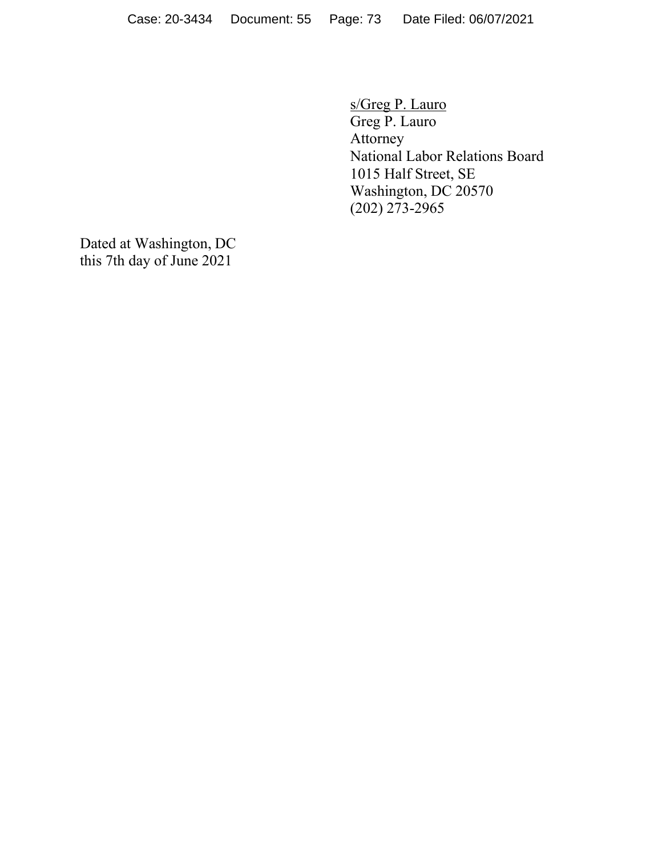s/Greg P. Lauro Greg P. Lauro Attorney National Labor Relations Board 1015 Half Street, SE Washington, DC 20570 (202) 273-2965

Dated at Washington, DC this 7th day of June 2021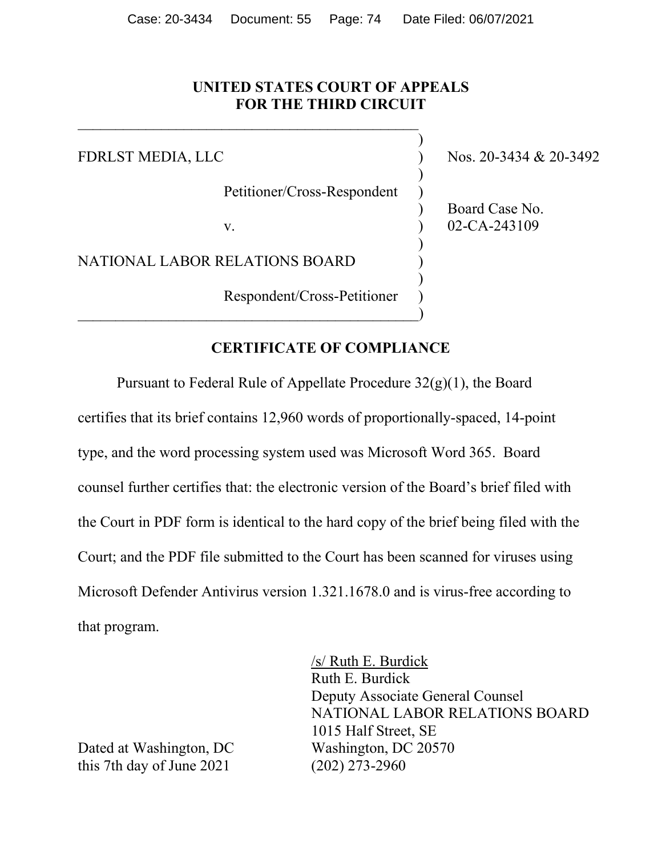## **UNITED STATES COURT OF APPEALS FOR THE THIRD CIRCUIT**

Petitioner/Cross-Respondent )

 $\hspace{.5cm}$   $\hspace{.5cm}$   $\hspace{.5cm}$   $\hspace{.5cm}$   $\hspace{.5cm}$   $\hspace{.5cm}$   $\hspace{.5cm}$   $\hspace{.5cm}$   $\hspace{.5cm}$   $\hspace{.5cm}$   $\hspace{.5cm}$   $\hspace{.5cm}$   $\hspace{.5cm}$   $\hspace{.5cm}$   $\hspace{.5cm}$   $\hspace{.5cm}$   $\hspace{.5cm}$   $\hspace{.5cm}$   $\hspace{.5cm}$   $\hspace{.5cm}$ 

 $\mathcal{L}_\mathcal{L}$  , and the contribution of the contribution of  $\mathcal{L}_\mathcal{L}$ 

NATIONAL LABOR RELATIONS BOARD )

Respondent/Cross-Petitioner )

FDRLST MEDIA, LLC ) Nos. 20-3434 & 20-3492

) Board Case No. v. 02-CA-243109

)

 $\mathcal{L}$ 

)

)

## **CERTIFICATE OF COMPLIANCE**

Pursuant to Federal Rule of Appellate Procedure  $32(g)(1)$ , the Board certifies that its brief contains 12,960 words of proportionally-spaced, 14-point type, and the word processing system used was Microsoft Word 365. Board counsel further certifies that: the electronic version of the Board's brief filed with the Court in PDF form is identical to the hard copy of the brief being filed with the Court; and the PDF file submitted to the Court has been scanned for viruses using Microsoft Defender Antivirus version 1.321.1678.0 and is virus-free according to that program.

> /s/ Ruth E. Burdick Ruth E. Burdick Deputy Associate General Counsel NATIONAL LABOR RELATIONS BOARD 1015 Half Street, SE

Dated at Washington, DC Washington, DC 20570 this 7th day of June 2021 (202) 273-2960